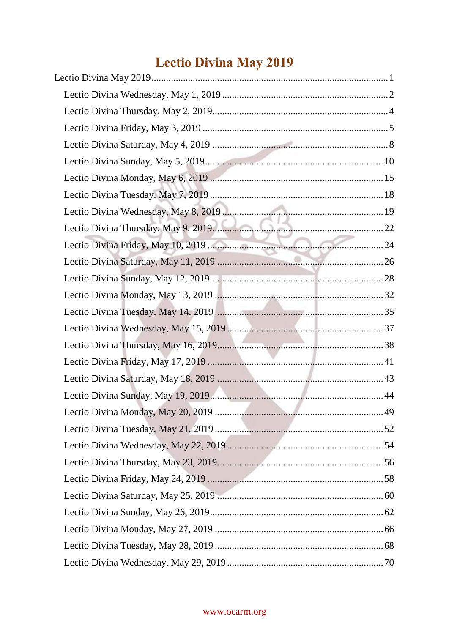# **Lectio Divina May 2019**

<span id="page-0-0"></span>

#### www.ocarm.org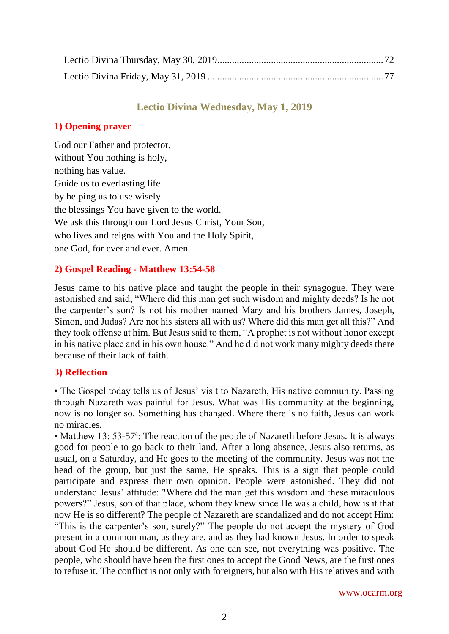# **Lectio Divina Wednesday, May 1, 2019**

## <span id="page-1-0"></span>**1) Opening prayer**

God our Father and protector, without You nothing is holy, nothing has value. Guide us to everlasting life by helping us to use wisely the blessings You have given to the world. We ask this through our Lord Jesus Christ, Your Son, who lives and reigns with You and the Holy Spirit, one God, for ever and ever. Amen.

# **2) Gospel Reading - Matthew 13:54-58**

Jesus came to his native place and taught the people in their synagogue. They were astonished and said, "Where did this man get such wisdom and mighty deeds? Is he not the carpenter's son? Is not his mother named Mary and his brothers James, Joseph, Simon, and Judas? Are not his sisters all with us? Where did this man get all this?" And they took offense at him. But Jesus said to them, "A prophet is not without honor except in his native place and in his own house." And he did not work many mighty deeds there because of their lack of faith.

## **3) Reflection**

• The Gospel today tells us of Jesus' visit to Nazareth, His native community. Passing through Nazareth was painful for Jesus. What was His community at the beginning, now is no longer so. Something has changed. Where there is no faith, Jesus can work no miracles.

• Matthew 13: 53-57<sup>a</sup>: The reaction of the people of Nazareth before Jesus. It is always good for people to go back to their land. After a long absence, Jesus also returns, as usual, on a Saturday, and He goes to the meeting of the community. Jesus was not the head of the group, but just the same, He speaks. This is a sign that people could participate and express their own opinion. People were astonished. They did not understand Jesus' attitude: "Where did the man get this wisdom and these miraculous powers?" Jesus, son of that place, whom they knew since He was a child, how is it that now He is so different? The people of Nazareth are scandalized and do not accept Him: "This is the carpenter's son, surely?" The people do not accept the mystery of God present in a common man, as they are, and as they had known Jesus. In order to speak about God He should be different. As one can see, not everything was positive. The people, who should have been the first ones to accept the Good News, are the first ones to refuse it. The conflict is not only with foreigners, but also with His relatives and with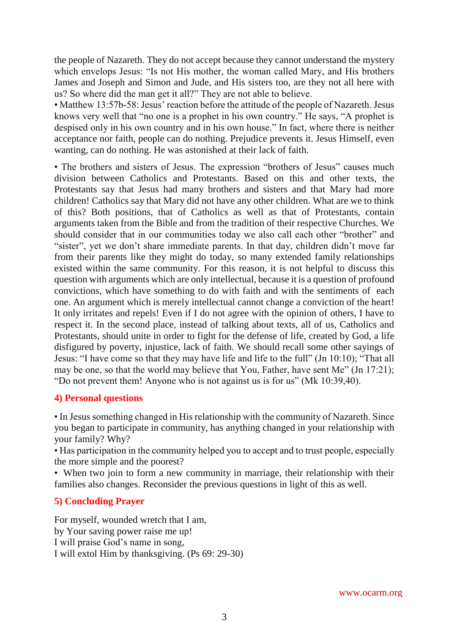the people of Nazareth. They do not accept because they cannot understand the mystery which envelops Jesus: "Is not His mother, the woman called Mary, and His brothers James and Joseph and Simon and Jude, and His sisters too, are they not all here with us? So where did the man get it all?" They are not able to believe.

• Matthew 13:57b-58: Jesus' reaction before the attitude of the people of Nazareth. Jesus knows very well that "no one is a prophet in his own country." He says, "A prophet is despised only in his own country and in his own house." In fact, where there is neither acceptance nor faith, people can do nothing. Prejudice prevents it. Jesus Himself, even wanting, can do nothing. He was astonished at their lack of faith.

• The brothers and sisters of Jesus. The expression "brothers of Jesus" causes much division between Catholics and Protestants. Based on this and other texts, the Protestants say that Jesus had many brothers and sisters and that Mary had more children! Catholics say that Mary did not have any other children. What are we to think of this? Both positions, that of Catholics as well as that of Protestants, contain arguments taken from the Bible and from the tradition of their respective Churches. We should consider that in our communities today we also call each other "brother" and "sister", yet we don't share immediate parents. In that day, children didn't move far from their parents like they might do today, so many extended family relationships existed within the same community. For this reason, it is not helpful to discuss this question with arguments which are only intellectual, because it is a question of profound convictions, which have something to do with faith and with the sentiments of each one. An argument which is merely intellectual cannot change a conviction of the heart! It only irritates and repels! Even if I do not agree with the opinion of others, I have to respect it. In the second place, instead of talking about texts, all of us, Catholics and Protestants, should unite in order to fight for the defense of life, created by God, a life disfigured by poverty, injustice, lack of faith. We should recall some other sayings of Jesus: "I have come so that they may have life and life to the full" (Jn 10:10); "That all may be one, so that the world may believe that You, Father, have sent Me" (Jn 17:21); "Do not prevent them! Anyone who is not against us is for us" (Mk 10:39,40).

#### **4) Personal questions**

• In Jesus something changed in His relationship with the community of Nazareth. Since you began to participate in community, has anything changed in your relationship with your family? Why?

• Has participation in the community helped you to accept and to trust people, especially the more simple and the poorest?

• When two join to form a new community in marriage, their relationship with their families also changes. Reconsider the previous questions in light of this as well.

# **5) Concluding Prayer**

For myself, wounded wretch that I am, by Your saving power raise me up! I will praise God's name in song, I will extol Him by thanksgiving. (Ps 69: 29-30)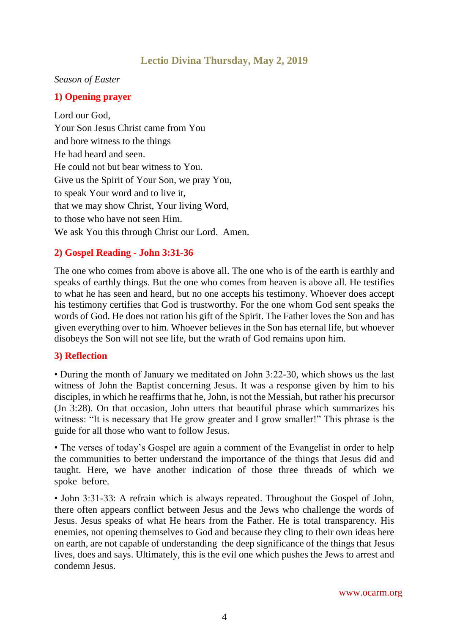# **Lectio Divina Thursday, May 2, 2019**

#### <span id="page-3-0"></span>*Season of Easter*

## **1) Opening prayer**

Lord our God, Your Son Jesus Christ came from You and bore witness to the things He had heard and seen. He could not but bear witness to You. Give us the Spirit of Your Son, we pray You, to speak Your word and to live it, that we may show Christ, Your living Word, to those who have not seen Him. We ask You this through Christ our Lord. Amen.

## **2) Gospel Reading - John 3:31-36**

The one who comes from above is above all. The one who is of the earth is earthly and speaks of earthly things. But the one who comes from heaven is above all. He testifies to what he has seen and heard, but no one accepts his testimony. Whoever does accept his testimony certifies that God is trustworthy. For the one whom God sent speaks the words of God. He does not ration his gift of the Spirit. The Father loves the Son and has given everything over to him. Whoever believes in the Son has eternal life, but whoever disobeys the Son will not see life, but the wrath of God remains upon him.

## **3) Reflection**

• During the month of January we meditated on John 3:22-30, which shows us the last witness of John the Baptist concerning Jesus. It was a response given by him to his disciples, in which he reaffirms that he, John, is not the Messiah, but rather his precursor (Jn 3:28). On that occasion, John utters that beautiful phrase which summarizes his witness: "It is necessary that He grow greater and I grow smaller!" This phrase is the guide for all those who want to follow Jesus.

• The verses of today's Gospel are again a comment of the Evangelist in order to help the communities to better understand the importance of the things that Jesus did and taught. Here, we have another indication of those three threads of which we spoke before.

• John 3:31-33: A refrain which is always repeated. Throughout the Gospel of John, there often appears conflict between Jesus and the Jews who challenge the words of Jesus. Jesus speaks of what He hears from the Father. He is total transparency. His enemies, not opening themselves to God and because they cling to their own ideas here on earth, are not capable of understanding the deep significance of the things that Jesus lives, does and says. Ultimately, this is the evil one which pushes the Jews to arrest and condemn Jesus.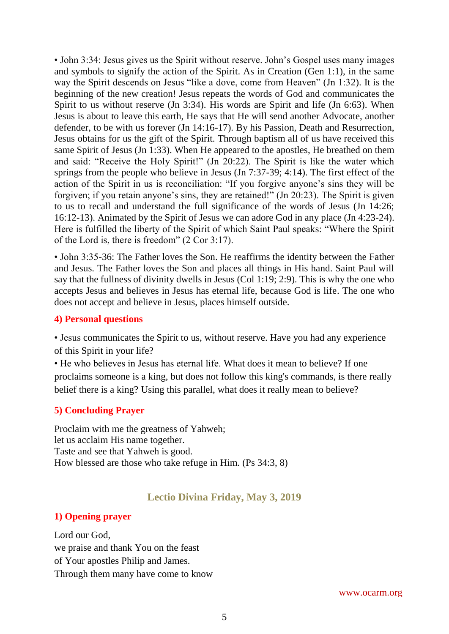• John 3:34: Jesus gives us the Spirit without reserve. John's Gospel uses many images and symbols to signify the action of the Spirit. As in Creation (Gen 1:1), in the same way the Spirit descends on Jesus "like a dove, come from Heaven" (Jn 1:32). It is the beginning of the new creation! Jesus repeats the words of God and communicates the Spirit to us without reserve (Jn 3:34). His words are Spirit and life (Jn 6:63). When Jesus is about to leave this earth, He says that He will send another Advocate, another defender, to be with us forever (Jn 14:16-17). By his Passion, Death and Resurrection, Jesus obtains for us the gift of the Spirit. Through baptism all of us have received this same Spirit of Jesus (Jn 1:33). When He appeared to the apostles, He breathed on them and said: "Receive the Holy Spirit!" (Jn 20:22). The Spirit is like the water which springs from the people who believe in Jesus (Jn 7:37-39; 4:14). The first effect of the action of the Spirit in us is reconciliation: "If you forgive anyone's sins they will be forgiven; if you retain anyone's sins, they are retained!" (Jn 20:23). The Spirit is given to us to recall and understand the full significance of the words of Jesus (Jn 14:26; 16:12-13). Animated by the Spirit of Jesus we can adore God in any place (Jn 4:23-24). Here is fulfilled the liberty of the Spirit of which Saint Paul speaks: "Where the Spirit of the Lord is, there is freedom" (2 Cor 3:17).

• John 3:35-36: The Father loves the Son. He reaffirms the identity between the Father and Jesus. The Father loves the Son and places all things in His hand. Saint Paul will say that the fullness of divinity dwells in Jesus (Col 1:19; 2:9). This is why the one who accepts Jesus and believes in Jesus has eternal life, because God is life. The one who does not accept and believe in Jesus, places himself outside.

#### **4) Personal questions**

• Jesus communicates the Spirit to us, without reserve. Have you had any experience of this Spirit in your life?

• He who believes in Jesus has eternal life. What does it mean to believe? If one proclaims someone is a king, but does not follow this king's commands, is there really belief there is a king? Using this parallel, what does it really mean to believe?

## **5) Concluding Prayer**

Proclaim with me the greatness of Yahweh; let us acclaim His name together. Taste and see that Yahweh is good. How blessed are those who take refuge in Him. (Ps 34:3, 8)

# **Lectio Divina Friday, May 3, 2019**

## <span id="page-4-0"></span>**1) Opening prayer**

Lord our God, we praise and thank You on the feast of Your apostles Philip and James. Through them many have come to know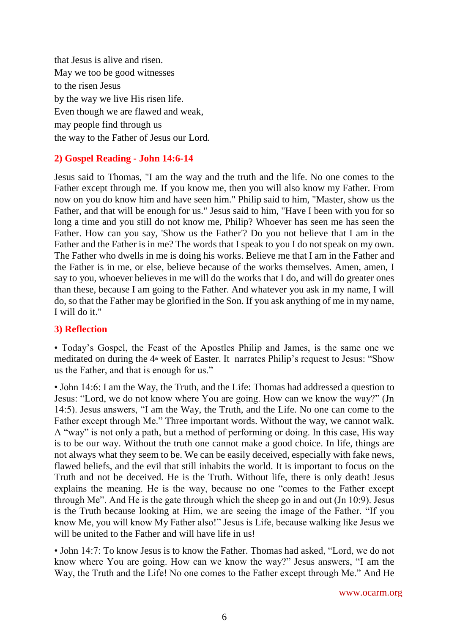that Jesus is alive and risen. May we too be good witnesses to the risen Jesus by the way we live His risen life. Even though we are flawed and weak, may people find through us the way to the Father of Jesus our Lord.

# **2) Gospel Reading - John 14:6-14**

Jesus said to Thomas, "I am the way and the truth and the life. No one comes to the Father except through me. If you know me, then you will also know my Father. From now on you do know him and have seen him." Philip said to him, "Master, show us the Father, and that will be enough for us." Jesus said to him, "Have I been with you for so long a time and you still do not know me, Philip? Whoever has seen me has seen the Father. How can you say, 'Show us the Father'? Do you not believe that I am in the Father and the Father is in me? The words that I speak to you I do not speak on my own. The Father who dwells in me is doing his works. Believe me that I am in the Father and the Father is in me, or else, believe because of the works themselves. Amen, amen, I say to you, whoever believes in me will do the works that I do, and will do greater ones than these, because I am going to the Father. And whatever you ask in my name, I will do, so that the Father may be glorified in the Son. If you ask anything of me in my name, I will do it."

## **3) Reflection**

• Today's Gospel, the Feast of the Apostles Philip and James, is the same one we meditated on during the 4<sup>th</sup> week of Easter. It narrates Philip's request to Jesus: "Show us the Father, and that is enough for us."

• John 14:6: I am the Way, the Truth, and the Life: Thomas had addressed a question to Jesus: "Lord, we do not know where You are going. How can we know the way?" (Jn 14:5). Jesus answers, "I am the Way, the Truth, and the Life. No one can come to the Father except through Me." Three important words. Without the way, we cannot walk. A "way" is not only a path, but a method of performing or doing. In this case, His way is to be our way. Without the truth one cannot make a good choice. In life, things are not always what they seem to be. We can be easily deceived, especially with fake news, flawed beliefs, and the evil that still inhabits the world. It is important to focus on the Truth and not be deceived. He is the Truth. Without life, there is only death! Jesus explains the meaning. He is the way, because no one "comes to the Father except through Me". And He is the gate through which the sheep go in and out (Jn 10:9). Jesus is the Truth because looking at Him, we are seeing the image of the Father. "If you know Me, you will know My Father also!" Jesus is Life, because walking like Jesus we will be united to the Father and will have life in us!

• John 14:7: To know Jesus is to know the Father. Thomas had asked, "Lord, we do not know where You are going. How can we know the way?" Jesus answers, "I am the Way, the Truth and the Life! No one comes to the Father except through Me." And He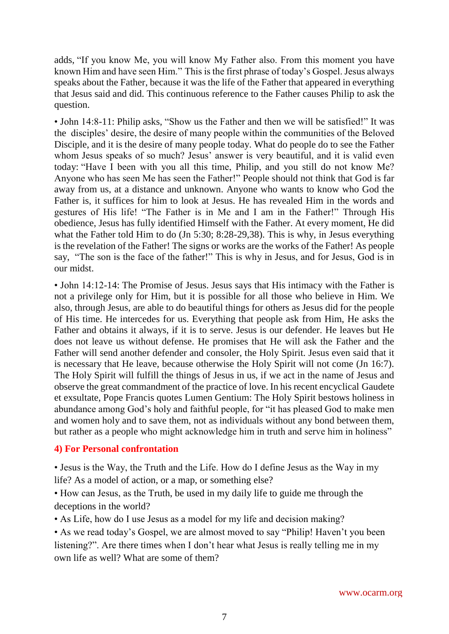adds, "If you know Me, you will know My Father also. From this moment you have known Him and have seen Him." This is the first phrase of today's Gospel. Jesus always speaks about the Father, because it was the life of the Father that appeared in everything that Jesus said and did. This continuous reference to the Father causes Philip to ask the question.

• John 14:8-11: Philip asks, "Show us the Father and then we will be satisfied!" It was the disciples' desire, the desire of many people within the communities of the Beloved Disciple, and it is the desire of many people today. What do people do to see the Father whom Jesus speaks of so much? Jesus' answer is very beautiful, and it is valid even today: "Have I been with you all this time, Philip, and you still do not know Me? Anyone who has seen Me has seen the Father!" People should not think that God is far away from us, at a distance and unknown. Anyone who wants to know who God the Father is, it suffices for him to look at Jesus. He has revealed Him in the words and gestures of His life! "The Father is in Me and I am in the Father!" Through His obedience, Jesus has fully identified Himself with the Father. At every moment, He did what the Father told Him to do (Jn 5:30; 8:28-29,38). This is why, in Jesus everything is the revelation of the Father! The signs or works are the works of the Father! As people say, "The son is the face of the father!" This is why in Jesus, and for Jesus, God is in our midst.

• John 14:12-14: The Promise of Jesus. Jesus says that His intimacy with the Father is not a privilege only for Him, but it is possible for all those who believe in Him. We also, through Jesus, are able to do beautiful things for others as Jesus did for the people of His time. He intercedes for us. Everything that people ask from Him, He asks the Father and obtains it always, if it is to serve. Jesus is our defender. He leaves but He does not leave us without defense. He promises that He will ask the Father and the Father will send another defender and consoler, the Holy Spirit. Jesus even said that it is necessary that He leave, because otherwise the Holy Spirit will not come (Jn 16:7). The Holy Spirit will fulfill the things of Jesus in us, if we act in the name of Jesus and observe the great commandment of the practice of love. In his recent encyclical Gaudete et exsultate, Pope Francis quotes Lumen Gentium: The Holy Spirit bestows holiness in abundance among God's holy and faithful people, for "it has pleased God to make men and women holy and to save them, not as individuals without any bond between them, but rather as a people who might acknowledge him in truth and serve him in holiness"

## **4) For Personal confrontation**

• Jesus is the Way, the Truth and the Life. How do I define Jesus as the Way in my life? As a model of action, or a map, or something else?

• How can Jesus, as the Truth, be used in my daily life to guide me through the deceptions in the world?

• As Life, how do I use Jesus as a model for my life and decision making?

• As we read today's Gospel, we are almost moved to say "Philip! Haven't you been listening?". Are there times when I don't hear what Jesus is really telling me in my own life as well? What are some of them?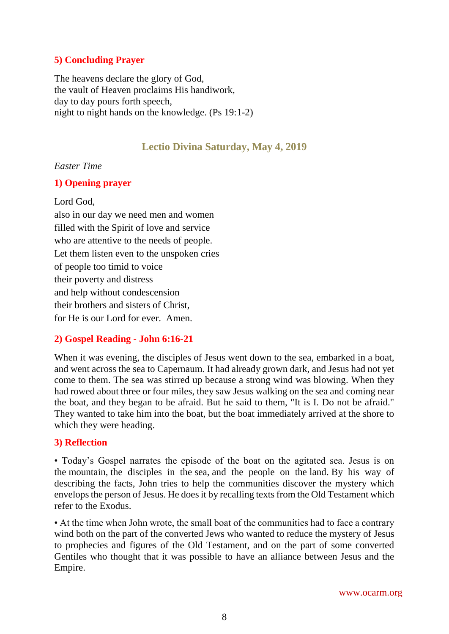## **5) Concluding Prayer**

The heavens declare the glory of God, the vault of Heaven proclaims His handiwork, day to day pours forth speech, night to night hands on the knowledge. (Ps 19:1-2)

# **Lectio Divina Saturday, May 4, 2019**

#### <span id="page-7-0"></span>*Easter Time*

#### **1) Opening prayer**

Lord God, also in our day we need men and women filled with the Spirit of love and service who are attentive to the needs of people. Let them listen even to the unspoken cries of people too timid to voice their poverty and distress and help without condescension their brothers and sisters of Christ, for He is our Lord for ever. Amen.

## **2) Gospel Reading - John 6:16-21**

When it was evening, the disciples of Jesus went down to the sea, embarked in a boat, and went across the sea to Capernaum. It had already grown dark, and Jesus had not yet come to them. The sea was stirred up because a strong wind was blowing. When they had rowed about three or four miles, they saw Jesus walking on the sea and coming near the boat, and they began to be afraid. But he said to them, "It is I. Do not be afraid." They wanted to take him into the boat, but the boat immediately arrived at the shore to which they were heading.

#### **3) Reflection**

• Today's Gospel narrates the episode of the boat on the agitated sea. Jesus is on the mountain, the disciples in the sea, and the people on the land. By his way of describing the facts, John tries to help the communities discover the mystery which envelops the person of Jesus. He does it by recalling texts from the Old Testament which refer to the Exodus.

• At the time when John wrote, the small boat of the communities had to face a contrary wind both on the part of the converted Jews who wanted to reduce the mystery of Jesus to prophecies and figures of the Old Testament, and on the part of some converted Gentiles who thought that it was possible to have an alliance between Jesus and the Empire.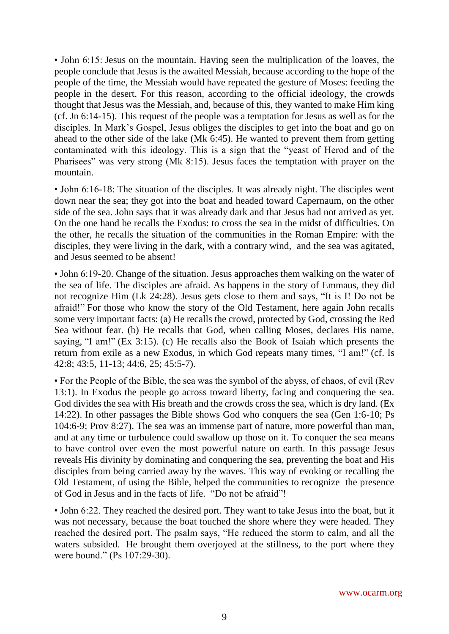• John 6:15: Jesus on the mountain. Having seen the multiplication of the loaves, the people conclude that Jesus is the awaited Messiah, because according to the hope of the people of the time, the Messiah would have repeated the gesture of Moses: feeding the people in the desert. For this reason, according to the official ideology, the crowds thought that Jesus was the Messiah, and, because of this, they wanted to make Him king (cf. Jn 6:14-15). This request of the people was a temptation for Jesus as well as for the disciples. In Mark's Gospel, Jesus obliges the disciples to get into the boat and go on ahead to the other side of the lake (Mk 6:45). He wanted to prevent them from getting contaminated with this ideology. This is a sign that the "yeast of Herod and of the Pharisees" was very strong (Mk 8:15). Jesus faces the temptation with prayer on the mountain.

• John 6:16-18: The situation of the disciples. It was already night. The disciples went down near the sea; they got into the boat and headed toward Capernaum, on the other side of the sea. John says that it was already dark and that Jesus had not arrived as yet. On the one hand he recalls the Exodus: to cross the sea in the midst of difficulties. On the other, he recalls the situation of the communities in the Roman Empire: with the disciples, they were living in the dark, with a contrary wind, and the sea was agitated, and Jesus seemed to be absent!

• John 6:19-20. Change of the situation. Jesus approaches them walking on the water of the sea of life. The disciples are afraid. As happens in the story of Emmaus, they did not recognize Him (Lk 24:28). Jesus gets close to them and says, "It is I! Do not be afraid!" For those who know the story of the Old Testament, here again John recalls some very important facts: (a) He recalls the crowd, protected by God, crossing the Red Sea without fear. (b) He recalls that God, when calling Moses, declares His name, saying, "I am!" (Ex 3:15). (c) He recalls also the Book of Isaiah which presents the return from exile as a new Exodus, in which God repeats many times, "I am!" (cf. Is 42:8; 43:5, 11-13; 44:6, 25; 45:5-7).

• For the People of the Bible, the sea was the symbol of the abyss, of chaos, of evil (Rev 13:1). In Exodus the people go across toward liberty, facing and conquering the sea. God divides the sea with His breath and the crowds cross the sea, which is dry land. (Ex 14:22). In other passages the Bible shows God who conquers the sea (Gen 1:6-10; Ps 104:6-9; Prov 8:27). The sea was an immense part of nature, more powerful than man, and at any time or turbulence could swallow up those on it. To conquer the sea means to have control over even the most powerful nature on earth. In this passage Jesus reveals His divinity by dominating and conquering the sea, preventing the boat and His disciples from being carried away by the waves. This way of evoking or recalling the Old Testament, of using the Bible, helped the communities to recognize the presence of God in Jesus and in the facts of life. "Do not be afraid"!

• John 6:22. They reached the desired port. They want to take Jesus into the boat, but it was not necessary, because the boat touched the shore where they were headed. They reached the desired port. The psalm says, "He reduced the storm to calm, and all the waters subsided. He brought them overjoyed at the stillness, to the port where they were bound." (Ps 107:29-30).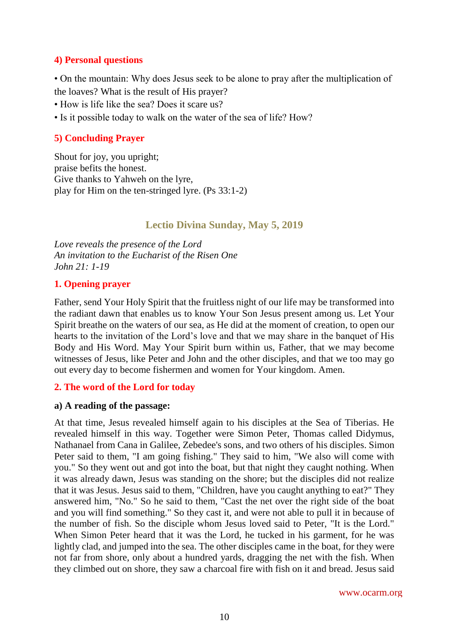#### **4) Personal questions**

• On the mountain: Why does Jesus seek to be alone to pray after the multiplication of the loaves? What is the result of His prayer?

• How is life like the sea? Does it scare us?

• Is it possible today to walk on the water of the sea of life? How?

## **5) Concluding Prayer**

Shout for joy, you upright; praise befits the honest. Give thanks to Yahweh on the lyre, play for Him on the ten-stringed lyre. (Ps 33:1-2)

## **Lectio Divina Sunday, May 5, 2019**

<span id="page-9-0"></span>*Love reveals the presence of the Lord An invitation to the Eucharist of the Risen One John 21: 1-19*

#### **1. Opening prayer**

Father, send Your Holy Spirit that the fruitless night of our life may be transformed into the radiant dawn that enables us to know Your Son Jesus present among us. Let Your Spirit breathe on the waters of our sea, as He did at the moment of creation, to open our hearts to the invitation of the Lord's love and that we may share in the banquet of His Body and His Word. May Your Spirit burn within us, Father, that we may become witnesses of Jesus, like Peter and John and the other disciples, and that we too may go out every day to become fishermen and women for Your kingdom. Amen.

## **2. The word of the Lord for today**

#### **a) A reading of the passage:**

At that time, Jesus revealed himself again to his disciples at the Sea of Tiberias. He revealed himself in this way. Together were Simon Peter, Thomas called Didymus, Nathanael from Cana in Galilee, Zebedee's sons, and two others of his disciples. Simon Peter said to them, "I am going fishing." They said to him, "We also will come with you." So they went out and got into the boat, but that night they caught nothing. When it was already dawn, Jesus was standing on the shore; but the disciples did not realize that it was Jesus. Jesus said to them, "Children, have you caught anything to eat?" They answered him, "No." So he said to them, "Cast the net over the right side of the boat and you will find something." So they cast it, and were not able to pull it in because of the number of fish. So the disciple whom Jesus loved said to Peter, "It is the Lord." When Simon Peter heard that it was the Lord, he tucked in his garment, for he was lightly clad, and jumped into the sea. The other disciples came in the boat, for they were not far from shore, only about a hundred yards, dragging the net with the fish. When they climbed out on shore, they saw a charcoal fire with fish on it and bread. Jesus said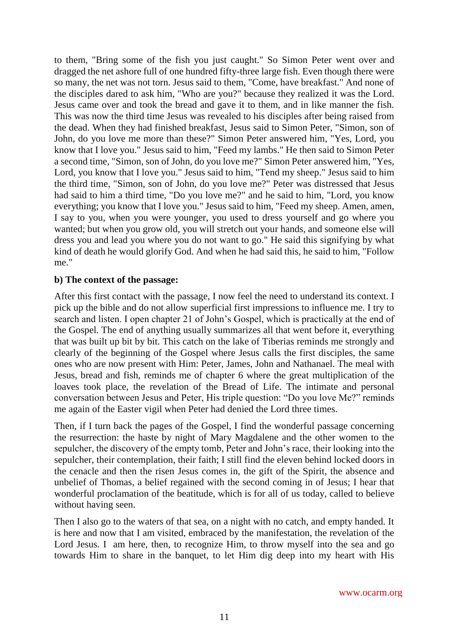to them, "Bring some of the fish you just caught." So Simon Peter went over and dragged the net ashore full of one hundred fifty-three large fish. Even though there were so many, the net was not torn. Jesus said to them, "Come, have breakfast." And none of the disciples dared to ask him, "Who are you?" because they realized it was the Lord. Jesus came over and took the bread and gave it to them, and in like manner the fish. This was now the third time Jesus was revealed to his disciples after being raised from the dead. When they had finished breakfast, Jesus said to Simon Peter, "Simon, son of John, do you love me more than these?" Simon Peter answered him, "Yes, Lord, you know that I love you." Jesus said to him, "Feed my lambs." He then said to Simon Peter a second time, "Simon, son of John, do you love me?" Simon Peter answered him, "Yes, Lord, you know that I love you." Jesus said to him, "Tend my sheep." Jesus said to him the third time, "Simon, son of John, do you love me?" Peter was distressed that Jesus had said to him a third time, "Do you love me?" and he said to him, "Lord, you know everything; you know that I love you." Jesus said to him, "Feed my sheep. Amen, amen, I say to you, when you were younger, you used to dress yourself and go where you wanted; but when you grow old, you will stretch out your hands, and someone else will dress you and lead you where you do not want to go." He said this signifying by what kind of death he would glorify God. And when he had said this, he said to him, "Follow me."

#### **b) The context of the passage:**

After this first contact with the passage, I now feel the need to understand its context. I pick up the bible and do not allow superficial first impressions to influence me. I try to search and listen. I open chapter 21 of John's Gospel, which is practically at the end of the Gospel. The end of anything usually summarizes all that went before it, everything that was built up bit by bit. This catch on the lake of Tiberias reminds me strongly and clearly of the beginning of the Gospel where Jesus calls the first disciples, the same ones who are now present with Him: Peter, James, John and Nathanael. The meal with Jesus, bread and fish, reminds me of chapter 6 where the great multiplication of the loaves took place, the revelation of the Bread of Life. The intimate and personal conversation between Jesus and Peter, His triple question: "Do you love Me?" reminds me again of the Easter vigil when Peter had denied the Lord three times.

Then, if I turn back the pages of the Gospel, I find the wonderful passage concerning the resurrection: the haste by night of Mary Magdalene and the other women to the sepulcher, the discovery of the empty tomb, Peter and John's race, their looking into the sepulcher, their contemplation, their faith; I still find the eleven behind locked doors in the cenacle and then the risen Jesus comes in, the gift of the Spirit, the absence and unbelief of Thomas, a belief regained with the second coming in of Jesus; I hear that wonderful proclamation of the beatitude, which is for all of us today, called to believe without having seen.

Then I also go to the waters of that sea, on a night with no catch, and empty handed. It is here and now that I am visited, embraced by the manifestation, the revelation of the Lord Jesus. I am here, then, to recognize Him, to throw myself into the sea and go towards Him to share in the banquet, to let Him dig deep into my heart with His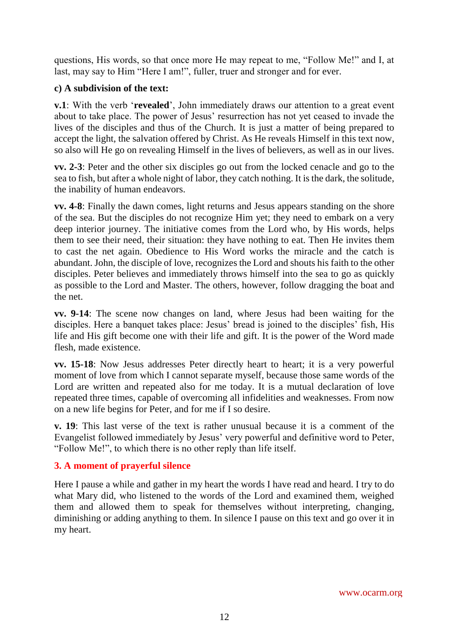questions, His words, so that once more He may repeat to me, "Follow Me!" and I, at last, may say to Him "Here I am!", fuller, truer and stronger and for ever.

#### **c) A subdivision of the text:**

**v.1**: With the verb '**revealed**', John immediately draws our attention to a great event about to take place. The power of Jesus' resurrection has not yet ceased to invade the lives of the disciples and thus of the Church. It is just a matter of being prepared to accept the light, the salvation offered by Christ. As He reveals Himself in this text now, so also will He go on revealing Himself in the lives of believers, as well as in our lives.

**vv. 2-3**: Peter and the other six disciples go out from the locked cenacle and go to the sea to fish, but after a whole night of labor, they catch nothing. It is the dark, the solitude, the inability of human endeavors.

**vv. 4-8**: Finally the dawn comes, light returns and Jesus appears standing on the shore of the sea. But the disciples do not recognize Him yet; they need to embark on a very deep interior journey. The initiative comes from the Lord who, by His words, helps them to see their need, their situation: they have nothing to eat. Then He invites them to cast the net again. Obedience to His Word works the miracle and the catch is abundant. John, the disciple of love, recognizes the Lord and shouts his faith to the other disciples. Peter believes and immediately throws himself into the sea to go as quickly as possible to the Lord and Master. The others, however, follow dragging the boat and the net.

**vv. 9-14**: The scene now changes on land, where Jesus had been waiting for the disciples. Here a banquet takes place: Jesus' bread is joined to the disciples' fish, His life and His gift become one with their life and gift. It is the power of the Word made flesh, made existence.

**vv. 15-18**: Now Jesus addresses Peter directly heart to heart; it is a very powerful moment of love from which I cannot separate myself, because those same words of the Lord are written and repeated also for me today. It is a mutual declaration of love repeated three times, capable of overcoming all infidelities and weaknesses. From now on a new life begins for Peter, and for me if I so desire.

**v. 19**: This last verse of the text is rather unusual because it is a comment of the Evangelist followed immediately by Jesus' very powerful and definitive word to Peter, "Follow Me!", to which there is no other reply than life itself.

## **3. A moment of prayerful silence**

Here I pause a while and gather in my heart the words I have read and heard. I try to do what Mary did, who listened to the words of the Lord and examined them, weighed them and allowed them to speak for themselves without interpreting, changing, diminishing or adding anything to them. In silence I pause on this text and go over it in my heart.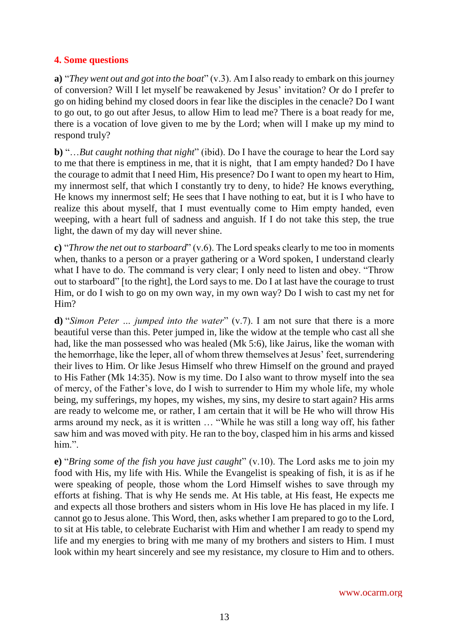## **4. Some questions**

**a)** "*They went out and got into the boat*" (v.3). Am I also ready to embark on this journey of conversion? Will I let myself be reawakened by Jesus' invitation? Or do I prefer to go on hiding behind my closed doors in fear like the disciples in the cenacle? Do I want to go out, to go out after Jesus, to allow Him to lead me? There is a boat ready for me, there is a vocation of love given to me by the Lord; when will I make up my mind to respond truly?

**b)** "…*But caught nothing that night*" (ibid). Do I have the courage to hear the Lord say to me that there is emptiness in me, that it is night, that I am empty handed? Do I have the courage to admit that I need Him, His presence? Do I want to open my heart to Him, my innermost self, that which I constantly try to deny, to hide? He knows everything, He knows my innermost self; He sees that I have nothing to eat, but it is I who have to realize this about myself, that I must eventually come to Him empty handed, even weeping, with a heart full of sadness and anguish. If I do not take this step, the true light, the dawn of my day will never shine.

**c)** "*Throw the net out to starboard*" (v.6). The Lord speaks clearly to me too in moments when, thanks to a person or a prayer gathering or a Word spoken, I understand clearly what I have to do. The command is very clear; I only need to listen and obey. "Throw out to starboard" [to the right], the Lord says to me. Do I at last have the courage to trust Him, or do I wish to go on my own way, in my own way? Do I wish to cast my net for Him?

**d)** "*Simon Peter … jumped into the water*" (v.7). I am not sure that there is a more beautiful verse than this. Peter jumped in, like the widow at the temple who cast all she had, like the man possessed who was healed (Mk 5:6), like Jairus, like the woman with the hemorrhage, like the leper, all of whom threw themselves at Jesus' feet, surrendering their lives to Him. Or like Jesus Himself who threw Himself on the ground and prayed to His Father (Mk 14:35). Now is my time. Do I also want to throw myself into the sea of mercy, of the Father's love, do I wish to surrender to Him my whole life, my whole being, my sufferings, my hopes, my wishes, my sins, my desire to start again? His arms are ready to welcome me, or rather, I am certain that it will be He who will throw His arms around my neck, as it is written … "While he was still a long way off, his father saw him and was moved with pity. He ran to the boy, clasped him in his arms and kissed him.".

**e)** "*Bring some of the fish you have just caught*" (v.10). The Lord asks me to join my food with His, my life with His. While the Evangelist is speaking of fish, it is as if he were speaking of people, those whom the Lord Himself wishes to save through my efforts at fishing. That is why He sends me. At His table, at His feast, He expects me and expects all those brothers and sisters whom in His love He has placed in my life. I cannot go to Jesus alone. This Word, then, asks whether I am prepared to go to the Lord, to sit at His table, to celebrate Eucharist with Him and whether I am ready to spend my life and my energies to bring with me many of my brothers and sisters to Him. I must look within my heart sincerely and see my resistance, my closure to Him and to others.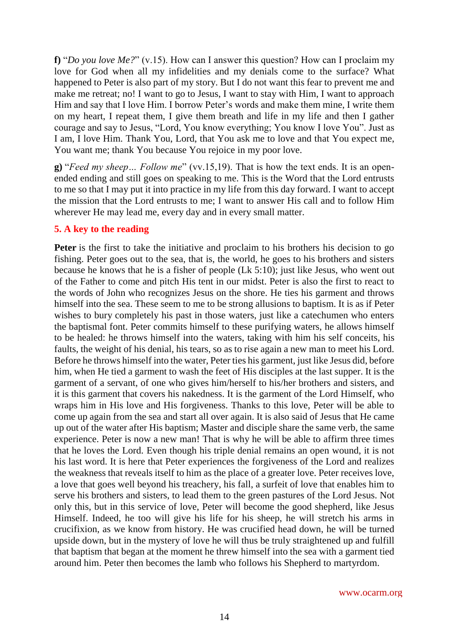**f)** "*Do you love Me?*" (v.15). How can I answer this question? How can I proclaim my love for God when all my infidelities and my denials come to the surface? What happened to Peter is also part of my story. But I do not want this fear to prevent me and make me retreat; no! I want to go to Jesus, I want to stay with Him, I want to approach Him and say that I love Him. I borrow Peter's words and make them mine, I write them on my heart, I repeat them, I give them breath and life in my life and then I gather courage and say to Jesus, "Lord, You know everything; You know I love You". Just as I am, I love Him. Thank You, Lord, that You ask me to love and that You expect me, You want me; thank You because You rejoice in my poor love.

**g)** "*Feed my sheep… Follow me*" (vv.15,19). That is how the text ends. It is an openended ending and still goes on speaking to me. This is the Word that the Lord entrusts to me so that I may put it into practice in my life from this day forward. I want to accept the mission that the Lord entrusts to me; I want to answer His call and to follow Him wherever He may lead me, every day and in every small matter.

#### **5. A key to the reading**

**Peter** is the first to take the initiative and proclaim to his brothers his decision to go fishing. Peter goes out to the sea, that is, the world, he goes to his brothers and sisters because he knows that he is a fisher of people (Lk 5:10); just like Jesus, who went out of the Father to come and pitch His tent in our midst. Peter is also the first to react to the words of John who recognizes Jesus on the shore. He ties his garment and throws himself into the sea. These seem to me to be strong allusions to baptism. It is as if Peter wishes to bury completely his past in those waters, just like a catechumen who enters the baptismal font. Peter commits himself to these purifying waters, he allows himself to be healed: he throws himself into the waters, taking with him his self conceits, his faults, the weight of his denial, his tears, so as to rise again a new man to meet his Lord. Before he throws himself into the water, Peter ties his garment, just like Jesus did, before him, when He tied a garment to wash the feet of His disciples at the last supper. It is the garment of a servant, of one who gives him/herself to his/her brothers and sisters, and it is this garment that covers his nakedness. It is the garment of the Lord Himself, who wraps him in His love and His forgiveness. Thanks to this love, Peter will be able to come up again from the sea and start all over again. It is also said of Jesus that He came up out of the water after His baptism; Master and disciple share the same verb, the same experience. Peter is now a new man! That is why he will be able to affirm three times that he loves the Lord. Even though his triple denial remains an open wound, it is not his last word. It is here that Peter experiences the forgiveness of the Lord and realizes the weakness that reveals itself to him as the place of a greater love. Peter receives love, a love that goes well beyond his treachery, his fall, a surfeit of love that enables him to serve his brothers and sisters, to lead them to the green pastures of the Lord Jesus. Not only this, but in this service of love, Peter will become the good shepherd, like Jesus Himself. Indeed, he too will give his life for his sheep, he will stretch his arms in crucifixion, as we know from history. He was crucified head down, he will be turned upside down, but in the mystery of love he will thus be truly straightened up and fulfill that baptism that began at the moment he threw himself into the sea with a garment tied around him. Peter then becomes the lamb who follows his Shepherd to martyrdom.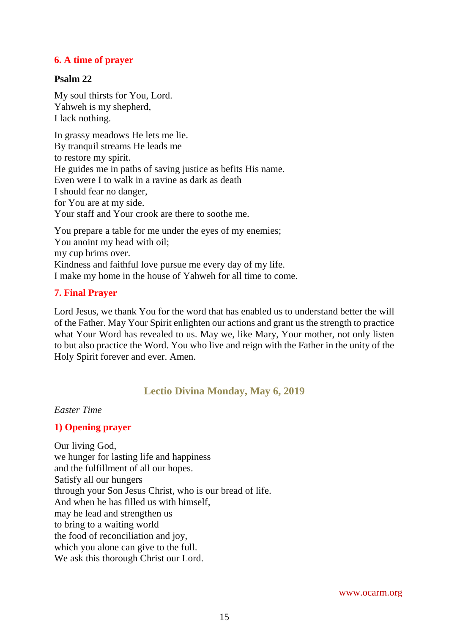## **6. A time of prayer**

#### **Psalm 22**

My soul thirsts for You, Lord. Yahweh is my shepherd, I lack nothing.

In grassy meadows He lets me lie. By tranquil streams He leads me to restore my spirit. He guides me in paths of saving justice as befits His name. Even were I to walk in a ravine as dark as death I should fear no danger, for You are at my side. Your staff and Your crook are there to soothe me.

You prepare a table for me under the eyes of my enemies; You anoint my head with oil; my cup brims over. Kindness and faithful love pursue me every day of my life. I make my home in the house of Yahweh for all time to come.

#### **7. Final Prayer**

Lord Jesus, we thank You for the word that has enabled us to understand better the will of the Father. May Your Spirit enlighten our actions and grant us the strength to practice what Your Word has revealed to us. May we, like Mary, Your mother, not only listen to but also practice the Word. You who live and reign with the Father in the unity of the Holy Spirit forever and ever. Amen.

# **Lectio Divina Monday, May 6, 2019**

#### <span id="page-14-0"></span>*Easter Time*

#### **1) Opening prayer**

Our living God, we hunger for lasting life and happiness and the fulfillment of all our hopes. Satisfy all our hungers through your Son Jesus Christ, who is our bread of life. And when he has filled us with himself, may he lead and strengthen us to bring to a waiting world the food of reconciliation and joy, which you alone can give to the full. We ask this thorough Christ our Lord.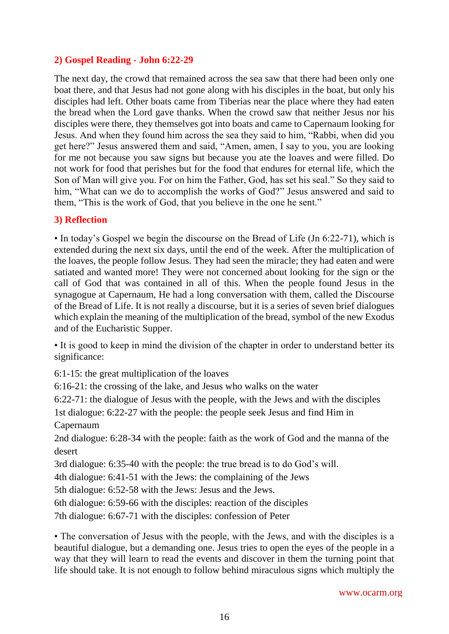## **2) Gospel Reading - John 6:22-29**

The next day, the crowd that remained across the sea saw that there had been only one boat there, and that Jesus had not gone along with his disciples in the boat, but only his disciples had left. Other boats came from Tiberias near the place where they had eaten the bread when the Lord gave thanks. When the crowd saw that neither Jesus nor his disciples were there, they themselves got into boats and came to Capernaum looking for Jesus. And when they found him across the sea they said to him, "Rabbi, when did you get here?" Jesus answered them and said, "Amen, amen, I say to you, you are looking for me not because you saw signs but because you ate the loaves and were filled. Do not work for food that perishes but for the food that endures for eternal life, which the Son of Man will give you. For on him the Father, God, has set his seal." So they said to him, "What can we do to accomplish the works of God?" Jesus answered and said to them, "This is the work of God, that you believe in the one he sent."

#### **3) Reflection**

• In today's Gospel we begin the discourse on the Bread of Life (Jn 6:22-71), which is extended during the next six days, until the end of the week. After the multiplication of the loaves, the people follow Jesus. They had seen the miracle; they had eaten and were satiated and wanted more! They were not concerned about looking for the sign or the call of God that was contained in all of this. When the people found Jesus in the synagogue at Capernaum, He had a long conversation with them, called the Discourse of the Bread of Life. It is not really a discourse, but it is a series of seven brief dialogues which explain the meaning of the multiplication of the bread, symbol of the new Exodus and of the Eucharistic Supper.

• It is good to keep in mind the division of the chapter in order to understand better its significance:

6:1-15: the great multiplication of the loaves

6:16-21: the crossing of the lake, and Jesus who walks on the water

6:22-71: the dialogue of Jesus with the people, with the Jews and with the disciples

1st dialogue: 6:22-27 with the people: the people seek Jesus and find Him in Capernaum

2nd dialogue: 6:28-34 with the people: faith as the work of God and the manna of the desert

3rd dialogue: 6:35-40 with the people: the true bread is to do God's will.

4th dialogue: 6:41-51 with the Jews: the complaining of the Jews

5th dialogue: 6:52-58 with the Jews: Jesus and the Jews.

6th dialogue: 6:59-66 with the disciples: reaction of the disciples

7th dialogue: 6:67-71 with the disciples: confession of Peter

• The conversation of Jesus with the people, with the Jews, and with the disciples is a beautiful dialogue, but a demanding one. Jesus tries to open the eyes of the people in a way that they will learn to read the events and discover in them the turning point that life should take. It is not enough to follow behind miraculous signs which multiply the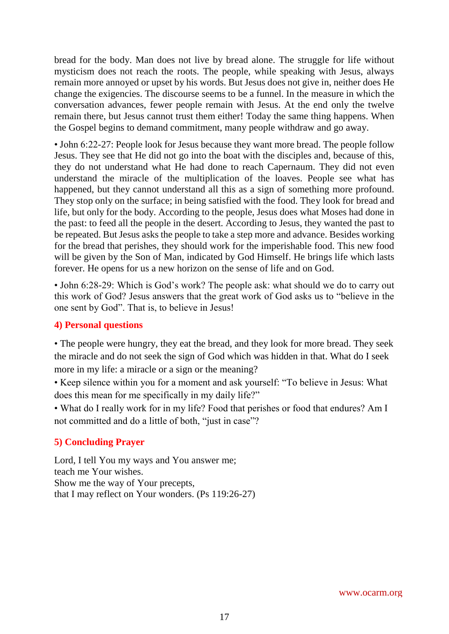bread for the body. Man does not live by bread alone. The struggle for life without mysticism does not reach the roots. The people, while speaking with Jesus, always remain more annoyed or upset by his words. But Jesus does not give in, neither does He change the exigencies. The discourse seems to be a funnel. In the measure in which the conversation advances, fewer people remain with Jesus. At the end only the twelve remain there, but Jesus cannot trust them either! Today the same thing happens. When the Gospel begins to demand commitment, many people withdraw and go away.

• John 6:22-27: People look for Jesus because they want more bread. The people follow Jesus. They see that He did not go into the boat with the disciples and, because of this, they do not understand what He had done to reach Capernaum. They did not even understand the miracle of the multiplication of the loaves. People see what has happened, but they cannot understand all this as a sign of something more profound. They stop only on the surface; in being satisfied with the food. They look for bread and life, but only for the body. According to the people, Jesus does what Moses had done in the past: to feed all the people in the desert. According to Jesus, they wanted the past to be repeated. But Jesus asks the people to take a step more and advance. Besides working for the bread that perishes, they should work for the imperishable food. This new food will be given by the Son of Man, indicated by God Himself. He brings life which lasts forever. He opens for us a new horizon on the sense of life and on God.

• John 6:28-29: Which is God's work? The people ask: what should we do to carry out this work of God? Jesus answers that the great work of God asks us to "believe in the one sent by God". That is, to believe in Jesus!

## **4) Personal questions**

• The people were hungry, they eat the bread, and they look for more bread. They seek the miracle and do not seek the sign of God which was hidden in that. What do I seek more in my life: a miracle or a sign or the meaning?

• Keep silence within you for a moment and ask yourself: "To believe in Jesus: What does this mean for me specifically in my daily life?"

• What do I really work for in my life? Food that perishes or food that endures? Am I not committed and do a little of both, "just in case"?

# **5) Concluding Prayer**

Lord, I tell You my ways and You answer me; teach me Your wishes. Show me the way of Your precepts, that I may reflect on Your wonders. (Ps 119:26-27)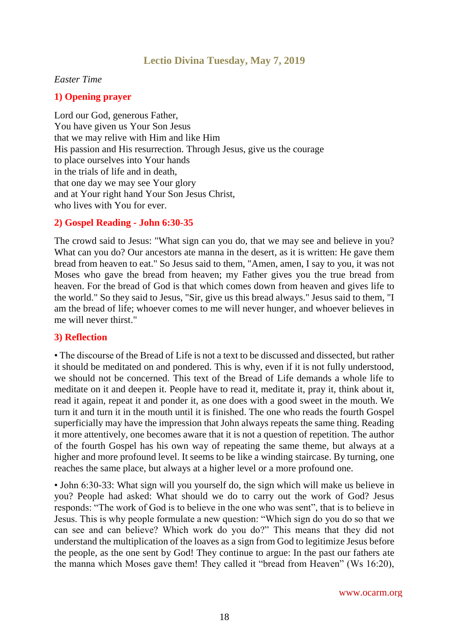## **Lectio Divina Tuesday, May 7, 2019**

#### <span id="page-17-0"></span>*Easter Time*

#### **1) Opening prayer**

Lord our God, generous Father, You have given us Your Son Jesus that we may relive with Him and like Him His passion and His resurrection. Through Jesus, give us the courage to place ourselves into Your hands in the trials of life and in death, that one day we may see Your glory and at Your right hand Your Son Jesus Christ, who lives with You for ever.

#### **2) Gospel Reading - John 6:30-35**

The crowd said to Jesus: "What sign can you do, that we may see and believe in you? What can you do? Our ancestors ate manna in the desert, as it is written: He gave them bread from heaven to eat." So Jesus said to them, "Amen, amen, I say to you, it was not Moses who gave the bread from heaven; my Father gives you the true bread from heaven. For the bread of God is that which comes down from heaven and gives life to the world." So they said to Jesus, "Sir, give us this bread always." Jesus said to them, "I am the bread of life; whoever comes to me will never hunger, and whoever believes in me will never thirst."

#### **3) Reflection**

• The discourse of the Bread of Life is not a text to be discussed and dissected, but rather it should be meditated on and pondered. This is why, even if it is not fully understood, we should not be concerned. This text of the Bread of Life demands a whole life to meditate on it and deepen it. People have to read it, meditate it, pray it, think about it, read it again, repeat it and ponder it, as one does with a good sweet in the mouth. We turn it and turn it in the mouth until it is finished. The one who reads the fourth Gospel superficially may have the impression that John always repeats the same thing. Reading it more attentively, one becomes aware that it is not a question of repetition. The author of the fourth Gospel has his own way of repeating the same theme, but always at a higher and more profound level. It seems to be like a winding staircase. By turning, one reaches the same place, but always at a higher level or a more profound one.

• John 6:30-33: What sign will you yourself do, the sign which will make us believe in you? People had asked: What should we do to carry out the work of God? Jesus responds: "The work of God is to believe in the one who was sent", that is to believe in Jesus. This is why people formulate a new question: "Which sign do you do so that we can see and can believe? Which work do you do?" This means that they did not understand the multiplication of the loaves as a sign from God to legitimize Jesus before the people, as the one sent by God! They continue to argue: In the past our fathers ate the manna which Moses gave them! They called it "bread from Heaven" (Ws 16:20),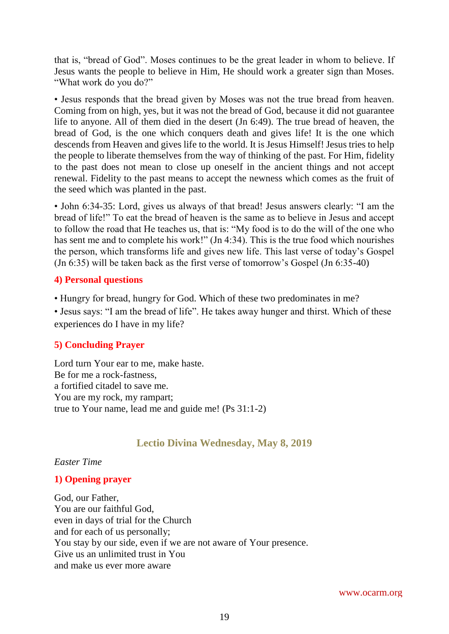that is, "bread of God". Moses continues to be the great leader in whom to believe. If Jesus wants the people to believe in Him, He should work a greater sign than Moses. "What work do you do?"

• Jesus responds that the bread given by Moses was not the true bread from heaven. Coming from on high, yes, but it was not the bread of God, because it did not guarantee life to anyone. All of them died in the desert (Jn 6:49). The true bread of heaven, the bread of God, is the one which conquers death and gives life! It is the one which descends from Heaven and gives life to the world. It is Jesus Himself! Jesus tries to help the people to liberate themselves from the way of thinking of the past. For Him, fidelity to the past does not mean to close up oneself in the ancient things and not accept renewal. Fidelity to the past means to accept the newness which comes as the fruit of the seed which was planted in the past.

• John 6:34-35: Lord, gives us always of that bread! Jesus answers clearly: "I am the bread of life!" To eat the bread of heaven is the same as to believe in Jesus and accept to follow the road that He teaches us, that is: "My food is to do the will of the one who has sent me and to complete his work!" (Jn 4:34). This is the true food which nourishes the person, which transforms life and gives new life. This last verse of today's Gospel (Jn 6:35) will be taken back as the first verse of tomorrow's Gospel (Jn 6:35-40)

#### **4) Personal questions**

• Hungry for bread, hungry for God. Which of these two predominates in me?

• Jesus says: "I am the bread of life". He takes away hunger and thirst. Which of these experiences do I have in my life?

## **5) Concluding Prayer**

Lord turn Your ear to me, make haste. Be for me a rock-fastness, a fortified citadel to save me. You are my rock, my rampart; true to Your name, lead me and guide me! (Ps 31:1-2)

# **Lectio Divina Wednesday, May 8, 2019**

#### <span id="page-18-0"></span>*Easter Time*

## **1) Opening prayer**

God, our Father, You are our faithful God, even in days of trial for the Church and for each of us personally; You stay by our side, even if we are not aware of Your presence. Give us an unlimited trust in You and make us ever more aware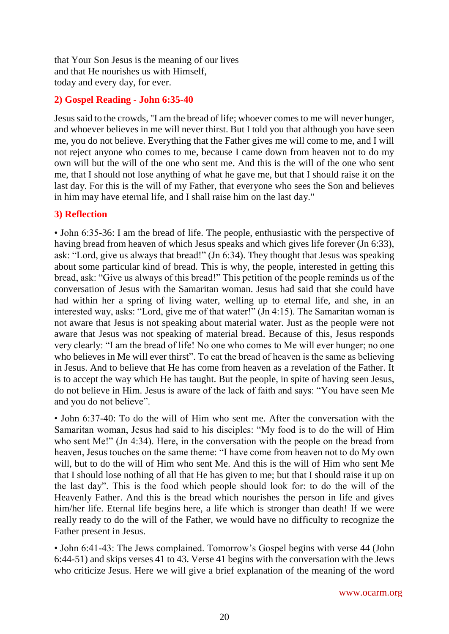that Your Son Jesus is the meaning of our lives and that He nourishes us with Himself, today and every day, for ever.

## **2) Gospel Reading - John 6:35-40**

Jesus said to the crowds, "I am the bread of life; whoever comes to me will never hunger, and whoever believes in me will never thirst. But I told you that although you have seen me, you do not believe. Everything that the Father gives me will come to me, and I will not reject anyone who comes to me, because I came down from heaven not to do my own will but the will of the one who sent me. And this is the will of the one who sent me, that I should not lose anything of what he gave me, but that I should raise it on the last day. For this is the will of my Father, that everyone who sees the Son and believes in him may have eternal life, and I shall raise him on the last day."

## **3) Reflection**

• John 6:35-36: I am the bread of life. The people, enthusiastic with the perspective of having bread from heaven of which Jesus speaks and which gives life forever (Jn 6:33), ask: "Lord, give us always that bread!" (Jn 6:34). They thought that Jesus was speaking about some particular kind of bread. This is why, the people, interested in getting this bread, ask: "Give us always of this bread!" This petition of the people reminds us of the conversation of Jesus with the Samaritan woman. Jesus had said that she could have had within her a spring of living water, welling up to eternal life, and she, in an interested way, asks: "Lord, give me of that water!" (Jn 4:15). The Samaritan woman is not aware that Jesus is not speaking about material water. Just as the people were not aware that Jesus was not speaking of material bread. Because of this, Jesus responds very clearly: "I am the bread of life! No one who comes to Me will ever hunger; no one who believes in Me will ever thirst". To eat the bread of heaven is the same as believing in Jesus. And to believe that He has come from heaven as a revelation of the Father. It is to accept the way which He has taught. But the people, in spite of having seen Jesus, do not believe in Him. Jesus is aware of the lack of faith and says: "You have seen Me and you do not believe".

• John 6:37-40: To do the will of Him who sent me. After the conversation with the Samaritan woman, Jesus had said to his disciples: "My food is to do the will of Him who sent Me!" (Jn 4:34). Here, in the conversation with the people on the bread from heaven, Jesus touches on the same theme: "I have come from heaven not to do My own will, but to do the will of Him who sent Me. And this is the will of Him who sent Me that I should lose nothing of all that He has given to me; but that I should raise it up on the last day". This is the food which people should look for: to do the will of the Heavenly Father. And this is the bread which nourishes the person in life and gives him/her life. Eternal life begins here, a life which is stronger than death! If we were really ready to do the will of the Father, we would have no difficulty to recognize the Father present in Jesus.

• John 6:41-43: The Jews complained. Tomorrow's Gospel begins with verse 44 (John 6:44-51) and skips verses 41 to 43. Verse 41 begins with the conversation with the Jews who criticize Jesus. Here we will give a brief explanation of the meaning of the word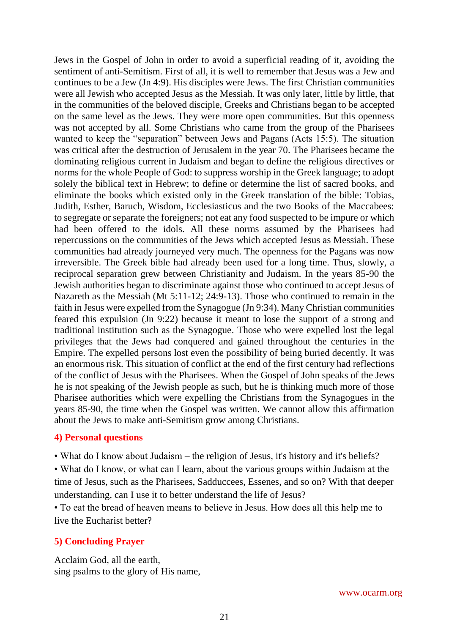Jews in the Gospel of John in order to avoid a superficial reading of it, avoiding the sentiment of anti-Semitism. First of all, it is well to remember that Jesus was a Jew and continues to be a Jew (Jn 4:9). His disciples were Jews. The first Christian communities were all Jewish who accepted Jesus as the Messiah. It was only later, little by little, that in the communities of the beloved disciple, Greeks and Christians began to be accepted on the same level as the Jews. They were more open communities. But this openness was not accepted by all. Some Christians who came from the group of the Pharisees wanted to keep the "separation" between Jews and Pagans (Acts 15:5). The situation was critical after the destruction of Jerusalem in the year 70. The Pharisees became the dominating religious current in Judaism and began to define the religious directives or norms for the whole People of God: to suppress worship in the Greek language; to adopt solely the biblical text in Hebrew; to define or determine the list of sacred books, and eliminate the books which existed only in the Greek translation of the bible: Tobias, Judith, Esther, Baruch, Wisdom, Ecclesiasticus and the two Books of the Maccabees: to segregate or separate the foreigners; not eat any food suspected to be impure or which had been offered to the idols. All these norms assumed by the Pharisees had repercussions on the communities of the Jews which accepted Jesus as Messiah. These communities had already journeyed very much. The openness for the Pagans was now irreversible. The Greek bible had already been used for a long time. Thus, slowly, a reciprocal separation grew between Christianity and Judaism. In the years 85-90 the Jewish authorities began to discriminate against those who continued to accept Jesus of Nazareth as the Messiah (Mt 5:11-12; 24:9-13). Those who continued to remain in the faith in Jesus were expelled from the Synagogue (Jn 9:34). Many Christian communities feared this expulsion (Jn 9:22) because it meant to lose the support of a strong and traditional institution such as the Synagogue. Those who were expelled lost the legal privileges that the Jews had conquered and gained throughout the centuries in the Empire. The expelled persons lost even the possibility of being buried decently. It was an enormous risk. This situation of conflict at the end of the first century had reflections of the conflict of Jesus with the Pharisees. When the Gospel of John speaks of the Jews he is not speaking of the Jewish people as such, but he is thinking much more of those Pharisee authorities which were expelling the Christians from the Synagogues in the years 85-90, the time when the Gospel was written. We cannot allow this affirmation about the Jews to make anti-Semitism grow among Christians.

#### **4) Personal questions**

• What do I know about Judaism – the religion of Jesus, it's history and it's beliefs?

• What do I know, or what can I learn, about the various groups within Judaism at the time of Jesus, such as the Pharisees, Sadduccees, Essenes, and so on? With that deeper understanding, can I use it to better understand the life of Jesus?

• To eat the bread of heaven means to believe in Jesus. How does all this help me to live the Eucharist better?

## **5) Concluding Prayer**

Acclaim God, all the earth, sing psalms to the glory of His name,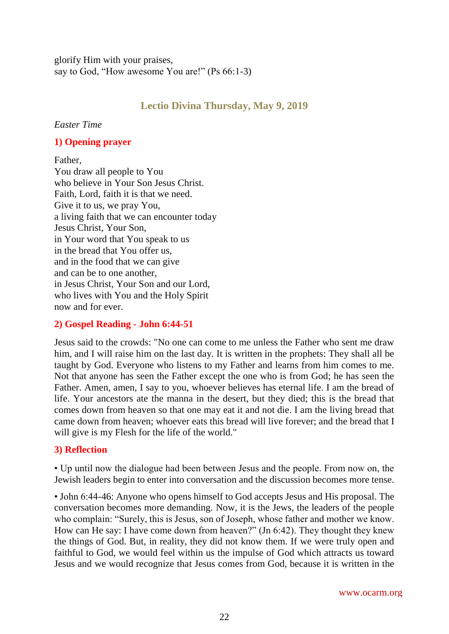glorify Him with your praises, say to God, "How awesome You are!" (Ps 66:1-3)

#### **Lectio Divina Thursday, May 9, 2019**

<span id="page-21-0"></span>*Easter Time*

#### **1) Opening prayer**

Father,

You draw all people to You who believe in Your Son Jesus Christ. Faith, Lord, faith it is that we need. Give it to us, we pray You, a living faith that we can encounter today Jesus Christ, Your Son, in Your word that You speak to us in the bread that You offer us, and in the food that we can give and can be to one another, in Jesus Christ, Your Son and our Lord, who lives with You and the Holy Spirit now and for ever.

## **2) Gospel Reading - John 6:44-51**

Jesus said to the crowds: "No one can come to me unless the Father who sent me draw him, and I will raise him on the last day. It is written in the prophets: They shall all be taught by God. Everyone who listens to my Father and learns from him comes to me. Not that anyone has seen the Father except the one who is from God; he has seen the Father. Amen, amen, I say to you, whoever believes has eternal life. I am the bread of life. Your ancestors ate the manna in the desert, but they died; this is the bread that comes down from heaven so that one may eat it and not die. I am the living bread that came down from heaven; whoever eats this bread will live forever; and the bread that I will give is my Flesh for the life of the world."

#### **3) Reflection**

• Up until now the dialogue had been between Jesus and the people. From now on, the Jewish leaders begin to enter into conversation and the discussion becomes more tense.

• John 6:44-46: Anyone who opens himself to God accepts Jesus and His proposal. The conversation becomes more demanding. Now, it is the Jews, the leaders of the people who complain: "Surely, this is Jesus, son of Joseph, whose father and mother we know. How can He say: I have come down from heaven?" (Jn 6:42). They thought they knew the things of God. But, in reality, they did not know them. If we were truly open and faithful to God, we would feel within us the impulse of God which attracts us toward Jesus and we would recognize that Jesus comes from God, because it is written in the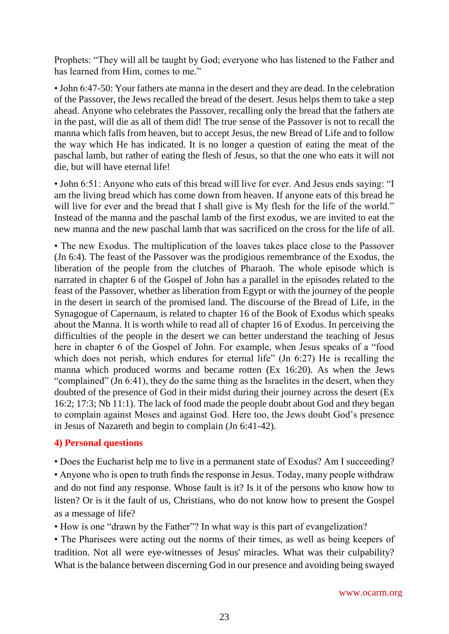Prophets: "They will all be taught by God; everyone who has listened to the Father and has learned from Him, comes to me."

• John 6:47-50: Your fathers ate manna in the desert and they are dead. In the celebration of the Passover, the Jews recalled the bread of the desert. Jesus helps them to take a step ahead. Anyone who celebrates the Passover, recalling only the bread that the fathers ate in the past, will die as all of them did! The true sense of the Passover is not to recall the manna which falls from heaven, but to accept Jesus, the new Bread of Life and to follow the way which He has indicated. It is no longer a question of eating the meat of the paschal lamb, but rather of eating the flesh of Jesus, so that the one who eats it will not die, but will have eternal life!

• John 6:51: Anyone who eats of this bread will live for ever. And Jesus ends saying: "I am the living bread which has come down from heaven. If anyone eats of this bread he will live for ever and the bread that I shall give is My flesh for the life of the world." Instead of the manna and the paschal lamb of the first exodus, we are invited to eat the new manna and the new paschal lamb that was sacrificed on the cross for the life of all.

• The new Exodus. The multiplication of the loaves takes place close to the Passover (Jn 6:4). The feast of the Passover was the prodigious remembrance of the Exodus, the liberation of the people from the clutches of Pharaoh. The whole episode which is narrated in chapter 6 of the Gospel of John has a parallel in the episodes related to the feast of the Passover, whether as liberation from Egypt or with the journey of the people in the desert in search of the promised land. The discourse of the Bread of Life, in the Synagogue of Capernaum, is related to chapter 16 of the Book of Exodus which speaks about the Manna. It is worth while to read all of chapter 16 of Exodus. In perceiving the difficulties of the people in the desert we can better understand the teaching of Jesus here in chapter 6 of the Gospel of John. For example, when Jesus speaks of a "food which does not perish, which endures for eternal life" (Jn 6:27) He is recalling the manna which produced worms and became rotten (Ex 16:20). As when the Jews "complained" (Jn 6:41), they do the same thing as the Israelites in the desert, when they doubted of the presence of God in their midst during their journey across the desert (Ex 16:2; 17:3; Nb 11:1). The lack of food made the people doubt about God and they began to complain against Moses and against God. Here too, the Jews doubt God's presence in Jesus of Nazareth and begin to complain (Jn 6:41-42).

## **4) Personal questions**

• Does the Eucharist help me to live in a permanent state of Exodus? Am I succeeding? • Anyone who is open to truth finds the response in Jesus. Today, many people withdraw and do not find any response. Whose fault is it? Is it of the persons who know how to listen? Or is it the fault of us, Christians, who do not know how to present the Gospel as a message of life?

• How is one "drawn by the Father"? In what way is this part of evangelization?

• The Pharisees were acting out the norms of their times, as well as being keepers of tradition. Not all were eye-witnesses of Jesus' miracles. What was their culpability? What is the balance between discerning God in our presence and avoiding being swayed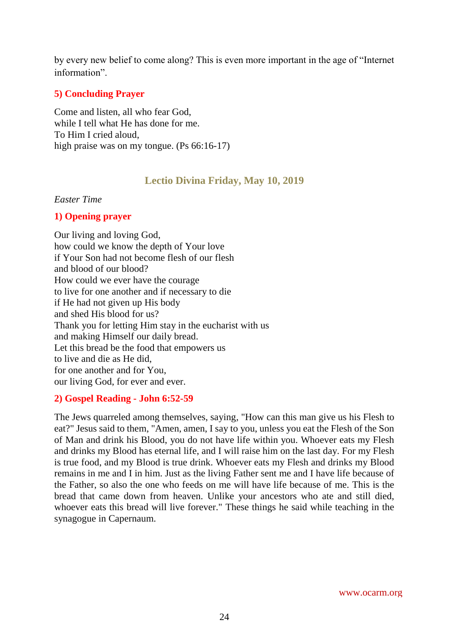by every new belief to come along? This is even more important in the age of "Internet information".

## **5) Concluding Prayer**

Come and listen, all who fear God, while I tell what He has done for me. To Him I cried aloud, high praise was on my tongue. (Ps 66:16-17)

# **Lectio Divina Friday, May 10, 2019**

#### <span id="page-23-0"></span>*Easter Time*

## **1) Opening prayer**

Our living and loving God, how could we know the depth of Your love if Your Son had not become flesh of our flesh and blood of our blood? How could we ever have the courage to live for one another and if necessary to die if He had not given up His body and shed His blood for us? Thank you for letting Him stay in the eucharist with us and making Himself our daily bread. Let this bread be the food that empowers us to live and die as He did, for one another and for You, our living God, for ever and ever.

## **2) Gospel Reading - John 6:52-59**

The Jews quarreled among themselves, saying, "How can this man give us his Flesh to eat?" Jesus said to them, "Amen, amen, I say to you, unless you eat the Flesh of the Son of Man and drink his Blood, you do not have life within you. Whoever eats my Flesh and drinks my Blood has eternal life, and I will raise him on the last day. For my Flesh is true food, and my Blood is true drink. Whoever eats my Flesh and drinks my Blood remains in me and I in him. Just as the living Father sent me and I have life because of the Father, so also the one who feeds on me will have life because of me. This is the bread that came down from heaven. Unlike your ancestors who ate and still died, whoever eats this bread will live forever." These things he said while teaching in the synagogue in Capernaum.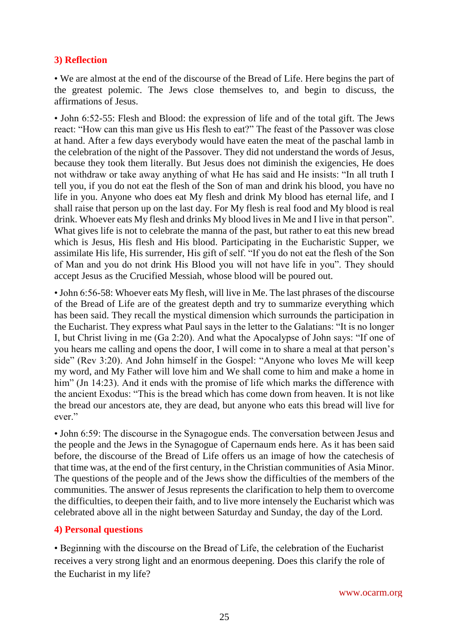## **3) Reflection**

• We are almost at the end of the discourse of the Bread of Life. Here begins the part of the greatest polemic. The Jews close themselves to, and begin to discuss, the affirmations of Jesus.

• John 6:52-55: Flesh and Blood: the expression of life and of the total gift. The Jews react: "How can this man give us His flesh to eat?" The feast of the Passover was close at hand. After a few days everybody would have eaten the meat of the paschal lamb in the celebration of the night of the Passover. They did not understand the words of Jesus, because they took them literally. But Jesus does not diminish the exigencies, He does not withdraw or take away anything of what He has said and He insists: "In all truth I tell you, if you do not eat the flesh of the Son of man and drink his blood, you have no life in you. Anyone who does eat My flesh and drink My blood has eternal life, and I shall raise that person up on the last day. For My flesh is real food and My blood is real drink. Whoever eats My flesh and drinks My blood lives in Me and I live in that person". What gives life is not to celebrate the manna of the past, but rather to eat this new bread which is Jesus, His flesh and His blood. Participating in the Eucharistic Supper, we assimilate His life, His surrender, His gift of self. "If you do not eat the flesh of the Son of Man and you do not drink His Blood you will not have life in you". They should accept Jesus as the Crucified Messiah, whose blood will be poured out.

• John 6:56-58: Whoever eats My flesh, will live in Me. The last phrases of the discourse of the Bread of Life are of the greatest depth and try to summarize everything which has been said. They recall the mystical dimension which surrounds the participation in the Eucharist. They express what Paul says in the letter to the Galatians: "It is no longer I, but Christ living in me (Ga 2:20). And what the Apocalypse of John says: "If one of you hears me calling and opens the door, I will come in to share a meal at that person's side" (Rev 3:20). And John himself in the Gospel: "Anyone who loves Me will keep my word, and My Father will love him and We shall come to him and make a home in him" (Jn 14:23). And it ends with the promise of life which marks the difference with the ancient Exodus: "This is the bread which has come down from heaven. It is not like the bread our ancestors ate, they are dead, but anyone who eats this bread will live for ever."

• John 6:59: The discourse in the Synagogue ends. The conversation between Jesus and the people and the Jews in the Synagogue of Capernaum ends here. As it has been said before, the discourse of the Bread of Life offers us an image of how the catechesis of that time was, at the end of the first century, in the Christian communities of Asia Minor. The questions of the people and of the Jews show the difficulties of the members of the communities. The answer of Jesus represents the clarification to help them to overcome the difficulties, to deepen their faith, and to live more intensely the Eucharist which was celebrated above all in the night between Saturday and Sunday, the day of the Lord.

## **4) Personal questions**

• Beginning with the discourse on the Bread of Life, the celebration of the Eucharist receives a very strong light and an enormous deepening. Does this clarify the role of the Eucharist in my life?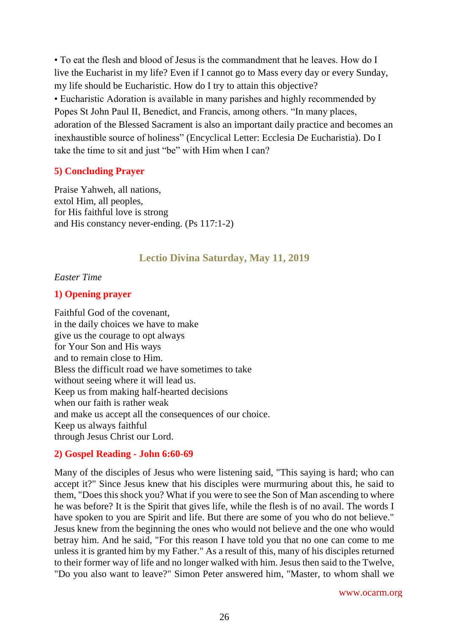• To eat the flesh and blood of Jesus is the commandment that he leaves. How do I live the Eucharist in my life? Even if I cannot go to Mass every day or every Sunday, my life should be Eucharistic. How do I try to attain this objective? • Eucharistic Adoration is available in many parishes and highly recommended by Popes St John Paul II, Benedict, and Francis, among others. "In many places, adoration of the Blessed Sacrament is also an important daily practice and becomes an inexhaustible source of holiness" (Encyclical Letter: Ecclesia De Eucharistia). Do I take the time to sit and just "be" with Him when I can?

#### **5) Concluding Prayer**

Praise Yahweh, all nations, extol Him, all peoples, for His faithful love is strong and His constancy never-ending. (Ps 117:1-2)

#### **Lectio Divina Saturday, May 11, 2019**

#### <span id="page-25-0"></span>*Easter Time*

#### **1) Opening prayer**

Faithful God of the covenant, in the daily choices we have to make give us the courage to opt always for Your Son and His ways and to remain close to Him. Bless the difficult road we have sometimes to take without seeing where it will lead us. Keep us from making half-hearted decisions when our faith is rather weak and make us accept all the consequences of our choice. Keep us always faithful through Jesus Christ our Lord.

#### **2) Gospel Reading - John 6:60-69**

Many of the disciples of Jesus who were listening said, "This saying is hard; who can accept it?" Since Jesus knew that his disciples were murmuring about this, he said to them, "Does this shock you? What if you were to see the Son of Man ascending to where he was before? It is the Spirit that gives life, while the flesh is of no avail. The words I have spoken to you are Spirit and life. But there are some of you who do not believe." Jesus knew from the beginning the ones who would not believe and the one who would betray him. And he said, "For this reason I have told you that no one can come to me unless it is granted him by my Father." As a result of this, many of his disciples returned to their former way of life and no longer walked with him. Jesus then said to the Twelve, "Do you also want to leave?" Simon Peter answered him, "Master, to whom shall we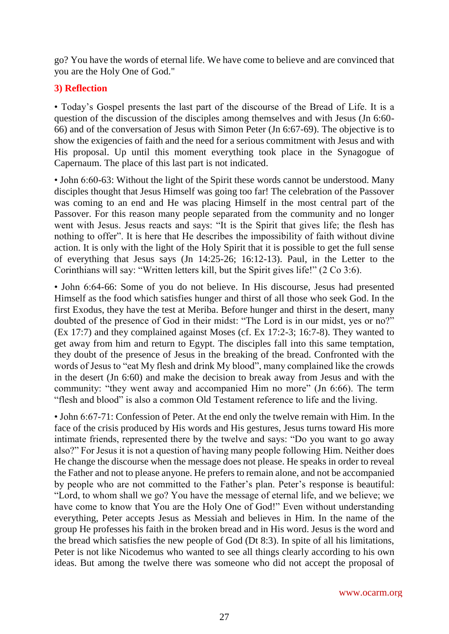go? You have the words of eternal life. We have come to believe and are convinced that you are the Holy One of God."

## **3) Reflection**

• Today's Gospel presents the last part of the discourse of the Bread of Life. It is a question of the discussion of the disciples among themselves and with Jesus (Jn 6:60- 66) and of the conversation of Jesus with Simon Peter (Jn 6:67-69). The objective is to show the exigencies of faith and the need for a serious commitment with Jesus and with His proposal. Up until this moment everything took place in the Synagogue of Capernaum. The place of this last part is not indicated.

• John 6:60-63: Without the light of the Spirit these words cannot be understood. Many disciples thought that Jesus Himself was going too far! The celebration of the Passover was coming to an end and He was placing Himself in the most central part of the Passover. For this reason many people separated from the community and no longer went with Jesus. Jesus reacts and says: "It is the Spirit that gives life; the flesh has nothing to offer". It is here that He describes the impossibility of faith without divine action. It is only with the light of the Holy Spirit that it is possible to get the full sense of everything that Jesus says (Jn 14:25-26; 16:12-13). Paul, in the Letter to the Corinthians will say: "Written letters kill, but the Spirit gives life!" (2 Co 3:6).

• John 6:64-66: Some of you do not believe. In His discourse, Jesus had presented Himself as the food which satisfies hunger and thirst of all those who seek God. In the first Exodus, they have the test at Meriba. Before hunger and thirst in the desert, many doubted of the presence of God in their midst: "The Lord is in our midst, yes or no?" (Ex 17:7) and they complained against Moses (cf. Ex 17:2-3; 16:7-8). They wanted to get away from him and return to Egypt. The disciples fall into this same temptation, they doubt of the presence of Jesus in the breaking of the bread. Confronted with the words of Jesus to "eat My flesh and drink My blood", many complained like the crowds in the desert (Jn 6:60) and make the decision to break away from Jesus and with the community: "they went away and accompanied Him no more" (Jn 6:66). The term "flesh and blood" is also a common Old Testament reference to life and the living.

• John 6:67-71: Confession of Peter. At the end only the twelve remain with Him. In the face of the crisis produced by His words and His gestures, Jesus turns toward His more intimate friends, represented there by the twelve and says: "Do you want to go away also?" For Jesus it is not a question of having many people following Him. Neither does He change the discourse when the message does not please. He speaks in order to reveal the Father and not to please anyone. He prefers to remain alone, and not be accompanied by people who are not committed to the Father's plan. Peter's response is beautiful: "Lord, to whom shall we go? You have the message of eternal life, and we believe; we have come to know that You are the Holy One of God!" Even without understanding everything, Peter accepts Jesus as Messiah and believes in Him. In the name of the group He professes his faith in the broken bread and in His word. Jesus is the word and the bread which satisfies the new people of God (Dt 8:3). In spite of all his limitations, Peter is not like Nicodemus who wanted to see all things clearly according to his own ideas. But among the twelve there was someone who did not accept the proposal of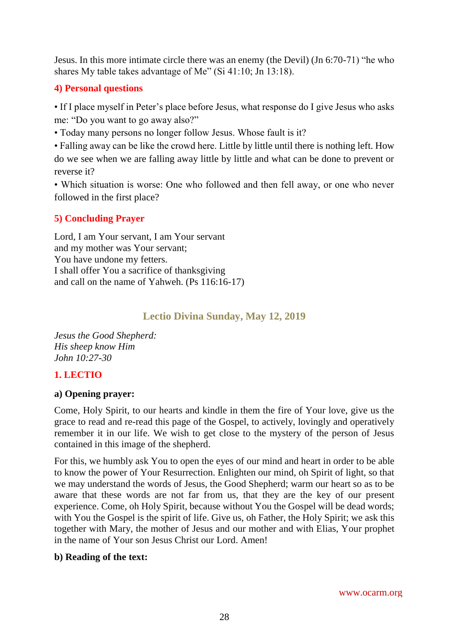Jesus. In this more intimate circle there was an enemy (the Devil) (Jn 6:70-71) "he who shares My table takes advantage of Me" (Si 41:10; Jn 13:18).

## **4) Personal questions**

• If I place myself in Peter's place before Jesus, what response do I give Jesus who asks me: "Do you want to go away also?"

• Today many persons no longer follow Jesus. Whose fault is it?

• Falling away can be like the crowd here. Little by little until there is nothing left. How do we see when we are falling away little by little and what can be done to prevent or reverse it?

• Which situation is worse: One who followed and then fell away, or one who never followed in the first place?

# **5) Concluding Prayer**

Lord, I am Your servant, I am Your servant and my mother was Your servant; You have undone my fetters. I shall offer You a sacrifice of thanksgiving and call on the name of Yahweh. (Ps 116:16-17)

# **Lectio Divina Sunday, May 12, 2019**

<span id="page-27-0"></span>*Jesus the Good Shepherd: His sheep know Him John 10:27-30*

# **1. LECTIO**

## **a) Opening prayer:**

Come, Holy Spirit, to our hearts and kindle in them the fire of Your love, give us the grace to read and re-read this page of the Gospel, to actively, lovingly and operatively remember it in our life. We wish to get close to the mystery of the person of Jesus contained in this image of the shepherd.

For this, we humbly ask You to open the eyes of our mind and heart in order to be able to know the power of Your Resurrection. Enlighten our mind, oh Spirit of light, so that we may understand the words of Jesus, the Good Shepherd; warm our heart so as to be aware that these words are not far from us, that they are the key of our present experience. Come, oh Holy Spirit, because without You the Gospel will be dead words; with You the Gospel is the spirit of life. Give us, oh Father, the Holy Spirit; we ask this together with Mary, the mother of Jesus and our mother and with Elias, Your prophet in the name of Your son Jesus Christ our Lord. Amen!

## **b) Reading of the text:**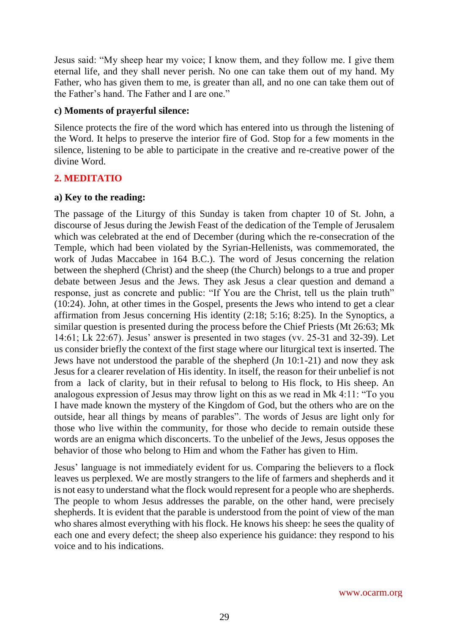Jesus said: "My sheep hear my voice; I know them, and they follow me. I give them eternal life, and they shall never perish. No one can take them out of my hand. My Father, who has given them to me, is greater than all, and no one can take them out of the Father's hand. The Father and I are one."

#### **c) Moments of prayerful silence:**

Silence protects the fire of the word which has entered into us through the listening of the Word. It helps to preserve the interior fire of God. Stop for a few moments in the silence, listening to be able to participate in the creative and re-creative power of the divine Word.

## **2. MEDITATIO**

## **a) Key to the reading:**

The passage of the Liturgy of this Sunday is taken from chapter 10 of St. John, a discourse of Jesus during the Jewish Feast of the dedication of the Temple of Jerusalem which was celebrated at the end of December (during which the re-consecration of the Temple, which had been violated by the Syrian-Hellenists, was commemorated, the work of Judas Maccabee in 164 B.C.). The word of Jesus concerning the relation between the shepherd (Christ) and the sheep (the Church) belongs to a true and proper debate between Jesus and the Jews. They ask Jesus a clear question and demand a response, just as concrete and public: "If You are the Christ, tell us the plain truth" (10:24). John, at other times in the Gospel, presents the Jews who intend to get a clear affirmation from Jesus concerning His identity (2:18; 5:16; 8:25). In the Synoptics, a similar question is presented during the process before the Chief Priests (Mt 26:63; Mk 14:61; Lk 22:67). Jesus' answer is presented in two stages (vv. 25-31 and 32-39). Let us consider briefly the context of the first stage where our liturgical text is inserted. The Jews have not understood the parable of the shepherd (Jn 10:1-21) and now they ask Jesus for a clearer revelation of His identity. In itself, the reason for their unbelief is not from a lack of clarity, but in their refusal to belong to His flock, to His sheep. An analogous expression of Jesus may throw light on this as we read in Mk 4:11: "To you I have made known the mystery of the Kingdom of God, but the others who are on the outside, hear all things by means of parables". The words of Jesus are light only for those who live within the community, for those who decide to remain outside these words are an enigma which disconcerts. To the unbelief of the Jews, Jesus opposes the behavior of those who belong to Him and whom the Father has given to Him.

Jesus' language is not immediately evident for us. Comparing the believers to a flock leaves us perplexed. We are mostly strangers to the life of farmers and shepherds and it is not easy to understand what the flock would represent for a people who are shepherds. The people to whom Jesus addresses the parable, on the other hand, were precisely shepherds. It is evident that the parable is understood from the point of view of the man who shares almost everything with his flock. He knows his sheep: he sees the quality of each one and every defect; the sheep also experience his guidance: they respond to his voice and to his indications.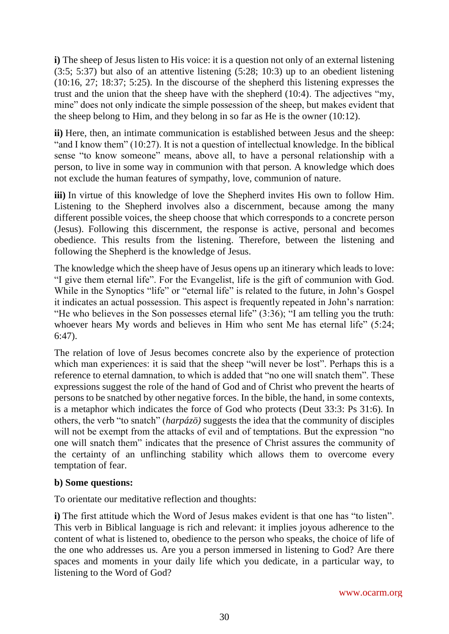**i)** The sheep of Jesus listen to His voice: it is a question not only of an external listening (3:5; 5:37) but also of an attentive listening (5:28; 10:3) up to an obedient listening (10:16, 27; 18:37; 5:25). In the discourse of the shepherd this listening expresses the trust and the union that the sheep have with the shepherd (10:4). The adjectives "my, mine" does not only indicate the simple possession of the sheep, but makes evident that the sheep belong to Him, and they belong in so far as He is the owner (10:12).

**ii)** Here, then, an intimate communication is established between Jesus and the sheep: "and I know them" (10:27). It is not a question of intellectual knowledge. In the biblical sense "to know someone" means, above all, to have a personal relationship with a person, to live in some way in communion with that person. A knowledge which does not exclude the human features of sympathy, love, communion of nature.

**iii)** In virtue of this knowledge of love the Shepherd invites His own to follow Him. Listening to the Shepherd involves also a discernment, because among the many different possible voices, the sheep choose that which corresponds to a concrete person (Jesus). Following this discernment, the response is active, personal and becomes obedience. This results from the listening. Therefore, between the listening and following the Shepherd is the knowledge of Jesus.

The knowledge which the sheep have of Jesus opens up an itinerary which leads to love: "I give them eternal life". For the Evangelist, life is the gift of communion with God. While in the Synoptics "life" or "eternal life" is related to the future, in John's Gospel it indicates an actual possession. This aspect is frequently repeated in John's narration: "He who believes in the Son possesses eternal life" (3:36); "I am telling you the truth: whoever hears My words and believes in Him who sent Me has eternal life" (5:24; 6:47).

The relation of love of Jesus becomes concrete also by the experience of protection which man experiences: it is said that the sheep "will never be lost". Perhaps this is a reference to eternal damnation, to which is added that "no one will snatch them". These expressions suggest the role of the hand of God and of Christ who prevent the hearts of persons to be snatched by other negative forces. In the bible, the hand, in some contexts, is a metaphor which indicates the force of God who protects (Deut 33:3: Ps 31:6). In others, the verb "to snatch" (*harpázö)* suggests the idea that the community of disciples will not be exempt from the attacks of evil and of temptations. But the expression "no one will snatch them" indicates that the presence of Christ assures the community of the certainty of an unflinching stability which allows them to overcome every temptation of fear.

## **b) Some questions:**

To orientate our meditative reflection and thoughts:

**i)** The first attitude which the Word of Jesus makes evident is that one has "to listen". This verb in Biblical language is rich and relevant: it implies joyous adherence to the content of what is listened to, obedience to the person who speaks, the choice of life of the one who addresses us. Are you a person immersed in listening to God? Are there spaces and moments in your daily life which you dedicate, in a particular way, to listening to the Word of God?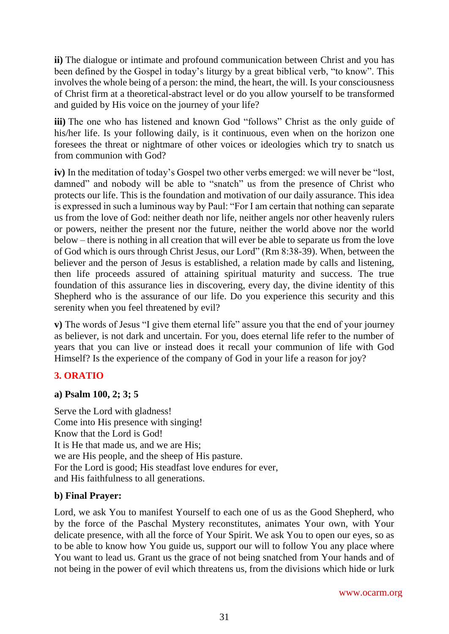**ii)** The dialogue or intimate and profound communication between Christ and you has been defined by the Gospel in today's liturgy by a great biblical verb, "to know". This involves the whole being of a person: the mind, the heart, the will. Is your consciousness of Christ firm at a theoretical-abstract level or do you allow yourself to be transformed and guided by His voice on the journey of your life?

**iii)** The one who has listened and known God "follows" Christ as the only guide of his/her life. Is your following daily, is it continuous, even when on the horizon one foresees the threat or nightmare of other voices or ideologies which try to snatch us from communion with God?

**iv)** In the meditation of today's Gospel two other verbs emerged: we will never be "lost, damned" and nobody will be able to "snatch" us from the presence of Christ who protects our life. This is the foundation and motivation of our daily assurance. This idea is expressed in such a luminous way by Paul: "For I am certain that nothing can separate us from the love of God: neither death nor life, neither angels nor other heavenly rulers or powers, neither the present nor the future, neither the world above nor the world below – there is nothing in all creation that will ever be able to separate us from the love of God which is ours through Christ Jesus, our Lord" (Rm 8:38-39). When, between the believer and the person of Jesus is established, a relation made by calls and listening, then life proceeds assured of attaining spiritual maturity and success. The true foundation of this assurance lies in discovering, every day, the divine identity of this Shepherd who is the assurance of our life. Do you experience this security and this serenity when you feel threatened by evil?

**v)** The words of Jesus "I give them eternal life" assure you that the end of your journey as believer, is not dark and uncertain. For you, does eternal life refer to the number of years that you can live or instead does it recall your communion of life with God Himself? Is the experience of the company of God in your life a reason for joy?

# **3. ORATIO**

## **a) Psalm 100, 2; 3; 5**

Serve the Lord with gladness! Come into His presence with singing! Know that the Lord is God! It is He that made us, and we are His; we are His people, and the sheep of His pasture. For the Lord is good; His steadfast love endures for ever, and His faithfulness to all generations.

## **b) Final Prayer:**

Lord, we ask You to manifest Yourself to each one of us as the Good Shepherd, who by the force of the Paschal Mystery reconstitutes, animates Your own, with Your delicate presence, with all the force of Your Spirit. We ask You to open our eyes, so as to be able to know how You guide us, support our will to follow You any place where You want to lead us. Grant us the grace of not being snatched from Your hands and of not being in the power of evil which threatens us, from the divisions which hide or lurk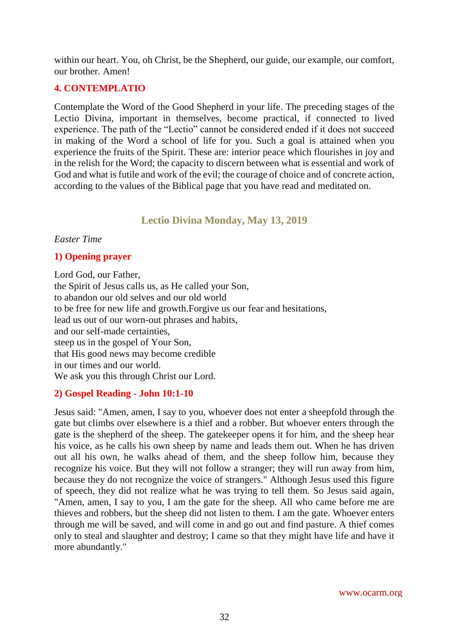within our heart. You, oh Christ, be the Shepherd, our guide, our example, our comfort, our brother. Amen!

#### **4. CONTEMPLATIO**

Contemplate the Word of the Good Shepherd in your life. The preceding stages of the Lectio Divina, important in themselves, become practical, if connected to lived experience. The path of the "Lectio" cannot be considered ended if it does not succeed in making of the Word a school of life for you. Such a goal is attained when you experience the fruits of the Spirit. These are: interior peace which flourishes in joy and in the relish for the Word; the capacity to discern between what is essential and work of God and what is futile and work of the evil; the courage of choice and of concrete action, according to the values of the Biblical page that you have read and meditated on.

## **Lectio Divina Monday, May 13, 2019**

#### <span id="page-31-0"></span>*Easter Time*

#### **1) Opening prayer**

Lord God, our Father, the Spirit of Jesus calls us, as He called your Son, to abandon our old selves and our old world to be free for new life and growth.Forgive us our fear and hesitations, lead us out of our worn-out phrases and habits, and our self-made certainties, steep us in the gospel of Your Son, that His good news may become credible in our times and our world. We ask you this through Christ our Lord.

#### **2) Gospel Reading - John 10:1-10**

Jesus said: "Amen, amen, I say to you, whoever does not enter a sheepfold through the gate but climbs over elsewhere is a thief and a robber. But whoever enters through the gate is the shepherd of the sheep. The gatekeeper opens it for him, and the sheep hear his voice, as he calls his own sheep by name and leads them out. When he has driven out all his own, he walks ahead of them, and the sheep follow him, because they recognize his voice. But they will not follow a stranger; they will run away from him, because they do not recognize the voice of strangers." Although Jesus used this figure of speech, they did not realize what he was trying to tell them. So Jesus said again, "Amen, amen, I say to you, I am the gate for the sheep. All who came before me are thieves and robbers, but the sheep did not listen to them. I am the gate. Whoever enters through me will be saved, and will come in and go out and find pasture. A thief comes only to steal and slaughter and destroy; I came so that they might have life and have it more abundantly."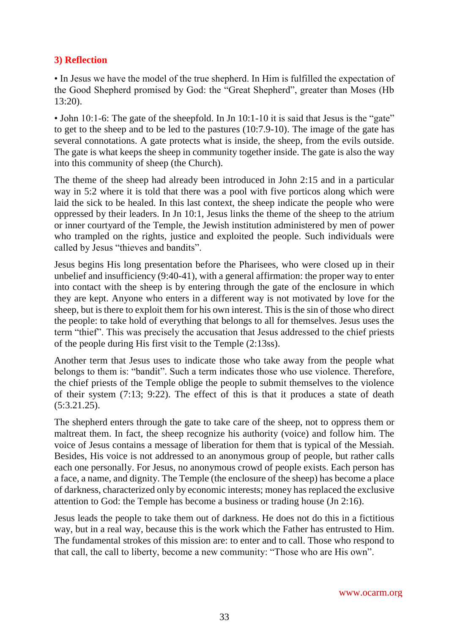## **3) Reflection**

• In Jesus we have the model of the true shepherd. In Him is fulfilled the expectation of the Good Shepherd promised by God: the "Great Shepherd", greater than Moses (Hb 13:20).

• John 10:1-6: The gate of the sheepfold. In Jn 10:1-10 it is said that Jesus is the "gate" to get to the sheep and to be led to the pastures (10:7.9-10). The image of the gate has several connotations. A gate protects what is inside, the sheep, from the evils outside. The gate is what keeps the sheep in community together inside. The gate is also the way into this community of sheep (the Church).

The theme of the sheep had already been introduced in John 2:15 and in a particular way in 5:2 where it is told that there was a pool with five porticos along which were laid the sick to be healed. In this last context, the sheep indicate the people who were oppressed by their leaders. In Jn 10:1, Jesus links the theme of the sheep to the atrium or inner courtyard of the Temple, the Jewish institution administered by men of power who trampled on the rights, justice and exploited the people. Such individuals were called by Jesus "thieves and bandits".

Jesus begins His long presentation before the Pharisees, who were closed up in their unbelief and insufficiency (9:40-41), with a general affirmation: the proper way to enter into contact with the sheep is by entering through the gate of the enclosure in which they are kept. Anyone who enters in a different way is not motivated by love for the sheep, but is there to exploit them for his own interest. This is the sin of those who direct the people: to take hold of everything that belongs to all for themselves. Jesus uses the term "thief". This was precisely the accusation that Jesus addressed to the chief priests of the people during His first visit to the Temple (2:13ss).

Another term that Jesus uses to indicate those who take away from the people what belongs to them is: "bandit". Such a term indicates those who use violence. Therefore, the chief priests of the Temple oblige the people to submit themselves to the violence of their system (7:13; 9:22). The effect of this is that it produces a state of death (5:3.21.25).

The shepherd enters through the gate to take care of the sheep, not to oppress them or maltreat them. In fact, the sheep recognize his authority (voice) and follow him. The voice of Jesus contains a message of liberation for them that is typical of the Messiah. Besides, His voice is not addressed to an anonymous group of people, but rather calls each one personally. For Jesus, no anonymous crowd of people exists. Each person has a face, a name, and dignity. The Temple (the enclosure of the sheep) has become a place of darkness, characterized only by economic interests; money has replaced the exclusive attention to God: the Temple has become a business or trading house (Jn 2:16).

Jesus leads the people to take them out of darkness. He does not do this in a fictitious way, but in a real way, because this is the work which the Father has entrusted to Him. The fundamental strokes of this mission are: to enter and to call. Those who respond to that call, the call to liberty, become a new community: "Those who are His own".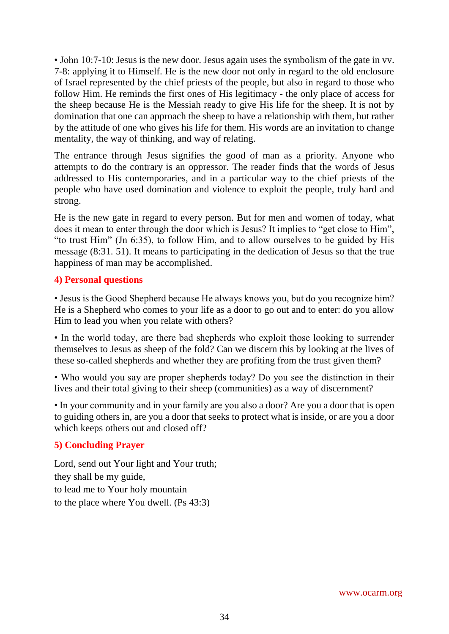• John 10:7-10: Jesus is the new door. Jesus again uses the symbolism of the gate in vv. 7-8: applying it to Himself. He is the new door not only in regard to the old enclosure of Israel represented by the chief priests of the people, but also in regard to those who follow Him. He reminds the first ones of His legitimacy - the only place of access for the sheep because He is the Messiah ready to give His life for the sheep. It is not by domination that one can approach the sheep to have a relationship with them, but rather by the attitude of one who gives his life for them. His words are an invitation to change mentality, the way of thinking, and way of relating.

The entrance through Jesus signifies the good of man as a priority. Anyone who attempts to do the contrary is an oppressor. The reader finds that the words of Jesus addressed to His contemporaries, and in a particular way to the chief priests of the people who have used domination and violence to exploit the people, truly hard and strong.

He is the new gate in regard to every person. But for men and women of today, what does it mean to enter through the door which is Jesus? It implies to "get close to Him", "to trust Him" (Jn 6:35), to follow Him, and to allow ourselves to be guided by His message (8:31. 51). It means to participating in the dedication of Jesus so that the true happiness of man may be accomplished.

## **4) Personal questions**

• Jesus is the Good Shepherd because He always knows you, but do you recognize him? He is a Shepherd who comes to your life as a door to go out and to enter: do you allow Him to lead you when you relate with others?

• In the world today, are there bad shepherds who exploit those looking to surrender themselves to Jesus as sheep of the fold? Can we discern this by looking at the lives of these so-called shepherds and whether they are profiting from the trust given them?

• Who would you say are proper shepherds today? Do you see the distinction in their lives and their total giving to their sheep (communities) as a way of discernment?

• In your community and in your family are you also a door? Are you a door that is open to guiding others in, are you a door that seeks to protect what is inside, or are you a door which keeps others out and closed off?

## **5) Concluding Prayer**

Lord, send out Your light and Your truth; they shall be my guide, to lead me to Your holy mountain to the place where You dwell. (Ps 43:3)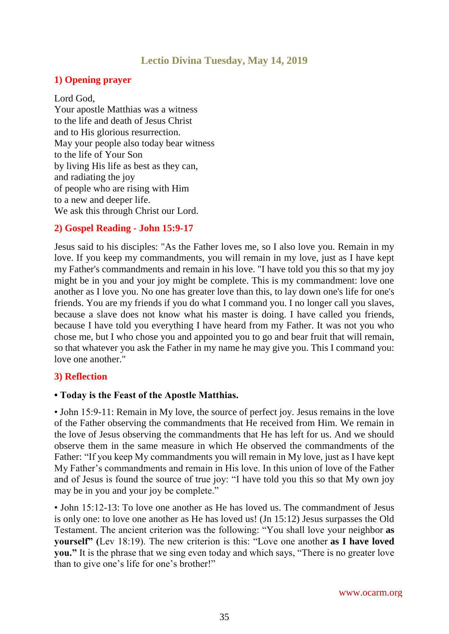# **Lectio Divina Tuesday, May 14, 2019**

#### <span id="page-34-0"></span>**1) Opening prayer**

Lord God, Your apostle Matthias was a witness to the life and death of Jesus Christ and to His glorious resurrection. May your people also today bear witness to the life of Your Son by living His life as best as they can, and radiating the joy of people who are rising with Him to a new and deeper life. We ask this through Christ our Lord.

#### **2) Gospel Reading - John 15:9-17**

Jesus said to his disciples: "As the Father loves me, so I also love you. Remain in my love. If you keep my commandments, you will remain in my love, just as I have kept my Father's commandments and remain in his love. "I have told you this so that my joy might be in you and your joy might be complete. This is my commandment: love one another as I love you. No one has greater love than this, to lay down one's life for one's friends. You are my friends if you do what I command you. I no longer call you slaves, because a slave does not know what his master is doing. I have called you friends, because I have told you everything I have heard from my Father. It was not you who chose me, but I who chose you and appointed you to go and bear fruit that will remain, so that whatever you ask the Father in my name he may give you. This I command you: love one another."

#### **3) Reflection**

#### **• Today is the Feast of the Apostle Matthias.**

• John 15:9-11: Remain in My love, the source of perfect joy. Jesus remains in the love of the Father observing the commandments that He received from Him. We remain in the love of Jesus observing the commandments that He has left for us. And we should observe them in the same measure in which He observed the commandments of the Father: "If you keep My commandments you will remain in My love, just as I have kept My Father's commandments and remain in His love. In this union of love of the Father and of Jesus is found the source of true joy: "I have told you this so that My own joy may be in you and your joy be complete."

• John 15:12-13: To love one another as He has loved us. The commandment of Jesus is only one: to love one another as He has loved us! (Jn 15:12) Jesus surpasses the Old Testament. The ancient criterion was the following: "You shall love your neighbor **as yourself" (**Lev 18:19). The new criterion is this: "Love one another **as I have loved you."** It is the phrase that we sing even today and which says, "There is no greater love than to give one's life for one's brother!"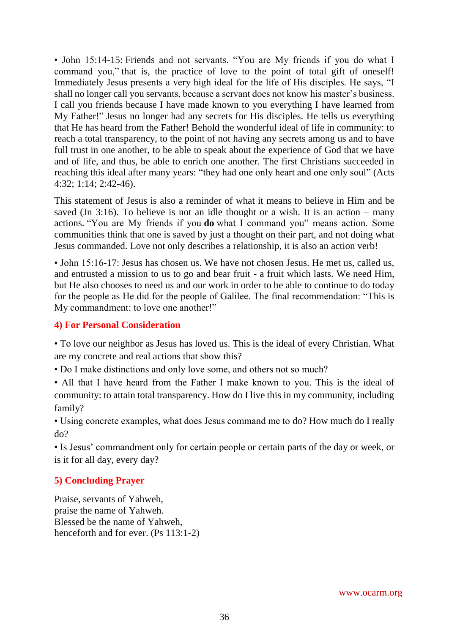• John 15:14-15: Friends and not servants. "You are My friends if you do what I command you," that is, the practice of love to the point of total gift of oneself! Immediately Jesus presents a very high ideal for the life of His disciples. He says, "I shall no longer call you servants, because a servant does not know his master's business. I call you friends because I have made known to you everything I have learned from My Father!" Jesus no longer had any secrets for His disciples. He tells us everything that He has heard from the Father! Behold the wonderful ideal of life in community: to reach a total transparency, to the point of not having any secrets among us and to have full trust in one another, to be able to speak about the experience of God that we have and of life, and thus, be able to enrich one another. The first Christians succeeded in reaching this ideal after many years: "they had one only heart and one only soul" (Acts 4:32; 1:14; 2:42-46).

This statement of Jesus is also a reminder of what it means to believe in Him and be saved (Jn 3:16). To believe is not an idle thought or a wish. It is an action – many actions. "You are My friends if you **do** what I command you" means action. Some communities think that one is saved by just a thought on their part, and not doing what Jesus commanded. Love not only describes a relationship, it is also an action verb!

• John 15:16-17: Jesus has chosen us. We have not chosen Jesus. He met us, called us, and entrusted a mission to us to go and bear fruit - a fruit which lasts. We need Him, but He also chooses to need us and our work in order to be able to continue to do today for the people as He did for the people of Galilee. The final recommendation: "This is My commandment: to love one another!"

# **4) For Personal Consideration**

• To love our neighbor as Jesus has loved us. This is the ideal of every Christian. What are my concrete and real actions that show this?

• Do I make distinctions and only love some, and others not so much?

• All that I have heard from the Father I make known to you. This is the ideal of community: to attain total transparency. How do I live this in my community, including family?

• Using concrete examples, what does Jesus command me to do? How much do I really do?

• Is Jesus' commandment only for certain people or certain parts of the day or week, or is it for all day, every day?

# **5) Concluding Prayer**

Praise, servants of Yahweh, praise the name of Yahweh. Blessed be the name of Yahweh, henceforth and for ever. (Ps 113:1-2)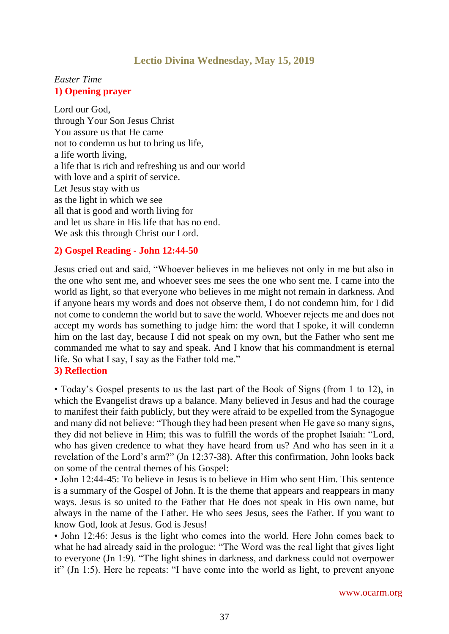## **Lectio Divina Wednesday, May 15, 2019**

## *Easter Time* **1) Opening prayer**

Lord our God, through Your Son Jesus Christ You assure us that He came not to condemn us but to bring us life, a life worth living, a life that is rich and refreshing us and our world with love and a spirit of service. Let Jesus stay with us as the light in which we see all that is good and worth living for and let us share in His life that has no end. We ask this through Christ our Lord.

#### **2) Gospel Reading - John 12:44-50**

Jesus cried out and said, "Whoever believes in me believes not only in me but also in the one who sent me, and whoever sees me sees the one who sent me. I came into the world as light, so that everyone who believes in me might not remain in darkness. And if anyone hears my words and does not observe them, I do not condemn him, for I did not come to condemn the world but to save the world. Whoever rejects me and does not accept my words has something to judge him: the word that I spoke, it will condemn him on the last day, because I did not speak on my own, but the Father who sent me commanded me what to say and speak. And I know that his commandment is eternal life. So what I say, I say as the Father told me."

#### **3) Reflection**

• Today's Gospel presents to us the last part of the Book of Signs (from 1 to 12), in which the Evangelist draws up a balance. Many believed in Jesus and had the courage to manifest their faith publicly, but they were afraid to be expelled from the Synagogue and many did not believe: "Though they had been present when He gave so many signs, they did not believe in Him; this was to fulfill the words of the prophet Isaiah: "Lord, who has given credence to what they have heard from us? And who has seen in it a revelation of the Lord's arm?" (Jn 12:37-38). After this confirmation, John looks back on some of the central themes of his Gospel:

• John 12:44-45: To believe in Jesus is to believe in Him who sent Him. This sentence is a summary of the Gospel of John. It is the theme that appears and reappears in many ways. Jesus is so united to the Father that He does not speak in His own name, but always in the name of the Father. He who sees Jesus, sees the Father. If you want to know God, look at Jesus. God is Jesus!

• John 12:46: Jesus is the light who comes into the world. Here John comes back to what he had already said in the prologue: "The Word was the real light that gives light to everyone (Jn 1:9). "The light shines in darkness, and darkness could not overpower it" (Jn 1:5). Here he repeats: "I have come into the world as light, to prevent anyone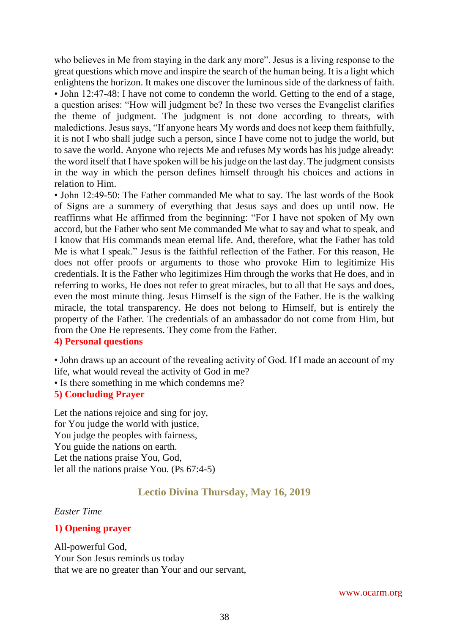who believes in Me from staying in the dark any more". Jesus is a living response to the great questions which move and inspire the search of the human being. It is a light which enlightens the horizon. It makes one discover the luminous side of the darkness of faith.

• John 12:47-48: I have not come to condemn the world. Getting to the end of a stage, a question arises: "How will judgment be? In these two verses the Evangelist clarifies the theme of judgment. The judgment is not done according to threats, with maledictions. Jesus says, "If anyone hears My words and does not keep them faithfully, it is not I who shall judge such a person, since I have come not to judge the world, but to save the world. Anyone who rejects Me and refuses My words has his judge already: the word itself that I have spoken will be his judge on the last day. The judgment consists in the way in which the person defines himself through his choices and actions in relation to Him.

• John 12:49-50: The Father commanded Me what to say. The last words of the Book of Signs are a summery of everything that Jesus says and does up until now. He reaffirms what He affirmed from the beginning: "For I have not spoken of My own accord, but the Father who sent Me commanded Me what to say and what to speak, and I know that His commands mean eternal life. And, therefore, what the Father has told Me is what I speak." Jesus is the faithful reflection of the Father. For this reason, He does not offer proofs or arguments to those who provoke Him to legitimize His credentials. It is the Father who legitimizes Him through the works that He does, and in referring to works, He does not refer to great miracles, but to all that He says and does, even the most minute thing. Jesus Himself is the sign of the Father. He is the walking miracle, the total transparency. He does not belong to Himself, but is entirely the property of the Father. The credentials of an ambassador do not come from Him, but from the One He represents. They come from the Father.

## **4) Personal questions**

• John draws up an account of the revealing activity of God. If I made an account of my life, what would reveal the activity of God in me? • Is there something in me which condemns me?

## **5) Concluding Prayer**

Let the nations rejoice and sing for joy, for You judge the world with justice, You judge the peoples with fairness, You guide the nations on earth. Let the nations praise You, God, let all the nations praise You. (Ps 67:4-5)

## **Lectio Divina Thursday, May 16, 2019**

# *Easter Time*

#### **1) Opening prayer**

All-powerful God, Your Son Jesus reminds us today that we are no greater than Your and our servant,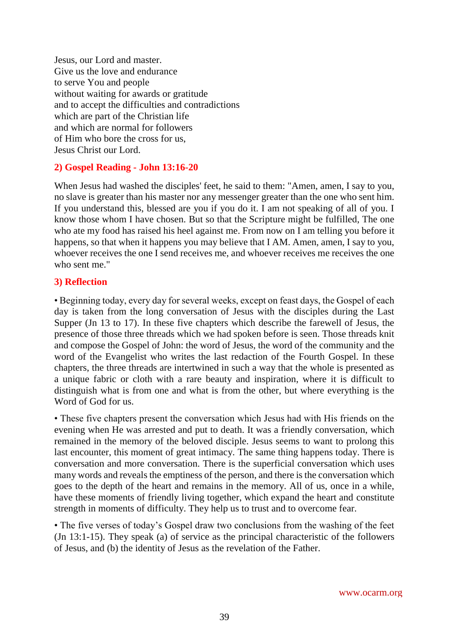Jesus, our Lord and master. Give us the love and endurance to serve You and people without waiting for awards or gratitude and to accept the difficulties and contradictions which are part of the Christian life and which are normal for followers of Him who bore the cross for us, Jesus Christ our Lord.

## **2) Gospel Reading - John 13:16-20**

When Jesus had washed the disciples' feet, he said to them: "Amen, amen, I say to you, no slave is greater than his master nor any messenger greater than the one who sent him. If you understand this, blessed are you if you do it. I am not speaking of all of you. I know those whom I have chosen. But so that the Scripture might be fulfilled, The one who ate my food has raised his heel against me. From now on I am telling you before it happens, so that when it happens you may believe that I AM. Amen, amen, I say to you, whoever receives the one I send receives me, and whoever receives me receives the one who sent me."

#### **3) Reflection**

• Beginning today, every day for several weeks, except on feast days, the Gospel of each day is taken from the long conversation of Jesus with the disciples during the Last Supper (Jn 13 to 17). In these five chapters which describe the farewell of Jesus, the presence of those three threads which we had spoken before is seen. Those threads knit and compose the Gospel of John: the word of Jesus, the word of the community and the word of the Evangelist who writes the last redaction of the Fourth Gospel. In these chapters, the three threads are intertwined in such a way that the whole is presented as a unique fabric or cloth with a rare beauty and inspiration, where it is difficult to distinguish what is from one and what is from the other, but where everything is the Word of God for us.

• These five chapters present the conversation which Jesus had with His friends on the evening when He was arrested and put to death. It was a friendly conversation, which remained in the memory of the beloved disciple. Jesus seems to want to prolong this last encounter, this moment of great intimacy. The same thing happens today. There is conversation and more conversation. There is the superficial conversation which uses many words and reveals the emptiness of the person, and there is the conversation which goes to the depth of the heart and remains in the memory. All of us, once in a while, have these moments of friendly living together, which expand the heart and constitute strength in moments of difficulty. They help us to trust and to overcome fear.

• The five verses of today's Gospel draw two conclusions from the washing of the feet (Jn 13:1-15). They speak (a) of service as the principal characteristic of the followers of Jesus, and (b) the identity of Jesus as the revelation of the Father.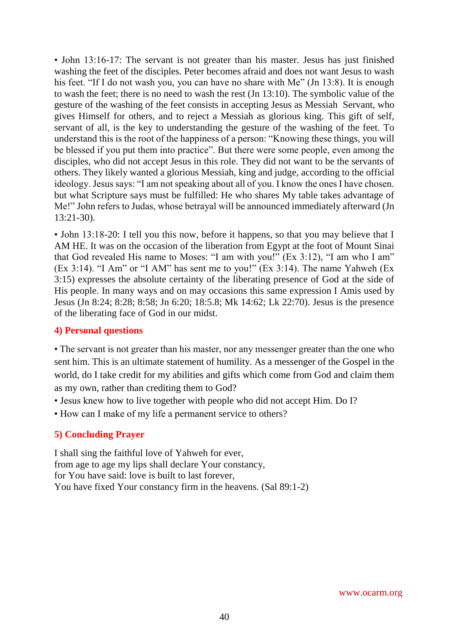• John 13:16-17: The servant is not greater than his master. Jesus has just finished washing the feet of the disciples. Peter becomes afraid and does not want Jesus to wash his feet. "If I do not wash you, you can have no share with Me" (Jn 13:8). It is enough to wash the feet; there is no need to wash the rest (Jn 13:10). The symbolic value of the gesture of the washing of the feet consists in accepting Jesus as Messiah Servant, who gives Himself for others, and to reject a Messiah as glorious king. This gift of self, servant of all, is the key to understanding the gesture of the washing of the feet. To understand this is the root of the happiness of a person: "Knowing these things, you will be blessed if you put them into practice". But there were some people, even among the disciples, who did not accept Jesus in this role. They did not want to be the servants of others. They likely wanted a glorious Messiah, king and judge, according to the official ideology. Jesus says: "I am not speaking about all of you. I know the ones I have chosen. but what Scripture says must be fulfilled: He who shares My table takes advantage of Me!" John refers to Judas, whose betrayal will be announced immediately afterward (Jn 13:21-30).

• John 13:18-20: I tell you this now, before it happens, so that you may believe that I AM HE. It was on the occasion of the liberation from Egypt at the foot of Mount Sinai that God revealed His name to Moses: "I am with you!" (Ex 3:12), "I am who I am" (Ex 3:14). "I Am" or "I AM" has sent me to you!" (Ex 3:14). The name Yahweh (Ex 3:15) expresses the absolute certainty of the liberating presence of God at the side of His people. In many ways and on may occasions this same expression I Amis used by Jesus (Jn 8:24; 8:28; 8:58; Jn 6:20; 18:5.8; Mk 14:62; Lk 22:70). Jesus is the presence of the liberating face of God in our midst.

## **4) Personal questions**

• The servant is not greater than his master, nor any messenger greater than the one who sent him. This is an ultimate statement of humility. As a messenger of the Gospel in the world, do I take credit for my abilities and gifts which come from God and claim them as my own, rather than crediting them to God?

• Jesus knew how to live together with people who did not accept Him. Do I?

• How can I make of my life a permanent service to others?

## **5) Concluding Prayer**

I shall sing the faithful love of Yahweh for ever, from age to age my lips shall declare Your constancy, for You have said: love is built to last forever, You have fixed Your constancy firm in the heavens. (Sal 89:1-2)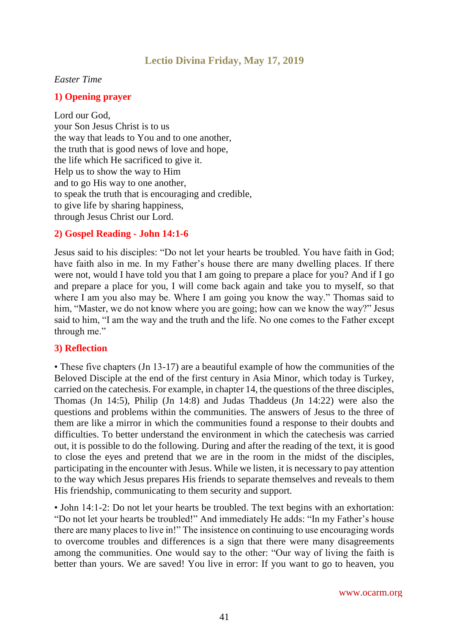## **Lectio Divina Friday, May 17, 2019**

*Easter Time*

## **1) Opening prayer**

Lord our God, your Son Jesus Christ is to us the way that leads to You and to one another, the truth that is good news of love and hope, the life which He sacrificed to give it. Help us to show the way to Him and to go His way to one another, to speak the truth that is encouraging and credible, to give life by sharing happiness, through Jesus Christ our Lord.

#### **2) Gospel Reading - John 14:1-6**

Jesus said to his disciples: "Do not let your hearts be troubled. You have faith in God; have faith also in me. In my Father's house there are many dwelling places. If there were not, would I have told you that I am going to prepare a place for you? And if I go and prepare a place for you, I will come back again and take you to myself, so that where I am you also may be. Where I am going you know the way." Thomas said to him, "Master, we do not know where you are going; how can we know the way?" Jesus said to him, "I am the way and the truth and the life. No one comes to the Father except through me."

#### **3) Reflection**

• These five chapters (Jn 13-17) are a beautiful example of how the communities of the Beloved Disciple at the end of the first century in Asia Minor, which today is Turkey, carried on the catechesis. For example, in chapter 14, the questions of the three disciples, Thomas (Jn 14:5), Philip (Jn 14:8) and Judas Thaddeus (Jn 14:22) were also the questions and problems within the communities. The answers of Jesus to the three of them are like a mirror in which the communities found a response to their doubts and difficulties. To better understand the environment in which the catechesis was carried out, it is possible to do the following. During and after the reading of the text, it is good to close the eyes and pretend that we are in the room in the midst of the disciples, participating in the encounter with Jesus. While we listen, it is necessary to pay attention to the way which Jesus prepares His friends to separate themselves and reveals to them His friendship, communicating to them security and support.

• John 14:1-2: Do not let your hearts be troubled. The text begins with an exhortation: "Do not let your hearts be troubled!" And immediately He adds: "In my Father's house there are many places to live in!" The insistence on continuing to use encouraging words to overcome troubles and differences is a sign that there were many disagreements among the communities. One would say to the other: "Our way of living the faith is better than yours. We are saved! You live in error: If you want to go to heaven, you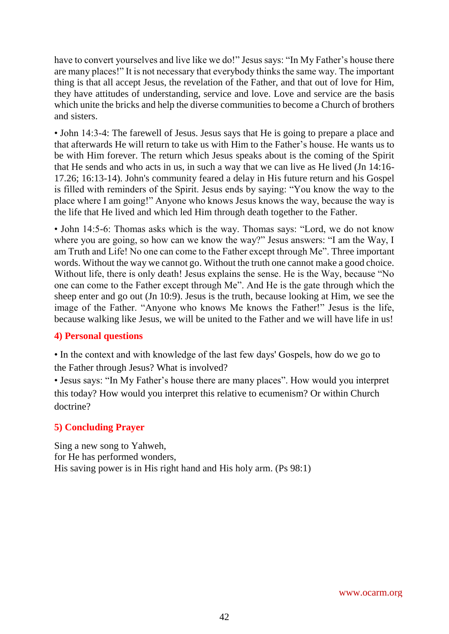have to convert yourselves and live like we do!" Jesus says: "In My Father's house there are many places!" It is not necessary that everybody thinks the same way. The important thing is that all accept Jesus, the revelation of the Father, and that out of love for Him, they have attitudes of understanding, service and love. Love and service are the basis which unite the bricks and help the diverse communities to become a Church of brothers and sisters.

• John 14:3-4: The farewell of Jesus. Jesus says that He is going to prepare a place and that afterwards He will return to take us with Him to the Father's house. He wants us to be with Him forever. The return which Jesus speaks about is the coming of the Spirit that He sends and who acts in us, in such a way that we can live as He lived (Jn 14:16- 17.26; 16:13-14). John's community feared a delay in His future return and his Gospel is filled with reminders of the Spirit. Jesus ends by saying: "You know the way to the place where I am going!" Anyone who knows Jesus knows the way, because the way is the life that He lived and which led Him through death together to the Father.

• John 14:5-6: Thomas asks which is the way. Thomas says: "Lord, we do not know where you are going, so how can we know the way?" Jesus answers: "I am the Way, I am Truth and Life! No one can come to the Father except through Me". Three important words. Without the way we cannot go. Without the truth one cannot make a good choice. Without life, there is only death! Jesus explains the sense. He is the Way, because "No one can come to the Father except through Me". And He is the gate through which the sheep enter and go out (Jn 10:9). Jesus is the truth, because looking at Him, we see the image of the Father. "Anyone who knows Me knows the Father!" Jesus is the life, because walking like Jesus, we will be united to the Father and we will have life in us!

## **4) Personal questions**

• In the context and with knowledge of the last few days' Gospels, how do we go to the Father through Jesus? What is involved?

• Jesus says: "In My Father's house there are many places". How would you interpret this today? How would you interpret this relative to ecumenism? Or within Church doctrine?

# **5) Concluding Prayer**

Sing a new song to Yahweh, for He has performed wonders, His saving power is in His right hand and His holy arm. (Ps 98:1)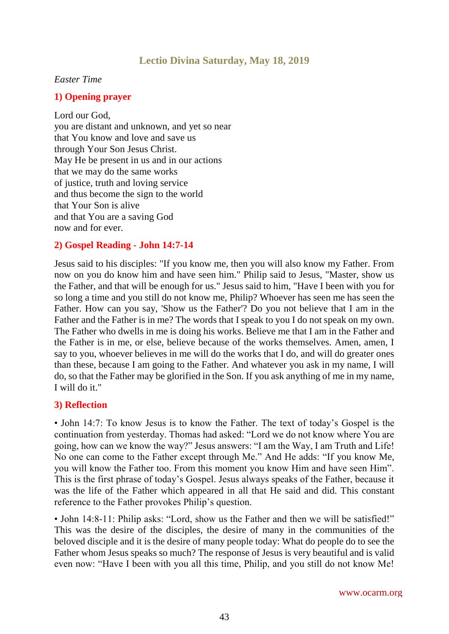## **Lectio Divina Saturday, May 18, 2019**

#### *Easter Time*

#### **1) Opening prayer**

Lord our God, you are distant and unknown, and yet so near that You know and love and save us through Your Son Jesus Christ. May He be present in us and in our actions that we may do the same works of justice, truth and loving service and thus become the sign to the world that Your Son is alive and that You are a saving God now and for ever.

#### **2) Gospel Reading - John 14:7-14**

Jesus said to his disciples: "If you know me, then you will also know my Father. From now on you do know him and have seen him." Philip said to Jesus, "Master, show us the Father, and that will be enough for us." Jesus said to him, "Have I been with you for so long a time and you still do not know me, Philip? Whoever has seen me has seen the Father. How can you say, 'Show us the Father'? Do you not believe that I am in the Father and the Father is in me? The words that I speak to you I do not speak on my own. The Father who dwells in me is doing his works. Believe me that I am in the Father and the Father is in me, or else, believe because of the works themselves. Amen, amen, I say to you, whoever believes in me will do the works that I do, and will do greater ones than these, because I am going to the Father. And whatever you ask in my name, I will do, so that the Father may be glorified in the Son. If you ask anything of me in my name, I will do it."

#### **3) Reflection**

• John 14:7: To know Jesus is to know the Father. The text of today's Gospel is the continuation from yesterday. Thomas had asked: "Lord we do not know where You are going, how can we know the way?" Jesus answers: "I am the Way, I am Truth and Life! No one can come to the Father except through Me." And He adds: "If you know Me, you will know the Father too. From this moment you know Him and have seen Him". This is the first phrase of today's Gospel. Jesus always speaks of the Father, because it was the life of the Father which appeared in all that He said and did. This constant reference to the Father provokes Philip's question.

• John 14:8-11: Philip asks: "Lord, show us the Father and then we will be satisfied!" This was the desire of the disciples, the desire of many in the communities of the beloved disciple and it is the desire of many people today: What do people do to see the Father whom Jesus speaks so much? The response of Jesus is very beautiful and is valid even now: "Have I been with you all this time, Philip, and you still do not know Me!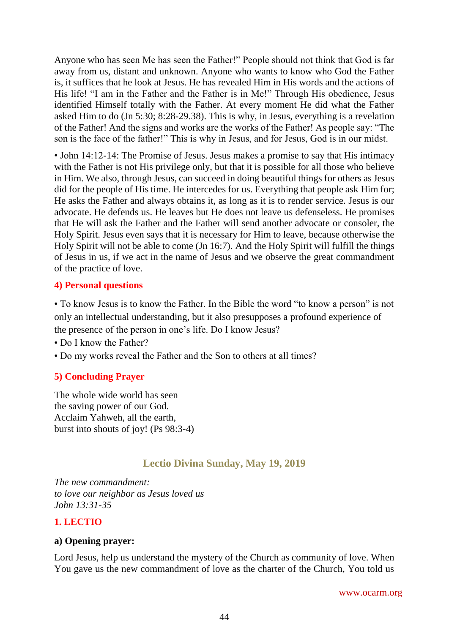Anyone who has seen Me has seen the Father!" People should not think that God is far away from us, distant and unknown. Anyone who wants to know who God the Father is, it suffices that he look at Jesus. He has revealed Him in His words and the actions of His life! "I am in the Father and the Father is in Me!" Through His obedience, Jesus identified Himself totally with the Father. At every moment He did what the Father asked Him to do (Jn 5:30; 8:28-29.38). This is why, in Jesus, everything is a revelation of the Father! And the signs and works are the works of the Father! As people say: "The son is the face of the father!" This is why in Jesus, and for Jesus, God is in our midst.

• John 14:12-14: The Promise of Jesus. Jesus makes a promise to say that His intimacy with the Father is not His privilege only, but that it is possible for all those who believe in Him. We also, through Jesus, can succeed in doing beautiful things for others as Jesus did for the people of His time. He intercedes for us. Everything that people ask Him for; He asks the Father and always obtains it, as long as it is to render service. Jesus is our advocate. He defends us. He leaves but He does not leave us defenseless. He promises that He will ask the Father and the Father will send another advocate or consoler, the Holy Spirit. Jesus even says that it is necessary for Him to leave, because otherwise the Holy Spirit will not be able to come (Jn 16:7). And the Holy Spirit will fulfill the things of Jesus in us, if we act in the name of Jesus and we observe the great commandment of the practice of love.

#### **4) Personal questions**

• To know Jesus is to know the Father. In the Bible the word "to know a person" is not only an intellectual understanding, but it also presupposes a profound experience of the presence of the person in one's life. Do I know Jesus?

- Do I know the Father?
- Do my works reveal the Father and the Son to others at all times?

## **5) Concluding Prayer**

The whole wide world has seen the saving power of our God. Acclaim Yahweh, all the earth, burst into shouts of joy! (Ps 98:3-4)

# **Lectio Divina Sunday, May 19, 2019**

*The new commandment: to love our neighbor as Jesus loved us John 13:31-35*

## **1. LECTIO**

#### **a) Opening prayer:**

Lord Jesus, help us understand the mystery of the Church as community of love. When You gave us the new commandment of love as the charter of the Church, You told us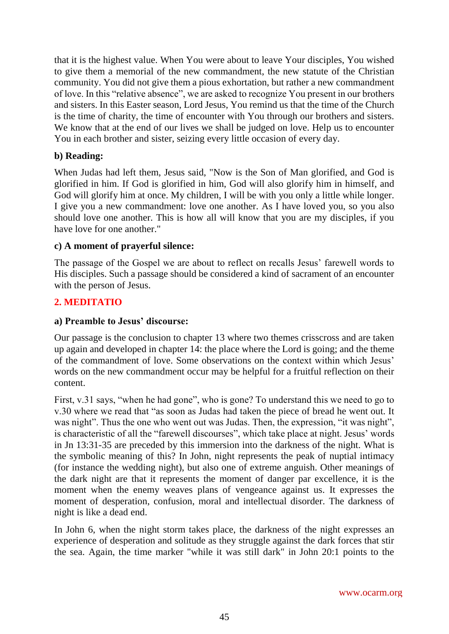that it is the highest value. When You were about to leave Your disciples, You wished to give them a memorial of the new commandment, the new statute of the Christian community. You did not give them a pious exhortation, but rather a new commandment of love. In this "relative absence", we are asked to recognize You present in our brothers and sisters. In this Easter season, Lord Jesus, You remind us that the time of the Church is the time of charity, the time of encounter with You through our brothers and sisters. We know that at the end of our lives we shall be judged on love. Help us to encounter You in each brother and sister, seizing every little occasion of every day.

## **b) Reading:**

When Judas had left them, Jesus said, "Now is the Son of Man glorified, and God is glorified in him. If God is glorified in him, God will also glorify him in himself, and God will glorify him at once. My children, I will be with you only a little while longer. I give you a new commandment: love one another. As I have loved you, so you also should love one another. This is how all will know that you are my disciples, if you have love for one another."

#### **c) A moment of prayerful silence:**

The passage of the Gospel we are about to reflect on recalls Jesus' farewell words to His disciples. Such a passage should be considered a kind of sacrament of an encounter with the person of Jesus.

#### **2. MEDITATIO**

#### **a) Preamble to Jesus' discourse:**

Our passage is the conclusion to chapter 13 where two themes crisscross and are taken up again and developed in chapter 14: the place where the Lord is going; and the theme of the commandment of love. Some observations on the context within which Jesus' words on the new commandment occur may be helpful for a fruitful reflection on their content.

First, v.31 says, "when he had gone", who is gone? To understand this we need to go to v.30 where we read that "as soon as Judas had taken the piece of bread he went out. It was night". Thus the one who went out was Judas. Then, the expression, "it was night", is characteristic of all the "farewell discourses", which take place at night. Jesus' words in Jn 13:31-35 are preceded by this immersion into the darkness of the night. What is the symbolic meaning of this? In John, night represents the peak of nuptial intimacy (for instance the wedding night), but also one of extreme anguish. Other meanings of the dark night are that it represents the moment of danger par excellence, it is the moment when the enemy weaves plans of vengeance against us. It expresses the moment of desperation, confusion, moral and intellectual disorder. The darkness of night is like a dead end.

In John 6, when the night storm takes place, the darkness of the night expresses an experience of desperation and solitude as they struggle against the dark forces that stir the sea. Again, the time marker "while it was still dark" in John 20:1 points to the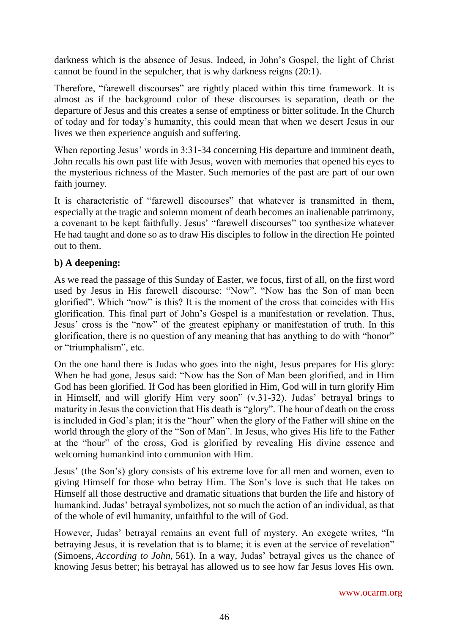darkness which is the absence of Jesus. Indeed, in John's Gospel, the light of Christ cannot be found in the sepulcher, that is why darkness reigns (20:1).

Therefore, "farewell discourses" are rightly placed within this time framework. It is almost as if the background color of these discourses is separation, death or the departure of Jesus and this creates a sense of emptiness or bitter solitude. In the Church of today and for today's humanity, this could mean that when we desert Jesus in our lives we then experience anguish and suffering.

When reporting Jesus' words in 3:31-34 concerning His departure and imminent death, John recalls his own past life with Jesus, woven with memories that opened his eyes to the mysterious richness of the Master. Such memories of the past are part of our own faith journey.

It is characteristic of "farewell discourses" that whatever is transmitted in them, especially at the tragic and solemn moment of death becomes an inalienable patrimony, a covenant to be kept faithfully. Jesus' "farewell discourses" too synthesize whatever He had taught and done so as to draw His disciples to follow in the direction He pointed out to them.

# **b) A deepening:**

As we read the passage of this Sunday of Easter, we focus, first of all, on the first word used by Jesus in His farewell discourse: "Now". "Now has the Son of man been glorified". Which "now" is this? It is the moment of the cross that coincides with His glorification. This final part of John's Gospel is a manifestation or revelation. Thus, Jesus' cross is the "now" of the greatest epiphany or manifestation of truth. In this glorification, there is no question of any meaning that has anything to do with "honor" or "triumphalism", etc.

On the one hand there is Judas who goes into the night, Jesus prepares for His glory: When he had gone, Jesus said: "Now has the Son of Man been glorified, and in Him God has been glorified. If God has been glorified in Him, God will in turn glorify Him in Himself, and will glorify Him very soon" (v.31-32). Judas' betrayal brings to maturity in Jesus the conviction that His death is "glory". The hour of death on the cross is included in God's plan; it is the "hour" when the glory of the Father will shine on the world through the glory of the "Son of Man". In Jesus, who gives His life to the Father at the "hour" of the cross, God is glorified by revealing His divine essence and welcoming humankind into communion with Him.

Jesus' (the Son's) glory consists of his extreme love for all men and women, even to giving Himself for those who betray Him. The Son's love is such that He takes on Himself all those destructive and dramatic situations that burden the life and history of humankind. Judas' betrayal symbolizes, not so much the action of an individual, as that of the whole of evil humanity, unfaithful to the will of God.

However, Judas' betrayal remains an event full of mystery. An exegete writes, "In betraying Jesus, it is revelation that is to blame; it is even at the service of revelation" (Simoens, *According to John,* 561). In a way, Judas' betrayal gives us the chance of knowing Jesus better; his betrayal has allowed us to see how far Jesus loves His own.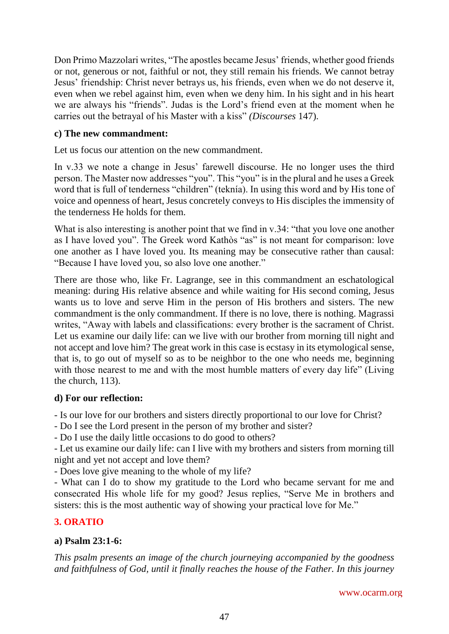Don Primo Mazzolari writes, "The apostles became Jesus' friends, whether good friends or not, generous or not, faithful or not, they still remain his friends. We cannot betray Jesus' friendship: Christ never betrays us, his friends, even when we do not deserve it, even when we rebel against him, even when we deny him. In his sight and in his heart we are always his "friends". Judas is the Lord's friend even at the moment when he carries out the betrayal of his Master with a kiss" *(Discourses* 147).

## **c) The new commandment:**

Let us focus our attention on the new commandment.

In v.33 we note a change in Jesus' farewell discourse. He no longer uses the third person. The Master now addresses "you". This "you" is in the plural and he uses a Greek word that is full of tenderness "children" (teknía). In using this word and by His tone of voice and openness of heart, Jesus concretely conveys to His disciples the immensity of the tenderness He holds for them.

What is also interesting is another point that we find in v.34: "that you love one another as I have loved you". The Greek word Kathòs "as" is not meant for comparison: love one another as I have loved you. Its meaning may be consecutive rather than causal: "Because I have loved you, so also love one another."

There are those who, like Fr. Lagrange, see in this commandment an eschatological meaning: during His relative absence and while waiting for His second coming, Jesus wants us to love and serve Him in the person of His brothers and sisters. The new commandment is the only commandment. If there is no love, there is nothing. Magrassi writes, "Away with labels and classifications: every brother is the sacrament of Christ. Let us examine our daily life: can we live with our brother from morning till night and not accept and love him? The great work in this case is ecstasy in its etymological sense, that is, to go out of myself so as to be neighbor to the one who needs me, beginning with those nearest to me and with the most humble matters of every day life" (Living the church, 113).

## **d) For our reflection:**

- Is our love for our brothers and sisters directly proportional to our love for Christ?

- Do I see the Lord present in the person of my brother and sister?

- Do I use the daily little occasions to do good to others?

- Let us examine our daily life: can I live with my brothers and sisters from morning till night and yet not accept and love them?

- Does love give meaning to the whole of my life?

- What can I do to show my gratitude to the Lord who became servant for me and consecrated His whole life for my good? Jesus replies, "Serve Me in brothers and sisters: this is the most authentic way of showing your practical love for Me."

# **3. ORATIO**

# **a) Psalm 23:1-6:**

*This psalm presents an image of the church journeying accompanied by the goodness and faithfulness of God, until it finally reaches the house of the Father. In this journey*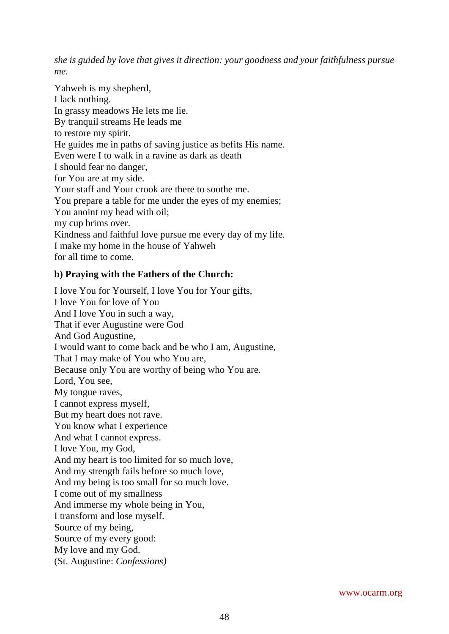*she is guided by love that gives it direction: your goodness and your faithfulness pursue me.*

Yahweh is my shepherd, I lack nothing. In grassy meadows He lets me lie. By tranquil streams He leads me to restore my spirit. He guides me in paths of saving justice as befits His name. Even were I to walk in a ravine as dark as death I should fear no danger, for You are at my side. Your staff and Your crook are there to soothe me. You prepare a table for me under the eyes of my enemies; You anoint my head with oil; my cup brims over. Kindness and faithful love pursue me every day of my life. I make my home in the house of Yahweh for all time to come.

#### **b) Praying with the Fathers of the Church:**

I love You for Yourself, I love You for Your gifts, I love You for love of You And I love You in such a way, That if ever Augustine were God And God Augustine, I would want to come back and be who I am, Augustine, That I may make of You who You are, Because only You are worthy of being who You are. Lord, You see, My tongue raves, I cannot express myself, But my heart does not rave. You know what I experience And what I cannot express. I love You, my God, And my heart is too limited for so much love, And my strength fails before so much love, And my being is too small for so much love. I come out of my smallness And immerse my whole being in You, I transform and lose myself. Source of my being, Source of my every good: My love and my God. (St. Augustine: *Confessions)*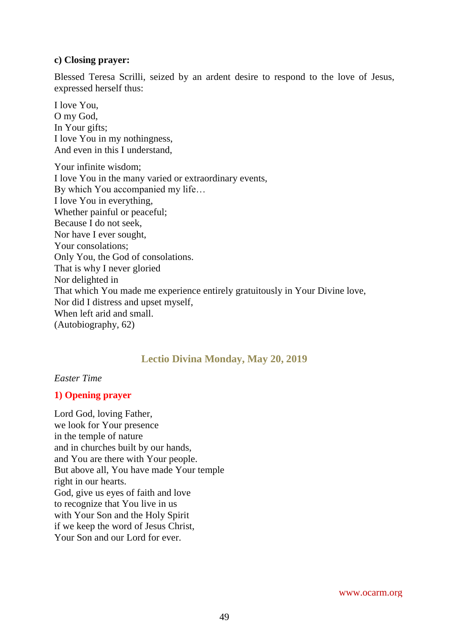#### **c) Closing prayer:**

Blessed Teresa Scrilli, seized by an ardent desire to respond to the love of Jesus, expressed herself thus:

I love You, O my God, In Your gifts; I love You in my nothingness, And even in this I understand, Your infinite wisdom; I love You in the many varied or extraordinary events, By which You accompanied my life… I love You in everything, Whether painful or peaceful; Because I do not seek, Nor have I ever sought, Your consolations; Only You, the God of consolations. That is why I never gloried Nor delighted in That which You made me experience entirely gratuitously in Your Divine love, Nor did I distress and upset myself, When left arid and small. (Autobiography, 62)

## **Lectio Divina Monday, May 20, 2019**

### *Easter Time*

#### **1) Opening prayer**

Lord God, loving Father, we look for Your presence in the temple of nature and in churches built by our hands, and You are there with Your people. But above all, You have made Your temple right in our hearts. God, give us eyes of faith and love to recognize that You live in us with Your Son and the Holy Spirit if we keep the word of Jesus Christ, Your Son and our Lord for ever.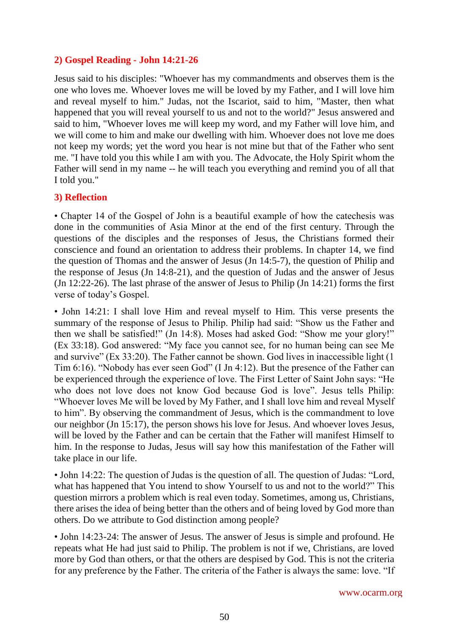## **2) Gospel Reading - John 14:21-26**

Jesus said to his disciples: "Whoever has my commandments and observes them is the one who loves me. Whoever loves me will be loved by my Father, and I will love him and reveal myself to him." Judas, not the Iscariot, said to him, "Master, then what happened that you will reveal yourself to us and not to the world?" Jesus answered and said to him, "Whoever loves me will keep my word, and my Father will love him, and we will come to him and make our dwelling with him. Whoever does not love me does not keep my words; yet the word you hear is not mine but that of the Father who sent me. "I have told you this while I am with you. The Advocate, the Holy Spirit whom the Father will send in my name -- he will teach you everything and remind you of all that I told you."

#### **3) Reflection**

• Chapter 14 of the Gospel of John is a beautiful example of how the catechesis was done in the communities of Asia Minor at the end of the first century. Through the questions of the disciples and the responses of Jesus, the Christians formed their conscience and found an orientation to address their problems. In chapter 14, we find the question of Thomas and the answer of Jesus (Jn 14:5-7), the question of Philip and the response of Jesus (Jn 14:8-21), and the question of Judas and the answer of Jesus (Jn 12:22-26). The last phrase of the answer of Jesus to Philip (Jn 14:21) forms the first verse of today's Gospel.

• John 14:21: I shall love Him and reveal myself to Him. This verse presents the summary of the response of Jesus to Philip. Philip had said: "Show us the Father and then we shall be satisfied!" (Jn 14:8). Moses had asked God: "Show me your glory!" (Ex 33:18). God answered: "My face you cannot see, for no human being can see Me and survive" (Ex 33:20). The Father cannot be shown. God lives in inaccessible light (1 Tim 6:16). "Nobody has ever seen God" (I Jn 4:12). But the presence of the Father can be experienced through the experience of love. The First Letter of Saint John says: "He who does not love does not know God because God is love". Jesus tells Philip: "Whoever loves Me will be loved by My Father, and I shall love him and reveal Myself to him". By observing the commandment of Jesus, which is the commandment to love our neighbor (Jn 15:17), the person shows his love for Jesus. And whoever loves Jesus, will be loved by the Father and can be certain that the Father will manifest Himself to him. In the response to Judas, Jesus will say how this manifestation of the Father will take place in our life.

• John 14:22: The question of Judas is the question of all. The question of Judas: "Lord, what has happened that You intend to show Yourself to us and not to the world?" This question mirrors a problem which is real even today. Sometimes, among us, Christians, there arises the idea of being better than the others and of being loved by God more than others. Do we attribute to God distinction among people?

• John 14:23-24: The answer of Jesus. The answer of Jesus is simple and profound. He repeats what He had just said to Philip. The problem is not if we, Christians, are loved more by God than others, or that the others are despised by God. This is not the criteria for any preference by the Father. The criteria of the Father is always the same: love. "If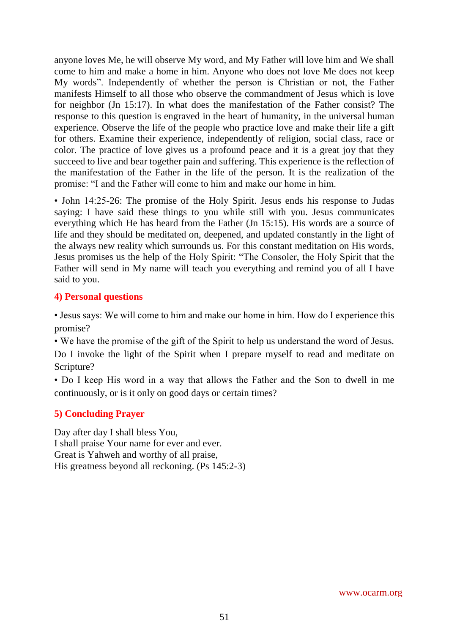anyone loves Me, he will observe My word, and My Father will love him and We shall come to him and make a home in him. Anyone who does not love Me does not keep My words". Independently of whether the person is Christian or not, the Father manifests Himself to all those who observe the commandment of Jesus which is love for neighbor (Jn 15:17). In what does the manifestation of the Father consist? The response to this question is engraved in the heart of humanity, in the universal human experience. Observe the life of the people who practice love and make their life a gift for others. Examine their experience, independently of religion, social class, race or color. The practice of love gives us a profound peace and it is a great joy that they succeed to live and bear together pain and suffering. This experience is the reflection of the manifestation of the Father in the life of the person. It is the realization of the promise: "I and the Father will come to him and make our home in him.

• John 14:25-26: The promise of the Holy Spirit. Jesus ends his response to Judas saying: I have said these things to you while still with you. Jesus communicates everything which He has heard from the Father (Jn 15:15). His words are a source of life and they should be meditated on, deepened, and updated constantly in the light of the always new reality which surrounds us. For this constant meditation on His words, Jesus promises us the help of the Holy Spirit: "The Consoler, the Holy Spirit that the Father will send in My name will teach you everything and remind you of all I have said to you.

## **4) Personal questions**

• Jesus says: We will come to him and make our home in him. How do I experience this promise?

• We have the promise of the gift of the Spirit to help us understand the word of Jesus. Do I invoke the light of the Spirit when I prepare myself to read and meditate on Scripture?

• Do I keep His word in a way that allows the Father and the Son to dwell in me continuously, or is it only on good days or certain times?

## **5) Concluding Prayer**

Day after day I shall bless You, I shall praise Your name for ever and ever. Great is Yahweh and worthy of all praise, His greatness beyond all reckoning. (Ps 145:2-3)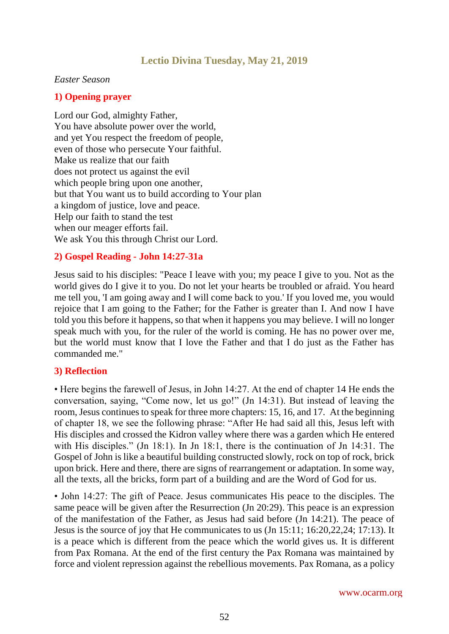## **Lectio Divina Tuesday, May 21, 2019**

#### *Easter Season*

#### **1) Opening prayer**

Lord our God, almighty Father, You have absolute power over the world, and yet You respect the freedom of people, even of those who persecute Your faithful. Make us realize that our faith does not protect us against the evil which people bring upon one another, but that You want us to build according to Your plan a kingdom of justice, love and peace. Help our faith to stand the test when our meager efforts fail. We ask You this through Christ our Lord.

## **2) Gospel Reading - John 14:27-31a**

Jesus said to his disciples: "Peace I leave with you; my peace I give to you. Not as the world gives do I give it to you. Do not let your hearts be troubled or afraid. You heard me tell you, 'I am going away and I will come back to you.' If you loved me, you would rejoice that I am going to the Father; for the Father is greater than I. And now I have told you this before it happens, so that when it happens you may believe. I will no longer speak much with you, for the ruler of the world is coming. He has no power over me, but the world must know that I love the Father and that I do just as the Father has commanded me."

#### **3) Reflection**

• Here begins the farewell of Jesus, in John 14:27. At the end of chapter 14 He ends the conversation, saying, "Come now, let us go!" (Jn 14:31). But instead of leaving the room, Jesus continues to speak for three more chapters: 15, 16, and 17. At the beginning of chapter 18, we see the following phrase: "After He had said all this, Jesus left with His disciples and crossed the Kidron valley where there was a garden which He entered with His disciples." (Jn 18:1). In Jn 18:1, there is the continuation of Jn 14:31. The Gospel of John is like a beautiful building constructed slowly, rock on top of rock, brick upon brick. Here and there, there are signs of rearrangement or adaptation. In some way, all the texts, all the bricks, form part of a building and are the Word of God for us.

• John 14:27: The gift of Peace. Jesus communicates His peace to the disciples. The same peace will be given after the Resurrection (Jn 20:29). This peace is an expression of the manifestation of the Father, as Jesus had said before (Jn 14:21). The peace of Jesus is the source of joy that He communicates to us (Jn 15:11; 16:20,22,24; 17:13). It is a peace which is different from the peace which the world gives us. It is different from Pax Romana. At the end of the first century the Pax Romana was maintained by force and violent repression against the rebellious movements. Pax Romana, as a policy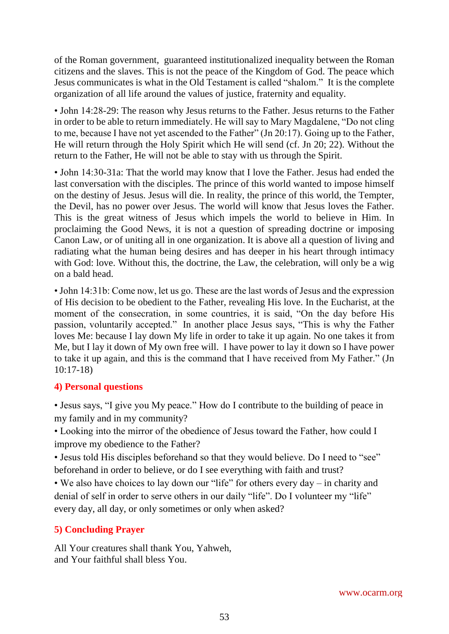of the Roman government, guaranteed institutionalized inequality between the Roman citizens and the slaves. This is not the peace of the Kingdom of God. The peace which Jesus communicates is what in the Old Testament is called "shalom." It is the complete organization of all life around the values of justice, fraternity and equality.

• John 14:28-29: The reason why Jesus returns to the Father. Jesus returns to the Father in order to be able to return immediately. He will say to Mary Magdalene, "Do not cling to me, because I have not yet ascended to the Father" (Jn 20:17). Going up to the Father, He will return through the Holy Spirit which He will send (cf. Jn 20; 22). Without the return to the Father, He will not be able to stay with us through the Spirit.

• John 14:30-31a: That the world may know that I love the Father. Jesus had ended the last conversation with the disciples. The prince of this world wanted to impose himself on the destiny of Jesus. Jesus will die. In reality, the prince of this world, the Tempter, the Devil, has no power over Jesus. The world will know that Jesus loves the Father. This is the great witness of Jesus which impels the world to believe in Him. In proclaiming the Good News, it is not a question of spreading doctrine or imposing Canon Law, or of uniting all in one organization. It is above all a question of living and radiating what the human being desires and has deeper in his heart through intimacy with God: love. Without this, the doctrine, the Law, the celebration, will only be a wig on a bald head.

• John 14:31b: Come now, let us go. These are the last words of Jesus and the expression of His decision to be obedient to the Father, revealing His love. In the Eucharist, at the moment of the consecration, in some countries, it is said, "On the day before His passion, voluntarily accepted." In another place Jesus says, "This is why the Father loves Me: because I lay down My life in order to take it up again. No one takes it from Me, but I lay it down of My own free will. I have power to lay it down so I have power to take it up again, and this is the command that I have received from My Father." (Jn 10:17-18)

## **4) Personal questions**

• Jesus says, "I give you My peace." How do I contribute to the building of peace in my family and in my community?

• Looking into the mirror of the obedience of Jesus toward the Father, how could I improve my obedience to the Father?

• Jesus told His disciples beforehand so that they would believe. Do I need to "see" beforehand in order to believe, or do I see everything with faith and trust?

• We also have choices to lay down our "life" for others every day – in charity and denial of self in order to serve others in our daily "life". Do I volunteer my "life" every day, all day, or only sometimes or only when asked?

# **5) Concluding Prayer**

All Your creatures shall thank You, Yahweh, and Your faithful shall bless You.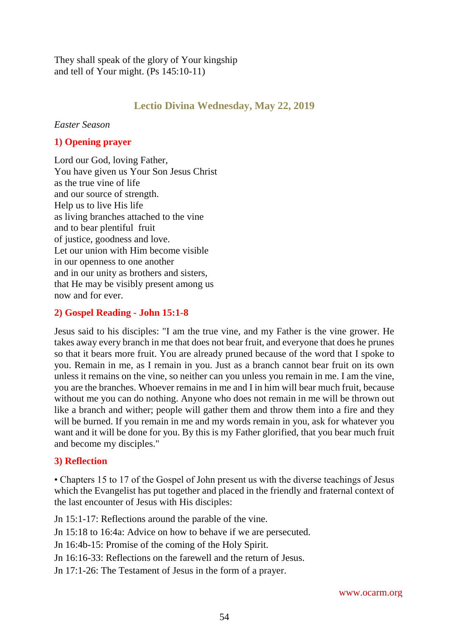They shall speak of the glory of Your kingship and tell of Your might. (Ps 145:10-11)

## **Lectio Divina Wednesday, May 22, 2019**

*Easter Season*

## **1) Opening prayer**

Lord our God, loving Father, You have given us Your Son Jesus Christ as the true vine of life and our source of strength. Help us to live His life as living branches attached to the vine and to bear plentiful fruit of justice, goodness and love. Let our union with Him become visible in our openness to one another and in our unity as brothers and sisters, that He may be visibly present among us now and for ever.

## **2) Gospel Reading - John 15:1-8**

Jesus said to his disciples: "I am the true vine, and my Father is the vine grower. He takes away every branch in me that does not bear fruit, and everyone that does he prunes so that it bears more fruit. You are already pruned because of the word that I spoke to you. Remain in me, as I remain in you. Just as a branch cannot bear fruit on its own unless it remains on the vine, so neither can you unless you remain in me. I am the vine, you are the branches. Whoever remains in me and I in him will bear much fruit, because without me you can do nothing. Anyone who does not remain in me will be thrown out like a branch and wither; people will gather them and throw them into a fire and they will be burned. If you remain in me and my words remain in you, ask for whatever you want and it will be done for you. By this is my Father glorified, that you bear much fruit and become my disciples."

## **3) Reflection**

• Chapters 15 to 17 of the Gospel of John present us with the diverse teachings of Jesus which the Evangelist has put together and placed in the friendly and fraternal context of the last encounter of Jesus with His disciples:

Jn 15:1-17: Reflections around the parable of the vine.

Jn 15:18 to 16:4a: Advice on how to behave if we are persecuted.

Jn 16:4b-15: Promise of the coming of the Holy Spirit.

Jn 16:16-33: Reflections on the farewell and the return of Jesus.

Jn 17:1-26: The Testament of Jesus in the form of a prayer.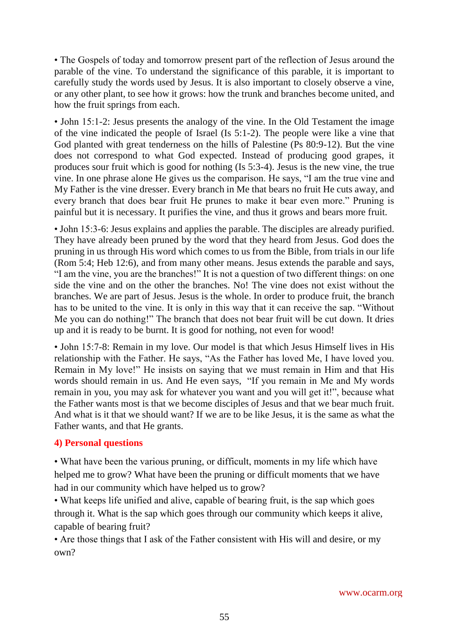• The Gospels of today and tomorrow present part of the reflection of Jesus around the parable of the vine. To understand the significance of this parable, it is important to carefully study the words used by Jesus. It is also important to closely observe a vine, or any other plant, to see how it grows: how the trunk and branches become united, and how the fruit springs from each.

• John 15:1-2: Jesus presents the analogy of the vine. In the Old Testament the image of the vine indicated the people of Israel (Is 5:1-2). The people were like a vine that God planted with great tenderness on the hills of Palestine (Ps 80:9-12). But the vine does not correspond to what God expected. Instead of producing good grapes, it produces sour fruit which is good for nothing (Is 5:3-4). Jesus is the new vine, the true vine. In one phrase alone He gives us the comparison. He says, "I am the true vine and My Father is the vine dresser. Every branch in Me that bears no fruit He cuts away, and every branch that does bear fruit He prunes to make it bear even more." Pruning is painful but it is necessary. It purifies the vine, and thus it grows and bears more fruit.

• John 15:3-6: Jesus explains and applies the parable. The disciples are already purified. They have already been pruned by the word that they heard from Jesus. God does the pruning in us through His word which comes to us from the Bible, from trials in our life (Rom 5:4; Heb 12:6), and from many other means. Jesus extends the parable and says, "I am the vine, you are the branches!" It is not a question of two different things: on one side the vine and on the other the branches. No! The vine does not exist without the branches. We are part of Jesus. Jesus is the whole. In order to produce fruit, the branch has to be united to the vine. It is only in this way that it can receive the sap. "Without Me you can do nothing!" The branch that does not bear fruit will be cut down. It dries up and it is ready to be burnt. It is good for nothing, not even for wood!

• John 15:7-8: Remain in my love. Our model is that which Jesus Himself lives in His relationship with the Father. He says, "As the Father has loved Me, I have loved you. Remain in My love!" He insists on saying that we must remain in Him and that His words should remain in us. And He even says, "If you remain in Me and My words remain in you, you may ask for whatever you want and you will get it!", because what the Father wants most is that we become disciples of Jesus and that we bear much fruit. And what is it that we should want? If we are to be like Jesus, it is the same as what the Father wants, and that He grants.

## **4) Personal questions**

• What have been the various pruning, or difficult, moments in my life which have helped me to grow? What have been the pruning or difficult moments that we have had in our community which have helped us to grow?

• What keeps life unified and alive, capable of bearing fruit, is the sap which goes through it. What is the sap which goes through our community which keeps it alive, capable of bearing fruit?

• Are those things that I ask of the Father consistent with His will and desire, or my own?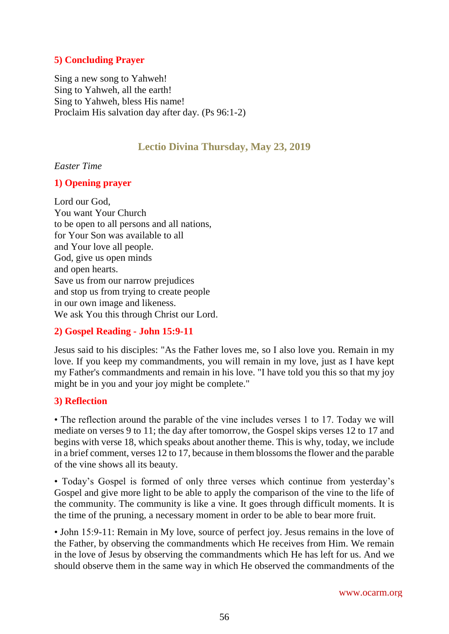## **5) Concluding Prayer**

Sing a new song to Yahweh! Sing to Yahweh, all the earth! Sing to Yahweh, bless His name! Proclaim His salvation day after day. (Ps 96:1-2)

# **Lectio Divina Thursday, May 23, 2019**

*Easter Time*

#### **1) Opening prayer**

Lord our God, You want Your Church to be open to all persons and all nations, for Your Son was available to all and Your love all people. God, give us open minds and open hearts. Save us from our narrow prejudices and stop us from trying to create people in our own image and likeness. We ask You this through Christ our Lord.

## **2) Gospel Reading - John 15:9-11**

Jesus said to his disciples: "As the Father loves me, so I also love you. Remain in my love. If you keep my commandments, you will remain in my love, just as I have kept my Father's commandments and remain in his love. "I have told you this so that my joy might be in you and your joy might be complete."

#### **3) Reflection**

• The reflection around the parable of the vine includes verses 1 to 17. Today we will mediate on verses 9 to 11; the day after tomorrow, the Gospel skips verses 12 to 17 and begins with verse 18, which speaks about another theme. This is why, today, we include in a brief comment, verses 12 to 17, because in them blossoms the flower and the parable of the vine shows all its beauty.

• Today's Gospel is formed of only three verses which continue from yesterday's Gospel and give more light to be able to apply the comparison of the vine to the life of the community. The community is like a vine. It goes through difficult moments. It is the time of the pruning, a necessary moment in order to be able to bear more fruit.

• John 15:9-11: Remain in My love, source of perfect joy. Jesus remains in the love of the Father, by observing the commandments which He receives from Him. We remain in the love of Jesus by observing the commandments which He has left for us. And we should observe them in the same way in which He observed the commandments of the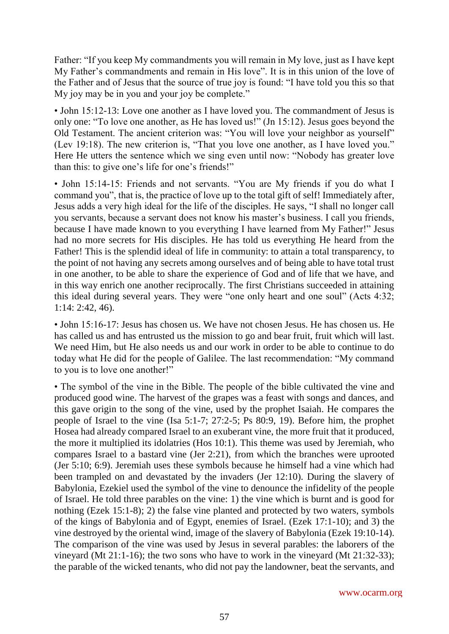Father: "If you keep My commandments you will remain in My love, just as I have kept My Father's commandments and remain in His love". It is in this union of the love of the Father and of Jesus that the source of true joy is found: "I have told you this so that My joy may be in you and your joy be complete."

• John 15:12-13: Love one another as I have loved you. The commandment of Jesus is only one: "To love one another, as He has loved us!" (Jn 15:12). Jesus goes beyond the Old Testament. The ancient criterion was: "You will love your neighbor as yourself" (Lev 19:18). The new criterion is, "That you love one another, as I have loved you." Here He utters the sentence which we sing even until now: "Nobody has greater love than this: to give one's life for one's friends!"

• John 15:14-15: Friends and not servants. "You are My friends if you do what I command you", that is, the practice of love up to the total gift of self! Immediately after, Jesus adds a very high ideal for the life of the disciples. He says, "I shall no longer call you servants, because a servant does not know his master's business. I call you friends, because I have made known to you everything I have learned from My Father!" Jesus had no more secrets for His disciples. He has told us everything He heard from the Father! This is the splendid ideal of life in community: to attain a total transparency, to the point of not having any secrets among ourselves and of being able to have total trust in one another, to be able to share the experience of God and of life that we have, and in this way enrich one another reciprocally. The first Christians succeeded in attaining this ideal during several years. They were "one only heart and one soul" (Acts 4:32; 1:14: 2:42, 46).

• John 15:16-17: Jesus has chosen us. We have not chosen Jesus. He has chosen us. He has called us and has entrusted us the mission to go and bear fruit, fruit which will last. We need Him, but He also needs us and our work in order to be able to continue to do today what He did for the people of Galilee. The last recommendation: "My command to you is to love one another!"

• The symbol of the vine in the Bible. The people of the bible cultivated the vine and produced good wine. The harvest of the grapes was a feast with songs and dances, and this gave origin to the song of the vine, used by the prophet Isaiah. He compares the people of Israel to the vine (Isa 5:1-7; 27:2-5; Ps 80:9, 19). Before him, the prophet Hosea had already compared Israel to an exuberant vine, the more fruit that it produced, the more it multiplied its idolatries (Hos 10:1). This theme was used by Jeremiah, who compares Israel to a bastard vine (Jer 2:21), from which the branches were uprooted (Jer 5:10; 6:9). Jeremiah uses these symbols because he himself had a vine which had been trampled on and devastated by the invaders (Jer 12:10). During the slavery of Babylonia, Ezekiel used the symbol of the vine to denounce the infidelity of the people of Israel. He told three parables on the vine: 1) the vine which is burnt and is good for nothing (Ezek 15:1-8); 2) the false vine planted and protected by two waters, symbols of the kings of Babylonia and of Egypt, enemies of Israel. (Ezek 17:1-10); and 3) the vine destroyed by the oriental wind, image of the slavery of Babylonia (Ezek 19:10-14). The comparison of the vine was used by Jesus in several parables: the laborers of the vineyard (Mt 21:1-16); the two sons who have to work in the vineyard (Mt 21:32-33); the parable of the wicked tenants, who did not pay the landowner, beat the servants, and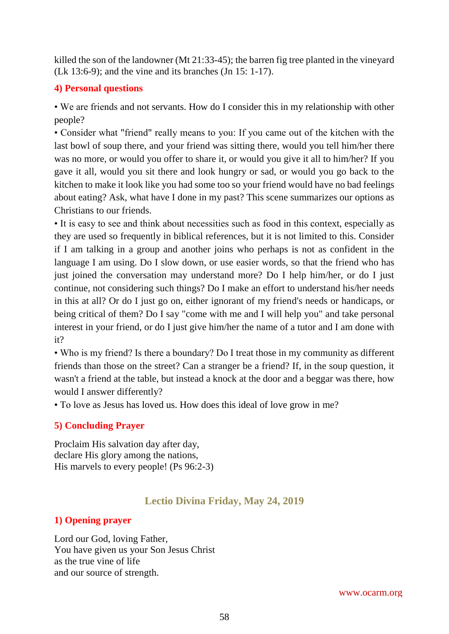killed the son of the landowner (Mt 21:33-45); the barren fig tree planted in the vineyard (Lk 13:6-9); and the vine and its branches (Jn 15: 1-17).

## **4) Personal questions**

• We are friends and not servants. How do I consider this in my relationship with other people?

• Consider what "friend" really means to you: If you came out of the kitchen with the last bowl of soup there, and your friend was sitting there, would you tell him/her there was no more, or would you offer to share it, or would you give it all to him/her? If you gave it all, would you sit there and look hungry or sad, or would you go back to the kitchen to make it look like you had some too so your friend would have no bad feelings about eating? Ask, what have I done in my past? This scene summarizes our options as Christians to our friends.

• It is easy to see and think about necessities such as food in this context, especially as they are used so frequently in biblical references, but it is not limited to this. Consider if I am talking in a group and another joins who perhaps is not as confident in the language I am using. Do I slow down, or use easier words, so that the friend who has just joined the conversation may understand more? Do I help him/her, or do I just continue, not considering such things? Do I make an effort to understand his/her needs in this at all? Or do I just go on, either ignorant of my friend's needs or handicaps, or being critical of them? Do I say "come with me and I will help you" and take personal interest in your friend, or do I just give him/her the name of a tutor and I am done with it?

• Who is my friend? Is there a boundary? Do I treat those in my community as different friends than those on the street? Can a stranger be a friend? If, in the soup question, it wasn't a friend at the table, but instead a knock at the door and a beggar was there, how would I answer differently?

• To love as Jesus has loved us. How does this ideal of love grow in me?

# **5) Concluding Prayer**

Proclaim His salvation day after day, declare His glory among the nations, His marvels to every people! (Ps 96:2-3)

# **Lectio Divina Friday, May 24, 2019**

# **1) Opening prayer**

Lord our God, loving Father, You have given us your Son Jesus Christ as the true vine of life and our source of strength.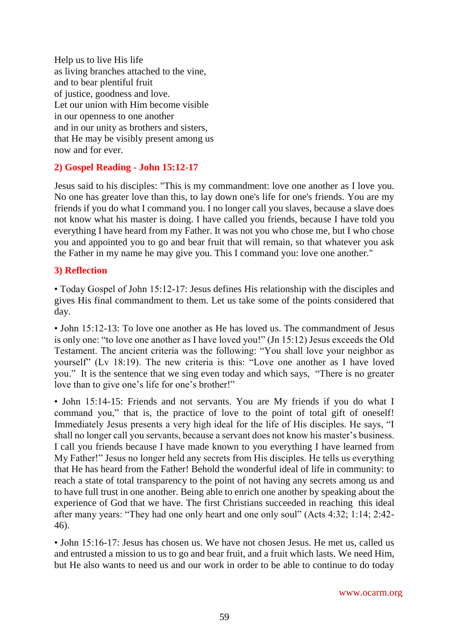Help us to live His life as living branches attached to the vine, and to bear plentiful fruit of justice, goodness and love. Let our union with Him become visible in our openness to one another and in our unity as brothers and sisters, that He may be visibly present among us now and for ever.

# **2) Gospel Reading - John 15:12-17**

Jesus said to his disciples: "This is my commandment: love one another as I love you. No one has greater love than this, to lay down one's life for one's friends. You are my friends if you do what I command you. I no longer call you slaves, because a slave does not know what his master is doing. I have called you friends, because I have told you everything I have heard from my Father. It was not you who chose me, but I who chose you and appointed you to go and bear fruit that will remain, so that whatever you ask the Father in my name he may give you. This I command you: love one another."

## **3) Reflection**

• Today Gospel of John 15:12-17: Jesus defines His relationship with the disciples and gives His final commandment to them. Let us take some of the points considered that day.

• John 15:12-13: To love one another as He has loved us. The commandment of Jesus is only one: "to love one another as I have loved you!" (Jn 15:12) Jesus exceeds the Old Testament. The ancient criteria was the following: "You shall love your neighbor as yourself" (Lv 18:19). The new criteria is this: "Love one another as I have loved you." It is the sentence that we sing even today and which says, "There is no greater love than to give one's life for one's brother!"

• John 15:14-15: Friends and not servants. You are My friends if you do what I command you," that is, the practice of love to the point of total gift of oneself! Immediately Jesus presents a very high ideal for the life of His disciples. He says, "I shall no longer call you servants, because a servant does not know his master's business. I call you friends because I have made known to you everything I have learned from My Father!" Jesus no longer held any secrets from His disciples. He tells us everything that He has heard from the Father! Behold the wonderful ideal of life in community: to reach a state of total transparency to the point of not having any secrets among us and to have full trust in one another. Being able to enrich one another by speaking about the experience of God that we have. The first Christians succeeded in reaching this ideal after many years: "They had one only heart and one only soul" (Acts 4:32; 1:14; 2:42- 46).

• John 15:16-17: Jesus has chosen us. We have not chosen Jesus. He met us, called us and entrusted a mission to us to go and bear fruit, and a fruit which lasts. We need Him, but He also wants to need us and our work in order to be able to continue to do today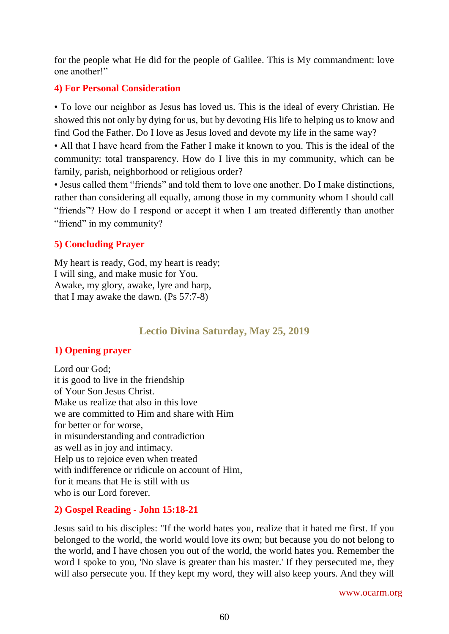for the people what He did for the people of Galilee. This is My commandment: love one another!"

## **4) For Personal Consideration**

• To love our neighbor as Jesus has loved us. This is the ideal of every Christian. He showed this not only by dying for us, but by devoting His life to helping us to know and find God the Father. Do I love as Jesus loved and devote my life in the same way?

• All that I have heard from the Father I make it known to you. This is the ideal of the community: total transparency. How do I live this in my community, which can be family, parish, neighborhood or religious order?

• Jesus called them "friends" and told them to love one another. Do I make distinctions, rather than considering all equally, among those in my community whom I should call "friends"? How do I respond or accept it when I am treated differently than another "friend" in my community?

# **5) Concluding Prayer**

My heart is ready, God, my heart is ready; I will sing, and make music for You. Awake, my glory, awake, lyre and harp, that I may awake the dawn. (Ps 57:7-8)

# **Lectio Divina Saturday, May 25, 2019**

## **1) Opening prayer**

Lord our God; it is good to live in the friendship of Your Son Jesus Christ. Make us realize that also in this love we are committed to Him and share with Him for better or for worse, in misunderstanding and contradiction as well as in joy and intimacy. Help us to rejoice even when treated with indifference or ridicule on account of Him, for it means that He is still with us who is our Lord forever.

## **2) Gospel Reading - John 15:18-21**

Jesus said to his disciples: "If the world hates you, realize that it hated me first. If you belonged to the world, the world would love its own; but because you do not belong to the world, and I have chosen you out of the world, the world hates you. Remember the word I spoke to you, 'No slave is greater than his master.' If they persecuted me, they will also persecute you. If they kept my word, they will also keep yours. And they will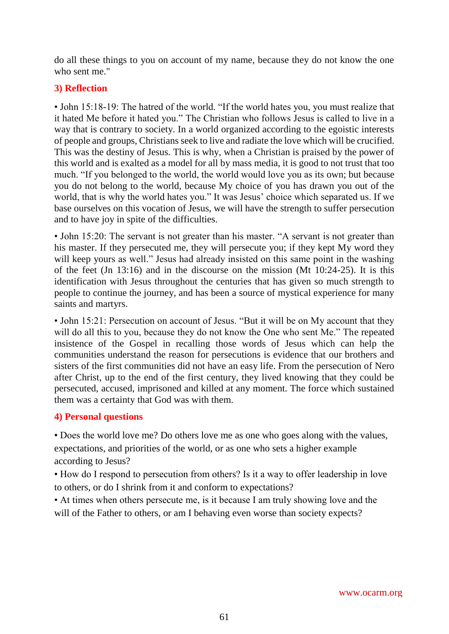do all these things to you on account of my name, because they do not know the one who sent me."

## **3) Reflection**

• John 15:18-19: The hatred of the world. "If the world hates you, you must realize that it hated Me before it hated you." The Christian who follows Jesus is called to live in a way that is contrary to society. In a world organized according to the egoistic interests of people and groups, Christians seek to live and radiate the love which will be crucified. This was the destiny of Jesus. This is why, when a Christian is praised by the power of this world and is exalted as a model for all by mass media, it is good to not trust that too much. "If you belonged to the world, the world would love you as its own; but because you do not belong to the world, because My choice of you has drawn you out of the world, that is why the world hates you." It was Jesus' choice which separated us. If we base ourselves on this vocation of Jesus, we will have the strength to suffer persecution and to have joy in spite of the difficulties.

• John 15:20: The servant is not greater than his master. "A servant is not greater than his master. If they persecuted me, they will persecute you; if they kept My word they will keep yours as well." Jesus had already insisted on this same point in the washing of the feet (Jn 13:16) and in the discourse on the mission (Mt 10:24-25). It is this identification with Jesus throughout the centuries that has given so much strength to people to continue the journey, and has been a source of mystical experience for many saints and martyrs.

• John 15:21: Persecution on account of Jesus. "But it will be on My account that they will do all this to you, because they do not know the One who sent Me." The repeated insistence of the Gospel in recalling those words of Jesus which can help the communities understand the reason for persecutions is evidence that our brothers and sisters of the first communities did not have an easy life. From the persecution of Nero after Christ, up to the end of the first century, they lived knowing that they could be persecuted, accused, imprisoned and killed at any moment. The force which sustained them was a certainty that God was with them.

## **4) Personal questions**

• Does the world love me? Do others love me as one who goes along with the values, expectations, and priorities of the world, or as one who sets a higher example according to Jesus?

• How do I respond to persecution from others? Is it a way to offer leadership in love to others, or do I shrink from it and conform to expectations?

• At times when others persecute me, is it because I am truly showing love and the will of the Father to others, or am I behaving even worse than society expects?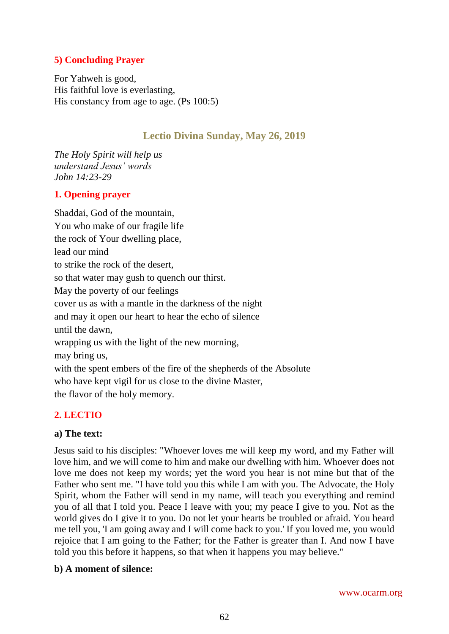# **5) Concluding Prayer**

For Yahweh is good, His faithful love is everlasting, His constancy from age to age. (Ps 100:5)

## **Lectio Divina Sunday, May 26, 2019**

*The Holy Spirit will help us understand Jesus' words John 14:23-29*

#### **1. Opening prayer**

Shaddai, God of the mountain, You who make of our fragile life the rock of Your dwelling place, lead our mind to strike the rock of the desert, so that water may gush to quench our thirst. May the poverty of our feelings cover us as with a mantle in the darkness of the night and may it open our heart to hear the echo of silence until the dawn, wrapping us with the light of the new morning, may bring us, with the spent embers of the fire of the shepherds of the Absolute who have kept vigil for us close to the divine Master, the flavor of the holy memory.

## **2. LECTIO**

#### **a) The text:**

Jesus said to his disciples: "Whoever loves me will keep my word, and my Father will love him, and we will come to him and make our dwelling with him. Whoever does not love me does not keep my words; yet the word you hear is not mine but that of the Father who sent me. "I have told you this while I am with you. The Advocate, the Holy Spirit, whom the Father will send in my name, will teach you everything and remind you of all that I told you. Peace I leave with you; my peace I give to you. Not as the world gives do I give it to you. Do not let your hearts be troubled or afraid. You heard me tell you, 'I am going away and I will come back to you.' If you loved me, you would rejoice that I am going to the Father; for the Father is greater than I. And now I have told you this before it happens, so that when it happens you may believe."

#### **b) A moment of silence:**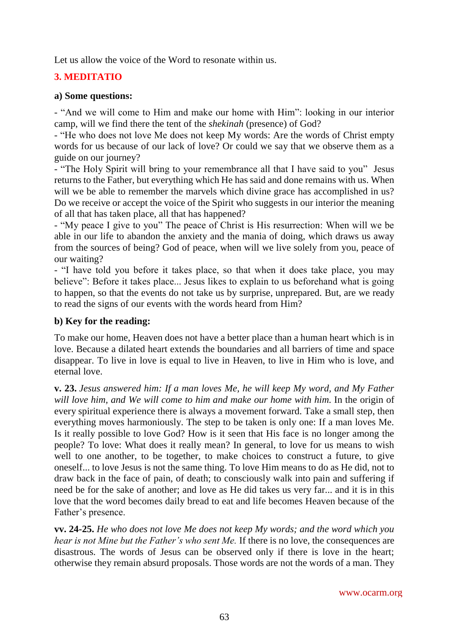Let us allow the voice of the Word to resonate within us.

## **3. MEDITATIO**

#### **a) Some questions:**

- "And we will come to Him and make our home with Him": looking in our interior camp, will we find there the tent of the *shekinah* (presence) of God?

- "He who does not love Me does not keep My words: Are the words of Christ empty words for us because of our lack of love? Or could we say that we observe them as a guide on our journey?

- "The Holy Spirit will bring to your remembrance all that I have said to you" Jesus returns to the Father, but everything which He has said and done remains with us. When will we be able to remember the marvels which divine grace has accomplished in us? Do we receive or accept the voice of the Spirit who suggests in our interior the meaning of all that has taken place, all that has happened?

- "My peace I give to you" The peace of Christ is His resurrection: When will we be able in our life to abandon the anxiety and the mania of doing, which draws us away from the sources of being? God of peace, when will we live solely from you, peace of our waiting?

- "I have told you before it takes place, so that when it does take place, you may believe": Before it takes place... Jesus likes to explain to us beforehand what is going to happen, so that the events do not take us by surprise, unprepared. But, are we ready to read the signs of our events with the words heard from Him?

## **b) Key for the reading:**

To make our home, Heaven does not have a better place than a human heart which is in love. Because a dilated heart extends the boundaries and all barriers of time and space disappear. To live in love is equal to live in Heaven, to live in Him who is love, and eternal love.

**v. 23.** *Jesus answered him: If a man loves Me, he will keep My word, and My Father will love him, and We will come to him and make our home with him.* In the origin of every spiritual experience there is always a movement forward. Take a small step, then everything moves harmoniously. The step to be taken is only one: If a man loves Me. Is it really possible to love God? How is it seen that His face is no longer among the people? To love: What does it really mean? In general, to love for us means to wish well to one another, to be together, to make choices to construct a future, to give oneself... to love Jesus is not the same thing. To love Him means to do as He did, not to draw back in the face of pain, of death; to consciously walk into pain and suffering if need be for the sake of another; and love as He did takes us very far... and it is in this love that the word becomes daily bread to eat and life becomes Heaven because of the Father's presence.

**vv. 24-25.** *He who does not love Me does not keep My words; and the word which you hear is not Mine but the Father's who sent Me.* If there is no love, the consequences are disastrous. The words of Jesus can be observed only if there is love in the heart; otherwise they remain absurd proposals. Those words are not the words of a man. They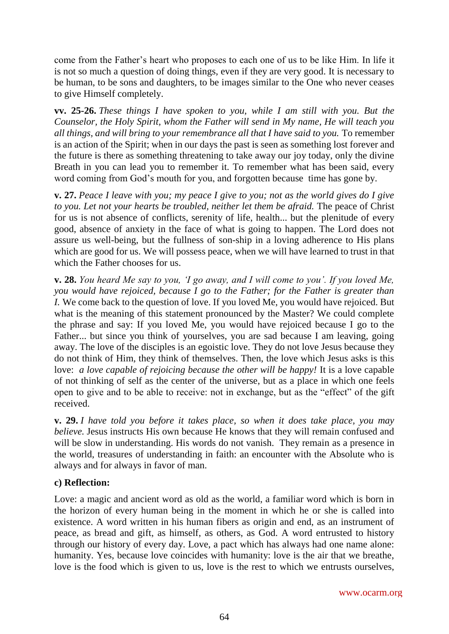come from the Father's heart who proposes to each one of us to be like Him. In life it is not so much a question of doing things, even if they are very good. It is necessary to be human, to be sons and daughters, to be images similar to the One who never ceases to give Himself completely.

**vv. 25-26.** *These things I have spoken to you, while I am still with you. But the Counselor, the Holy Spirit, whom the Father will send in My name, He will teach you all things, and will bring to your remembrance all that I have said to you.* To remember is an action of the Spirit; when in our days the past is seen as something lost forever and the future is there as something threatening to take away our joy today, only the divine Breath in you can lead you to remember it. To remember what has been said, every word coming from God's mouth for you, and forgotten because time has gone by.

**v. 27.** *Peace I leave with you; my peace I give to you; not as the world gives do I give to you. Let not your hearts be troubled, neither let them be afraid.* The peace of Christ for us is not absence of conflicts, serenity of life, health... but the plenitude of every good, absence of anxiety in the face of what is going to happen. The Lord does not assure us well-being, but the fullness of son-ship in a loving adherence to His plans which are good for us. We will possess peace, when we will have learned to trust in that which the Father chooses for us.

**v. 28.** *You heard Me say to you, 'I go away, and I will come to you'. If you loved Me, you would have rejoiced, because I go to the Father; for the Father is greater than I.* We come back to the question of love. If you loved Me, you would have rejoiced. But what is the meaning of this statement pronounced by the Master? We could complete the phrase and say: If you loved Me, you would have rejoiced because I go to the Father... but since you think of yourselves, you are sad because I am leaving, going away. The love of the disciples is an egoistic love. They do not love Jesus because they do not think of Him, they think of themselves. Then, the love which Jesus asks is this love: *a love capable of rejoicing because the other will be happy!* It is a love capable of not thinking of self as the center of the universe, but as a place in which one feels open to give and to be able to receive: not in exchange, but as the "effect" of the gift received.

**v. 29.** *I have told you before it takes place, so when it does take place, you may believe.* Jesus instructs His own because He knows that they will remain confused and will be slow in understanding. His words do not vanish. They remain as a presence in the world, treasures of understanding in faith: an encounter with the Absolute who is always and for always in favor of man.

# **c) Reflection:**

Love: a magic and ancient word as old as the world, a familiar word which is born in the horizon of every human being in the moment in which he or she is called into existence. A word written in his human fibers as origin and end, as an instrument of peace, as bread and gift, as himself, as others, as God. A word entrusted to history through our history of every day. Love, a pact which has always had one name alone: humanity. Yes, because love coincides with humanity: love is the air that we breathe, love is the food which is given to us, love is the rest to which we entrusts ourselves,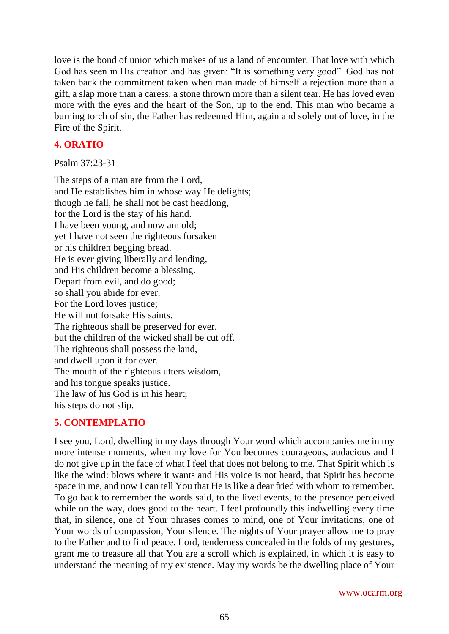love is the bond of union which makes of us a land of encounter. That love with which God has seen in His creation and has given: "It is something very good". God has not taken back the commitment taken when man made of himself a rejection more than a gift, a slap more than a caress, a stone thrown more than a silent tear. He has loved even more with the eyes and the heart of the Son, up to the end. This man who became a burning torch of sin, the Father has redeemed Him, again and solely out of love, in the Fire of the Spirit.

#### **4. ORATIO**

Psalm 37:23-31

The steps of a man are from the Lord, and He establishes him in whose way He delights; though he fall, he shall not be cast headlong, for the Lord is the stay of his hand. I have been young, and now am old; yet I have not seen the righteous forsaken or his children begging bread. He is ever giving liberally and lending, and His children become a blessing. Depart from evil, and do good; so shall you abide for ever. For the Lord loves justice; He will not forsake His saints. The righteous shall be preserved for ever, but the children of the wicked shall be cut off. The righteous shall possess the land, and dwell upon it for ever. The mouth of the righteous utters wisdom, and his tongue speaks justice. The law of his God is in his heart; his steps do not slip.

# **5. CONTEMPLATIO**

I see you, Lord, dwelling in my days through Your word which accompanies me in my more intense moments, when my love for You becomes courageous, audacious and I do not give up in the face of what I feel that does not belong to me. That Spirit which is like the wind: blows where it wants and His voice is not heard, that Spirit has become space in me, and now I can tell You that He is like a dear fried with whom to remember. To go back to remember the words said, to the lived events, to the presence perceived while on the way, does good to the heart. I feel profoundly this indwelling every time that, in silence, one of Your phrases comes to mind, one of Your invitations, one of Your words of compassion, Your silence. The nights of Your prayer allow me to pray to the Father and to find peace. Lord, tenderness concealed in the folds of my gestures, grant me to treasure all that You are a scroll which is explained, in which it is easy to understand the meaning of my existence. May my words be the dwelling place of Your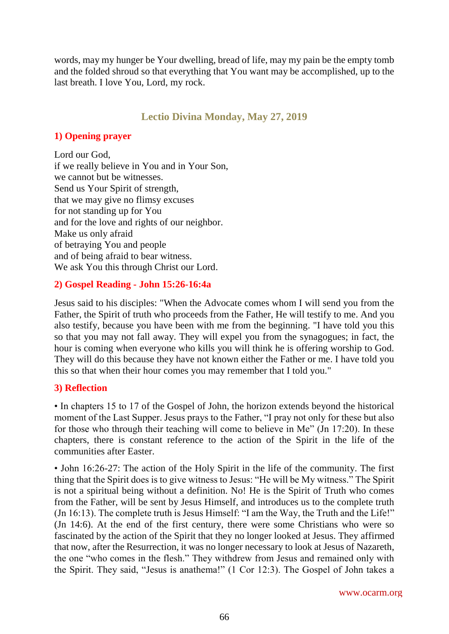words, may my hunger be Your dwelling, bread of life, may my pain be the empty tomb and the folded shroud so that everything that You want may be accomplished, up to the last breath. I love You, Lord, my rock.

## **Lectio Divina Monday, May 27, 2019**

## **1) Opening prayer**

Lord our God, if we really believe in You and in Your Son, we cannot but be witnesses. Send us Your Spirit of strength, that we may give no flimsy excuses for not standing up for You and for the love and rights of our neighbor. Make us only afraid of betraying You and people and of being afraid to bear witness. We ask You this through Christ our Lord.

## **2) Gospel Reading - John 15:26-16:4a**

Jesus said to his disciples: "When the Advocate comes whom I will send you from the Father, the Spirit of truth who proceeds from the Father, He will testify to me. And you also testify, because you have been with me from the beginning. "I have told you this so that you may not fall away. They will expel you from the synagogues; in fact, the hour is coming when everyone who kills you will think he is offering worship to God. They will do this because they have not known either the Father or me. I have told you this so that when their hour comes you may remember that I told you."

## **3) Reflection**

• In chapters 15 to 17 of the Gospel of John, the horizon extends beyond the historical moment of the Last Supper. Jesus prays to the Father, "I pray not only for these but also for those who through their teaching will come to believe in Me" (Jn 17:20). In these chapters, there is constant reference to the action of the Spirit in the life of the communities after Easter.

• John 16:26-27: The action of the Holy Spirit in the life of the community. The first thing that the Spirit does is to give witness to Jesus: "He will be My witness." The Spirit is not a spiritual being without a definition. No! He is the Spirit of Truth who comes from the Father, will be sent by Jesus Himself, and introduces us to the complete truth (Jn 16:13). The complete truth is Jesus Himself: "I am the Way, the Truth and the Life!" (Jn 14:6). At the end of the first century, there were some Christians who were so fascinated by the action of the Spirit that they no longer looked at Jesus. They affirmed that now, after the Resurrection, it was no longer necessary to look at Jesus of Nazareth, the one "who comes in the flesh." They withdrew from Jesus and remained only with the Spirit. They said, "Jesus is anathema!" (1 Cor 12:3). The Gospel of John takes a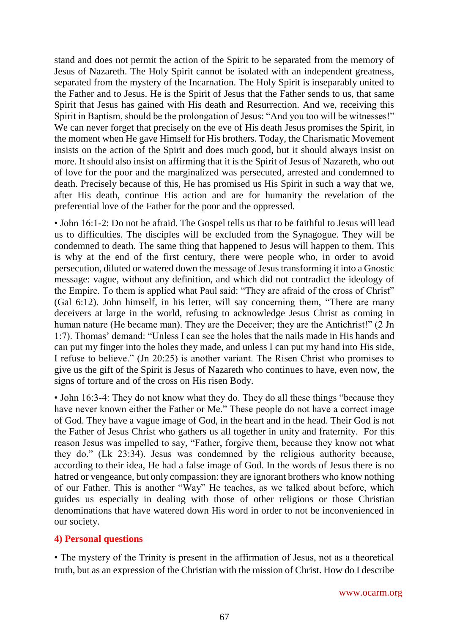stand and does not permit the action of the Spirit to be separated from the memory of Jesus of Nazareth. The Holy Spirit cannot be isolated with an independent greatness, separated from the mystery of the Incarnation. The Holy Spirit is inseparably united to the Father and to Jesus. He is the Spirit of Jesus that the Father sends to us, that same Spirit that Jesus has gained with His death and Resurrection. And we, receiving this Spirit in Baptism, should be the prolongation of Jesus: "And you too will be witnesses!" We can never forget that precisely on the eve of His death Jesus promises the Spirit, in the moment when He gave Himself for His brothers. Today, the Charismatic Movement insists on the action of the Spirit and does much good, but it should always insist on more. It should also insist on affirming that it is the Spirit of Jesus of Nazareth, who out of love for the poor and the marginalized was persecuted, arrested and condemned to death. Precisely because of this, He has promised us His Spirit in such a way that we, after His death, continue His action and are for humanity the revelation of the preferential love of the Father for the poor and the oppressed.

• John 16:1-2: Do not be afraid. The Gospel tells us that to be faithful to Jesus will lead us to difficulties. The disciples will be excluded from the Synagogue. They will be condemned to death. The same thing that happened to Jesus will happen to them. This is why at the end of the first century, there were people who, in order to avoid persecution, diluted or watered down the message of Jesus transforming it into a Gnostic message: vague, without any definition, and which did not contradict the ideology of the Empire. To them is applied what Paul said: "They are afraid of the cross of Christ" (Gal 6:12). John himself, in his letter, will say concerning them, "There are many deceivers at large in the world, refusing to acknowledge Jesus Christ as coming in human nature (He became man). They are the Deceiver; they are the Antichrist!" (2 Jn 1:7). Thomas' demand: "Unless I can see the holes that the nails made in His hands and can put my finger into the holes they made, and unless I can put my hand into His side, I refuse to believe." (Jn 20:25) is another variant. The Risen Christ who promises to give us the gift of the Spirit is Jesus of Nazareth who continues to have, even now, the signs of torture and of the cross on His risen Body.

• John 16:3-4: They do not know what they do. They do all these things "because they have never known either the Father or Me." These people do not have a correct image of God. They have a vague image of God, in the heart and in the head. Their God is not the Father of Jesus Christ who gathers us all together in unity and fraternity. For this reason Jesus was impelled to say, "Father, forgive them, because they know not what they do." (Lk 23:34). Jesus was condemned by the religious authority because, according to their idea, He had a false image of God. In the words of Jesus there is no hatred or vengeance, but only compassion: they are ignorant brothers who know nothing of our Father. This is another "Way" He teaches, as we talked about before, which guides us especially in dealing with those of other religions or those Christian denominations that have watered down His word in order to not be inconvenienced in our society.

## **4) Personal questions**

• The mystery of the Trinity is present in the affirmation of Jesus, not as a theoretical truth, but as an expression of the Christian with the mission of Christ. How do I describe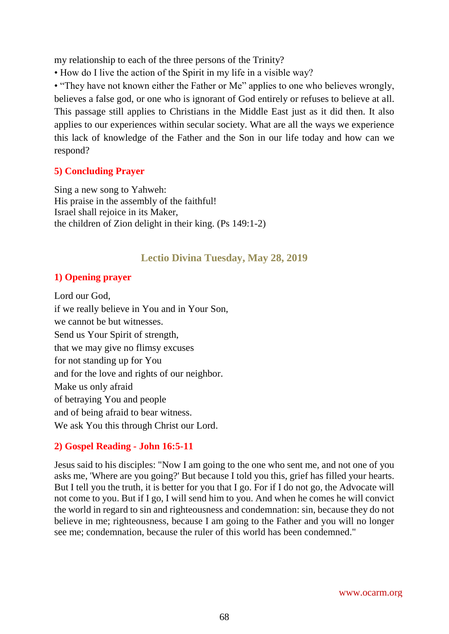my relationship to each of the three persons of the Trinity?

• How do I live the action of the Spirit in my life in a visible way?

• "They have not known either the Father or Me" applies to one who believes wrongly, believes a false god, or one who is ignorant of God entirely or refuses to believe at all. This passage still applies to Christians in the Middle East just as it did then. It also applies to our experiences within secular society. What are all the ways we experience this lack of knowledge of the Father and the Son in our life today and how can we respond?

## **5) Concluding Prayer**

Sing a new song to Yahweh: His praise in the assembly of the faithful! Israel shall rejoice in its Maker, the children of Zion delight in their king. (Ps 149:1-2)

## **Lectio Divina Tuesday, May 28, 2019**

## **1) Opening prayer**

Lord our God, if we really believe in You and in Your Son, we cannot be but witnesses. Send us Your Spirit of strength, that we may give no flimsy excuses for not standing up for You and for the love and rights of our neighbor. Make us only afraid of betraying You and people and of being afraid to bear witness. We ask You this through Christ our Lord.

## **2) Gospel Reading - John 16:5-11**

Jesus said to his disciples: "Now I am going to the one who sent me, and not one of you asks me, 'Where are you going?' But because I told you this, grief has filled your hearts. But I tell you the truth, it is better for you that I go. For if I do not go, the Advocate will not come to you. But if I go, I will send him to you. And when he comes he will convict the world in regard to sin and righteousness and condemnation: sin, because they do not believe in me; righteousness, because I am going to the Father and you will no longer see me; condemnation, because the ruler of this world has been condemned."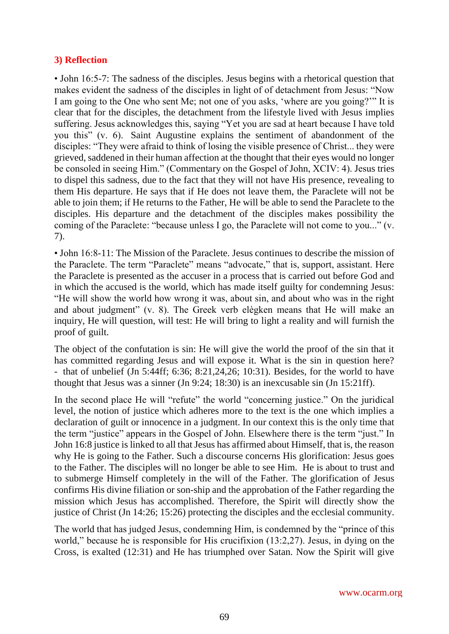## **3) Reflection**

• John 16:5-7: The sadness of the disciples. Jesus begins with a rhetorical question that makes evident the sadness of the disciples in light of of detachment from Jesus: "Now I am going to the One who sent Me; not one of you asks, 'where are you going?'" It is clear that for the disciples, the detachment from the lifestyle lived with Jesus implies suffering. Jesus acknowledges this, saying "Yet you are sad at heart because I have told you this" (v. 6). Saint Augustine explains the sentiment of abandonment of the disciples: "They were afraid to think of losing the visible presence of Christ... they were grieved, saddened in their human affection at the thought that their eyes would no longer be consoled in seeing Him." (Commentary on the Gospel of John, XCIV: 4). Jesus tries to dispel this sadness, due to the fact that they will not have His presence, revealing to them His departure. He says that if He does not leave them, the Paraclete will not be able to join them; if He returns to the Father, He will be able to send the Paraclete to the disciples. His departure and the detachment of the disciples makes possibility the coming of the Paraclete: "because unless I go, the Paraclete will not come to you..." (v. 7).

• John 16:8-11: The Mission of the Paraclete. Jesus continues to describe the mission of the Paraclete. The term "Paraclete" means "advocate," that is, support, assistant. Here the Paraclete is presented as the accuser in a process that is carried out before God and in which the accused is the world, which has made itself guilty for condemning Jesus: "He will show the world how wrong it was, about sin, and about who was in the right and about judgment" (v. 8). The Greek verb elègken means that He will make an inquiry, He will question, will test: He will bring to light a reality and will furnish the proof of guilt.

The object of the confutation is sin: He will give the world the proof of the sin that it has committed regarding Jesus and will expose it. What is the sin in question here? - that of unbelief (Jn 5:44ff; 6:36; 8:21,24,26; 10:31). Besides, for the world to have thought that Jesus was a sinner (Jn 9:24; 18:30) is an inexcusable sin (Jn 15:21ff).

In the second place He will "refute" the world "concerning justice." On the juridical level, the notion of justice which adheres more to the text is the one which implies a declaration of guilt or innocence in a judgment. In our context this is the only time that the term "justice" appears in the Gospel of John. Elsewhere there is the term "just." In John 16:8 justice is linked to all that Jesus has affirmed about Himself, that is, the reason why He is going to the Father. Such a discourse concerns His glorification: Jesus goes to the Father. The disciples will no longer be able to see Him. He is about to trust and to submerge Himself completely in the will of the Father. The glorification of Jesus confirms His divine filiation or son-ship and the approbation of the Father regarding the mission which Jesus has accomplished. Therefore, the Spirit will directly show the justice of Christ (Jn 14:26; 15:26) protecting the disciples and the ecclesial community.

The world that has judged Jesus, condemning Him, is condemned by the "prince of this world," because he is responsible for His crucifixion (13:2,27). Jesus, in dying on the Cross, is exalted (12:31) and He has triumphed over Satan. Now the Spirit will give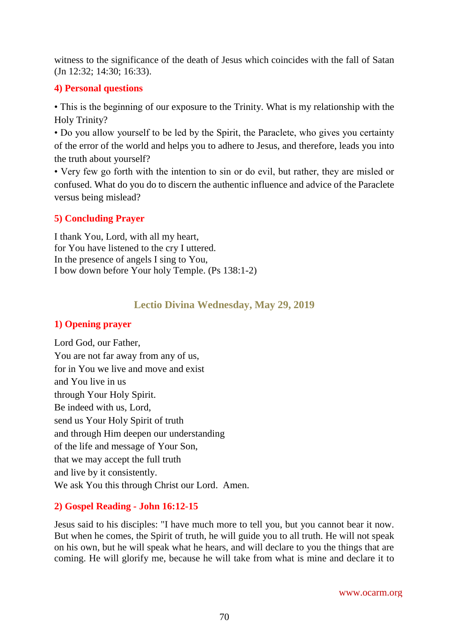witness to the significance of the death of Jesus which coincides with the fall of Satan (Jn 12:32; 14:30; 16:33).

## **4) Personal questions**

• This is the beginning of our exposure to the Trinity. What is my relationship with the Holy Trinity?

• Do you allow yourself to be led by the Spirit, the Paraclete, who gives you certainty of the error of the world and helps you to adhere to Jesus, and therefore, leads you into the truth about yourself?

• Very few go forth with the intention to sin or do evil, but rather, they are misled or confused. What do you do to discern the authentic influence and advice of the Paraclete versus being mislead?

# **5) Concluding Prayer**

I thank You, Lord, with all my heart, for You have listened to the cry I uttered. In the presence of angels I sing to You, I bow down before Your holy Temple. (Ps 138:1-2)

# **Lectio Divina Wednesday, May 29, 2019**

# **1) Opening prayer**

Lord God, our Father, You are not far away from any of us, for in You we live and move and exist and You live in us through Your Holy Spirit. Be indeed with us, Lord, send us Your Holy Spirit of truth and through Him deepen our understanding of the life and message of Your Son, that we may accept the full truth and live by it consistently. We ask You this through Christ our Lord. Amen.

# **2) Gospel Reading - John 16:12-15**

Jesus said to his disciples: "I have much more to tell you, but you cannot bear it now. But when he comes, the Spirit of truth, he will guide you to all truth. He will not speak on his own, but he will speak what he hears, and will declare to you the things that are coming. He will glorify me, because he will take from what is mine and declare it to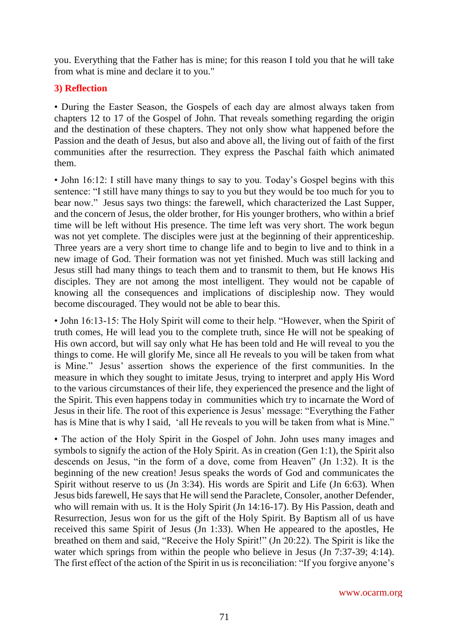you. Everything that the Father has is mine; for this reason I told you that he will take from what is mine and declare it to you."

## **3) Reflection**

• During the Easter Season, the Gospels of each day are almost always taken from chapters 12 to 17 of the Gospel of John. That reveals something regarding the origin and the destination of these chapters. They not only show what happened before the Passion and the death of Jesus, but also and above all, the living out of faith of the first communities after the resurrection. They express the Paschal faith which animated them.

• John 16:12: I still have many things to say to you. Today's Gospel begins with this sentence: "I still have many things to say to you but they would be too much for you to bear now." Jesus says two things: the farewell, which characterized the Last Supper, and the concern of Jesus, the older brother, for His younger brothers, who within a brief time will be left without His presence. The time left was very short. The work begun was not yet complete. The disciples were just at the beginning of their apprenticeship. Three years are a very short time to change life and to begin to live and to think in a new image of God. Their formation was not yet finished. Much was still lacking and Jesus still had many things to teach them and to transmit to them, but He knows His disciples. They are not among the most intelligent. They would not be capable of knowing all the consequences and implications of discipleship now. They would become discouraged. They would not be able to bear this.

• John 16:13-15: The Holy Spirit will come to their help. "However, when the Spirit of truth comes, He will lead you to the complete truth, since He will not be speaking of His own accord, but will say only what He has been told and He will reveal to you the things to come. He will glorify Me, since all He reveals to you will be taken from what is Mine." Jesus' assertion shows the experience of the first communities. In the measure in which they sought to imitate Jesus, trying to interpret and apply His Word to the various circumstances of their life, they experienced the presence and the light of the Spirit. This even happens today in communities which try to incarnate the Word of Jesus in their life. The root of this experience is Jesus' message: "Everything the Father has is Mine that is why I said, 'all He reveals to you will be taken from what is Mine."

• The action of the Holy Spirit in the Gospel of John. John uses many images and symbols to signify the action of the Holy Spirit. As in creation (Gen 1:1), the Spirit also descends on Jesus, "in the form of a dove, come from Heaven" (Jn 1:32). It is the beginning of the new creation! Jesus speaks the words of God and communicates the Spirit without reserve to us (Jn 3:34). His words are Spirit and Life (Jn 6:63). When Jesus bids farewell, He says that He will send the Paraclete, Consoler, another Defender, who will remain with us. It is the Holy Spirit (Jn 14:16-17). By His Passion, death and Resurrection, Jesus won for us the gift of the Holy Spirit. By Baptism all of us have received this same Spirit of Jesus (Jn 1:33). When He appeared to the apostles, He breathed on them and said, "Receive the Holy Spirit!" (Jn 20:22). The Spirit is like the water which springs from within the people who believe in Jesus (Jn 7:37-39; 4:14). The first effect of the action of the Spirit in us is reconciliation: "If you forgive anyone's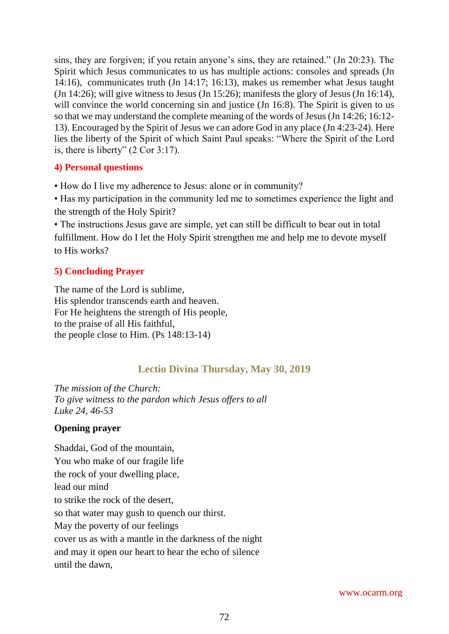sins, they are forgiven; if you retain anyone's sins, they are retained." (Jn 20:23). The Spirit which Jesus communicates to us has multiple actions: consoles and spreads (Jn 14:16), communicates truth (Jn 14:17; 16:13), makes us remember what Jesus taught (Jn 14:26); will give witness to Jesus (Jn 15:26); manifests the glory of Jesus (Jn 16:14), will convince the world concerning sin and justice (Jn 16:8). The Spirit is given to us so that we may understand the complete meaning of the words of Jesus (Jn 14:26; 16:12- 13). Encouraged by the Spirit of Jesus we can adore God in any place (Jn 4:23-24). Here lies the liberty of the Spirit of which Saint Paul speaks: "Where the Spirit of the Lord is, there is liberty" (2 Cor 3:17).

## **4) Personal questions**

• How do I live my adherence to Jesus: alone or in community?

• Has my participation in the community led me to sometimes experience the light and the strength of the Holy Spirit?

• The instructions Jesus gave are simple, yet can still be difficult to bear out in total fulfillment. How do I let the Holy Spirit strengthen me and help me to devote myself to His works?

# **5) Concluding Prayer**

The name of the Lord is sublime, His splendor transcends earth and heaven. For He heightens the strength of His people, to the praise of all His faithful, the people close to Him. (Ps 148:13-14)

# **Lectio Divina Thursday, May 30, 2019**

*The mission of the Church: To give witness to the pardon which Jesus offers to all Luke 24, 46-53*

## **Opening prayer**

Shaddai, God of the mountain, You who make of our fragile life the rock of your dwelling place, lead our mind to strike the rock of the desert, so that water may gush to quench our thirst. May the poverty of our feelings cover us as with a mantle in the darkness of the night and may it open our heart to hear the echo of silence until the dawn,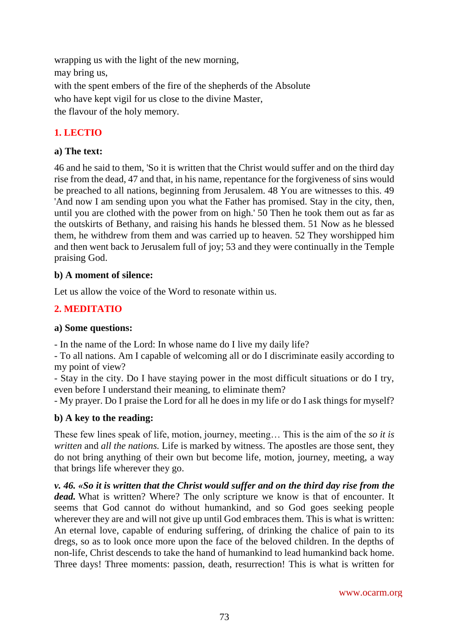wrapping us with the light of the new morning, may bring us, with the spent embers of the fire of the shepherds of the Absolute who have kept vigil for us close to the divine Master, the flavour of the holy memory.

# **1. LECTIO**

### **a) The text:**

46 and he said to them, 'So it is written that the Christ would suffer and on the third day rise from the dead, 47 and that, in his name, repentance for the forgiveness of sins would be preached to all nations, beginning from Jerusalem. 48 You are witnesses to this. 49 'And now I am sending upon you what the Father has promised. Stay in the city, then, until you are clothed with the power from on high.' 50 Then he took them out as far as the outskirts of Bethany, and raising his hands he blessed them. 51 Now as he blessed them, he withdrew from them and was carried up to heaven. 52 They worshipped him and then went back to Jerusalem full of joy; 53 and they were continually in the Temple praising God.

### **b) A moment of silence:**

Let us allow the voice of the Word to resonate within us.

# **2. MEDITATIO**

### **a) Some questions:**

- In the name of the Lord: In whose name do I live my daily life?

- To all nations. Am I capable of welcoming all or do I discriminate easily according to my point of view?

- Stay in the city. Do I have staying power in the most difficult situations or do I try, even before I understand their meaning, to eliminate them?

- My prayer. Do I praise the Lord for all he does in my life or do I ask things for myself?

### **b) A key to the reading:**

These few lines speak of life, motion, journey, meeting… This is the aim of the *so it is written* and *all the nations.* Life is marked by witness. The apostles are those sent, they do not bring anything of their own but become life, motion, journey, meeting, a way that brings life wherever they go.

*v. 46. «So it is written that the Christ would suffer and on the third day rise from the dead.* What is written? Where? The only scripture we know is that of encounter. It seems that God cannot do without humankind, and so God goes seeking people wherever they are and will not give up until God embraces them. This is what is written: An eternal love, capable of enduring suffering, of drinking the chalice of pain to its dregs, so as to look once more upon the face of the beloved children. In the depths of non-life, Christ descends to take the hand of humankind to lead humankind back home. Three days! Three moments: passion, death, resurrection! This is what is written for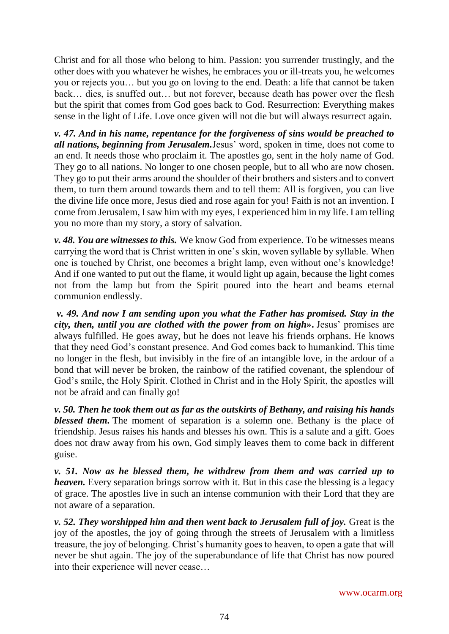Christ and for all those who belong to him. Passion: you surrender trustingly, and the other does with you whatever he wishes, he embraces you or ill-treats you, he welcomes you or rejects you… but you go on loving to the end. Death: a life that cannot be taken back… dies, is snuffed out… but not forever, because death has power over the flesh but the spirit that comes from God goes back to God. Resurrection: Everything makes sense in the light of Life. Love once given will not die but will always resurrect again.

*v. 47. And in his name, repentance for the forgiveness of sins would be preached to all nations, beginning from Jerusalem.*Jesus' word, spoken in time, does not come to an end. It needs those who proclaim it. The apostles go, sent in the holy name of God. They go to all nations. No longer to one chosen people, but to all who are now chosen. They go to put their arms around the shoulder of their brothers and sisters and to convert them, to turn them around towards them and to tell them: All is forgiven, you can live the divine life once more, Jesus died and rose again for you! Faith is not an invention. I come from Jerusalem, I saw him with my eyes, I experienced him in my life. I am telling you no more than my story, a story of salvation.

*v. 48. You are witnesses to this.* We know God from experience. To be witnesses means carrying the word that is Christ written in one's skin, woven syllable by syllable. When one is touched by Christ, one becomes a bright lamp, even without one's knowledge! And if one wanted to put out the flame, it would light up again, because the light comes not from the lamp but from the Spirit poured into the heart and beams eternal communion endlessly.

*v. 49. And now I am sending upon you what the Father has promised. Stay in the city, then, until you are clothed with the power from on high»***.** Jesus' promises are always fulfilled. He goes away, but he does not leave his friends orphans. He knows that they need God's constant presence. And God comes back to humankind. This time no longer in the flesh, but invisibly in the fire of an intangible love, in the ardour of a bond that will never be broken, the rainbow of the ratified covenant, the splendour of God's smile, the Holy Spirit. Clothed in Christ and in the Holy Spirit, the apostles will not be afraid and can finally go!

*v. 50. Then he took them out as far as the outskirts of Bethany, and raising his hands blessed them.* The moment of separation is a solemn one. Bethany is the place of friendship. Jesus raises his hands and blesses his own. This is a salute and a gift. Goes does not draw away from his own, God simply leaves them to come back in different guise.

*v. 51. Now as he blessed them, he withdrew from them and was carried up to heaven*. Every separation brings sorrow with it. But in this case the blessing is a legacy of grace. The apostles live in such an intense communion with their Lord that they are not aware of a separation.

*v. 52. They worshipped him and then went back to Jerusalem full of joy.* Great is the joy of the apostles, the joy of going through the streets of Jerusalem with a limitless treasure, the joy of belonging. Christ's humanity goes to heaven, to open a gate that will never be shut again. The joy of the superabundance of life that Christ has now poured into their experience will never cease…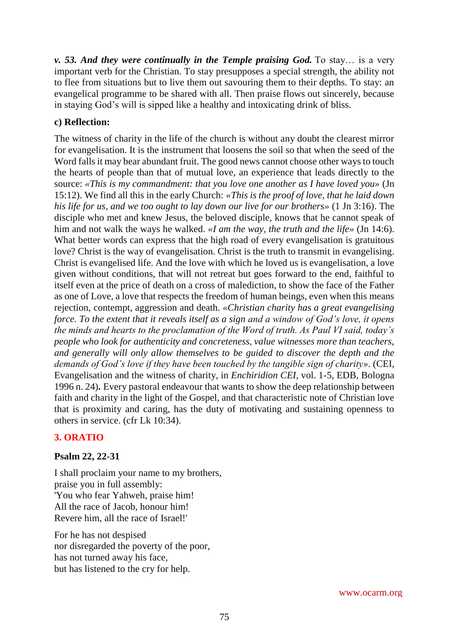*v. 53. And they were continually in the Temple praising God.* To stay… is a very important verb for the Christian. To stay presupposes a special strength, the ability not to flee from situations but to live them out savouring them to their depths. To stay: an evangelical programme to be shared with all. Then praise flows out sincerely, because in staying God's will is sipped like a healthy and intoxicating drink of bliss.

# **c) Reflection:**

The witness of charity in the life of the church is without any doubt the clearest mirror for evangelisation. It is the instrument that loosens the soil so that when the seed of the Word falls it may bear abundant fruit. The good news cannot choose other ways to touch the hearts of people than that of mutual love, an experience that leads directly to the source: *«This is my commandment: that you love one another as I have loved you»* (Jn 15:12). We find all this in the early Church: *«This is the proof of love, that he laid down his life for us, and we too ought to lay down our live for our brothers»* (1 Jn 3:16). The disciple who met and knew Jesus, the beloved disciple, knows that he cannot speak of him and not walk the ways he walked. *«I am the way, the truth and the life»* (Jn 14:6). What better words can express that the high road of every evangelisation is gratuitous love? Christ is the way of evangelisation. Christ is the truth to transmit in evangelising. Christ is evangelised life. And the love with which he loved us is evangelisation, a love given without conditions, that will not retreat but goes forward to the end, faithful to itself even at the price of death on a cross of malediction, to show the face of the Father as one of Love, a love that respects the freedom of human beings, even when this means rejection, contempt, aggression and death. *«Christian charity has a great evangelising force. To the extent that it reveals itself as a sign and a window of God's love, it opens the minds and hearts to the proclamation of the Word of truth. As Paul VI said, today's people who look for authenticity and concreteness, value witnesses more than teachers, and generally will only allow themselves to be guided to discover the depth and the demands of God's love if they have been touched by the tangible sign of charity»*. (CEI, Evangelisation and the witness of charity, in *Enchiridion CEI,* vol. 1-5, EDB, Bologna 1996 n. 24)**.** Every pastoral endeavour that wants to show the deep relationship between faith and charity in the light of the Gospel, and that characteristic note of Christian love that is proximity and caring, has the duty of motivating and sustaining openness to others in service. (cfr Lk 10:34).

### **3. ORATIO**

### **Psalm 22, 22-31**

I shall proclaim your name to my brothers, praise you in full assembly: 'You who fear Yahweh, praise him! All the race of Jacob, honour him! Revere him, all the race of Israel!'

For he has not despised nor disregarded the poverty of the poor, has not turned away his face, but has listened to the cry for help.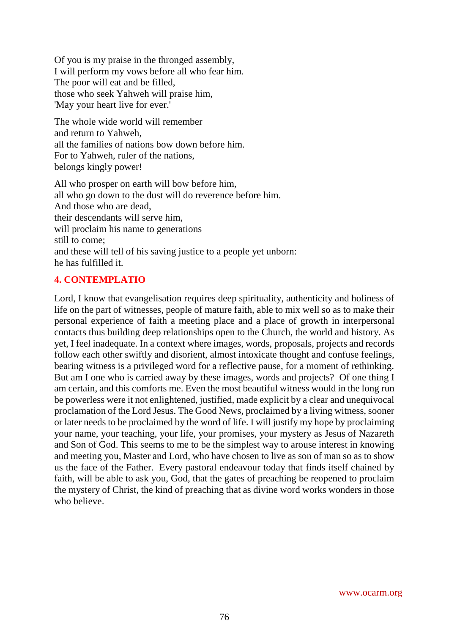Of you is my praise in the thronged assembly, I will perform my vows before all who fear him. The poor will eat and be filled, those who seek Yahweh will praise him, 'May your heart live for ever.'

The whole wide world will remember and return to Yahweh, all the families of nations bow down before him. For to Yahweh, ruler of the nations, belongs kingly power!

All who prosper on earth will bow before him, all who go down to the dust will do reverence before him. And those who are dead, their descendants will serve him, will proclaim his name to generations still to come; and these will tell of his saving justice to a people yet unborn: he has fulfilled it.

# **4. CONTEMPLATIO**

Lord, I know that evangelisation requires deep spirituality, authenticity and holiness of life on the part of witnesses, people of mature faith, able to mix well so as to make their personal experience of faith a meeting place and a place of growth in interpersonal contacts thus building deep relationships open to the Church, the world and history. As yet, I feel inadequate. In a context where images, words, proposals, projects and records follow each other swiftly and disorient, almost intoxicate thought and confuse feelings, bearing witness is a privileged word for a reflective pause, for a moment of rethinking. But am I one who is carried away by these images, words and projects? Of one thing I am certain, and this comforts me. Even the most beautiful witness would in the long run be powerless were it not enlightened, justified, made explicit by a clear and unequivocal proclamation of the Lord Jesus. The Good News, proclaimed by a living witness, sooner or later needs to be proclaimed by the word of life. I will justify my hope by proclaiming your name, your teaching, your life, your promises, your mystery as Jesus of Nazareth and Son of God. This seems to me to be the simplest way to arouse interest in knowing and meeting you, Master and Lord, who have chosen to live as son of man so as to show us the face of the Father. Every pastoral endeavour today that finds itself chained by faith, will be able to ask you, God, that the gates of preaching be reopened to proclaim the mystery of Christ, the kind of preaching that as divine word works wonders in those who believe.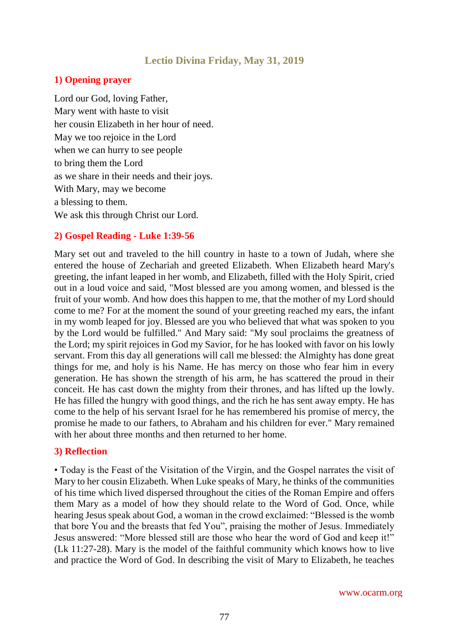### **Lectio Divina Friday, May 31, 2019**

### **1) Opening prayer**

Lord our God, loving Father, Mary went with haste to visit her cousin Elizabeth in her hour of need. May we too rejoice in the Lord when we can hurry to see people to bring them the Lord as we share in their needs and their joys. With Mary, may we become a blessing to them. We ask this through Christ our Lord.

#### **2) Gospel Reading - Luke 1:39-56**

Mary set out and traveled to the hill country in haste to a town of Judah, where she entered the house of Zechariah and greeted Elizabeth. When Elizabeth heard Mary's greeting, the infant leaped in her womb, and Elizabeth, filled with the Holy Spirit, cried out in a loud voice and said, "Most blessed are you among women, and blessed is the fruit of your womb. And how does this happen to me, that the mother of my Lord should come to me? For at the moment the sound of your greeting reached my ears, the infant in my womb leaped for joy. Blessed are you who believed that what was spoken to you by the Lord would be fulfilled." And Mary said: "My soul proclaims the greatness of the Lord; my spirit rejoices in God my Savior, for he has looked with favor on his lowly servant. From this day all generations will call me blessed: the Almighty has done great things for me, and holy is his Name. He has mercy on those who fear him in every generation. He has shown the strength of his arm, he has scattered the proud in their conceit. He has cast down the mighty from their thrones, and has lifted up the lowly. He has filled the hungry with good things, and the rich he has sent away empty. He has come to the help of his servant Israel for he has remembered his promise of mercy, the promise he made to our fathers, to Abraham and his children for ever." Mary remained with her about three months and then returned to her home.

#### **3) Reflection**

• Today is the Feast of the Visitation of the Virgin, and the Gospel narrates the visit of Mary to her cousin Elizabeth. When Luke speaks of Mary, he thinks of the communities of his time which lived dispersed throughout the cities of the Roman Empire and offers them Mary as a model of how they should relate to the Word of God. Once, while hearing Jesus speak about God, a woman in the crowd exclaimed: "Blessed is the womb that bore You and the breasts that fed You", praising the mother of Jesus. Immediately Jesus answered: "More blessed still are those who hear the word of God and keep it!" (Lk 11:27-28). Mary is the model of the faithful community which knows how to live and practice the Word of God. In describing the visit of Mary to Elizabeth, he teaches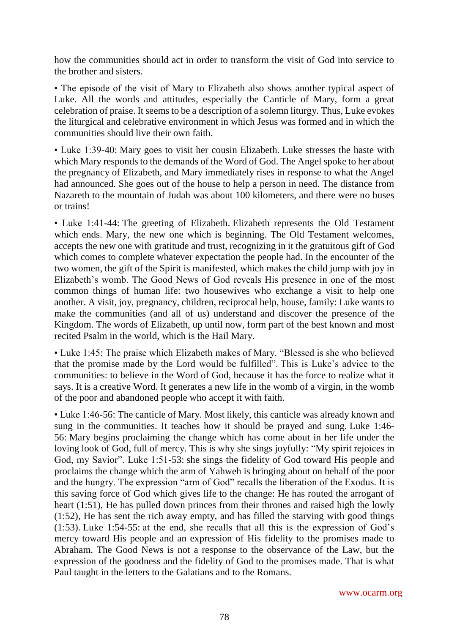how the communities should act in order to transform the visit of God into service to the brother and sisters.

• The episode of the visit of Mary to Elizabeth also shows another typical aspect of Luke. All the words and attitudes, especially the Canticle of Mary, form a great celebration of praise. It seems to be a description of a solemn liturgy. Thus, Luke evokes the liturgical and celebrative environment in which Jesus was formed and in which the communities should live their own faith.

• Luke 1:39-40: Mary goes to visit her cousin Elizabeth. Luke stresses the haste with which Mary responds to the demands of the Word of God. The Angel spoke to her about the pregnancy of Elizabeth, and Mary immediately rises in response to what the Angel had announced. She goes out of the house to help a person in need. The distance from Nazareth to the mountain of Judah was about 100 kilometers, and there were no buses or trains!

• Luke 1:41-44: The greeting of Elizabeth. Elizabeth represents the Old Testament which ends. Mary, the new one which is beginning. The Old Testament welcomes, accepts the new one with gratitude and trust, recognizing in it the gratuitous gift of God which comes to complete whatever expectation the people had. In the encounter of the two women, the gift of the Spirit is manifested, which makes the child jump with joy in Elizabeth's womb. The Good News of God reveals His presence in one of the most common things of human life: two housewives who exchange a visit to help one another. A visit, joy, pregnancy, children, reciprocal help, house, family: Luke wants to make the communities (and all of us) understand and discover the presence of the Kingdom. The words of Elizabeth, up until now, form part of the best known and most recited Psalm in the world, which is the Hail Mary.

• Luke 1:45: The praise which Elizabeth makes of Mary. "Blessed is she who believed that the promise made by the Lord would be fulfilled". This is Luke's advice to the communities: to believe in the Word of God, because it has the force to realize what it says. It is a creative Word. It generates a new life in the womb of a virgin, in the womb of the poor and abandoned people who accept it with faith.

• Luke 1:46-56: The canticle of Mary. Most likely, this canticle was already known and sung in the communities. It teaches how it should be prayed and sung. Luke 1:46- 56: Mary begins proclaiming the change which has come about in her life under the loving look of God, full of mercy. This is why she sings joyfully: "My spirit rejoices in God, my Savior". Luke 1:51-53: she sings the fidelity of God toward His people and proclaims the change which the arm of Yahweh is bringing about on behalf of the poor and the hungry. The expression "arm of God" recalls the liberation of the Exodus. It is this saving force of God which gives life to the change: He has routed the arrogant of heart (1:51), He has pulled down princes from their thrones and raised high the lowly (1:52), He has sent the rich away empty, and has filled the starving with good things (1:53). Luke 1:54-55: at the end, she recalls that all this is the expression of God's mercy toward His people and an expression of His fidelity to the promises made to Abraham. The Good News is not a response to the observance of the Law, but the expression of the goodness and the fidelity of God to the promises made. That is what Paul taught in the letters to the Galatians and to the Romans.